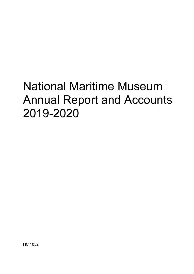# National Maritime Museum Annual Report and Accounts 2019-2020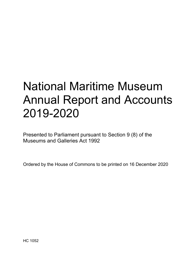# National Maritime Museum Annual Report and Accounts 2019-2020

Presented to Parliament pursuant to Section 9 (8) of the Museums and Galleries Act 1992

Ordered by the House of Commons to be printed on 16 December 2020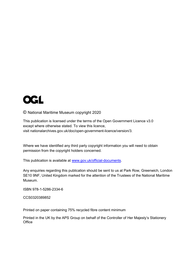

© National Maritime Museum copyright 2020

This publication is licensed under the terms of the Open Government Licence v3.0 except where otherwise stated. To view this licence, visit nationalarchives.gov.uk/doc/open-government-licence/version/3.

Where we have identified any third party copyright information you will need to obtain permission from the copyright holders concerned.

This publication is available at [www.gov.uk/official-documents.](http://www.gov.uk/official-documents)

Any enquiries regarding this publication should be sent to us at Park Row, Greenwich, London SE10 9NF, United Kingdom marked for the attention of the Trustees of the National Maritime Museum.

ISBN 978-1-5286-2334-6

CCS0320389852

Printed on paper containing 75% recycled fibre content minimum

Printed in the UK by the APS Group on behalf of the Controller of Her Majesty's Stationery **Office**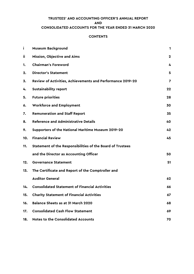# **TRUSTEES' AND ACCOUNTING OFFICER'S ANNUAL REPORT AND CONSOLIDATED ACCOUNTS FOR THE YEAR ENDED 31 MARCH 2020**

#### **CONTENTS**

| i   | <b>Museum Background</b>                                   | 1              |
|-----|------------------------------------------------------------|----------------|
| ii  | Mission, Objective and Aims                                | $\mathbf 2$    |
| 1.  | <b>Chairman's Foreword</b>                                 | 4              |
| 2.  | <b>Director's Statement</b>                                | 5              |
| 3.  | Review of Activities, Achievements and Performance 2019-20 | $\overline{7}$ |
| 4.  | <b>Sustainability report</b>                               | 22             |
| 5.  | <b>Future priorities</b>                                   | 28             |
| 6.  | <b>Workforce and Employment</b>                            | 30             |
| 7.  | <b>Remuneration and Staff Report</b>                       | 35             |
| 8.  | <b>Reference and Administrative Details</b>                | 40             |
| 9.  | Supporters of the National Maritime Museum 2019-20         | 42             |
| 10. | <b>Financial Review</b>                                    | 45             |
| 11. | Statement of the Responsibilities of the Board of Trustees |                |
|     | and the Director as Accounting Officer                     | 50             |
| 12. | <b>Governance Statement</b>                                | 51             |
| 13. | The Certificate and Report of the Comptroller and          |                |
|     | <b>Auditor General</b>                                     | 62             |
| 14. | <b>Consolidated Statement of Financial Activities</b>      | 66             |
| 15. | <b>Charity Statement of Financial Activities</b>           | 67             |
| 16. | Balance Sheets as at 31 March 2020                         | 68             |
| 17. | <b>Consolidated Cash Flow Statement</b>                    | 69             |
| 18. | <b>Notes to the Consolidated Accounts</b>                  | 70             |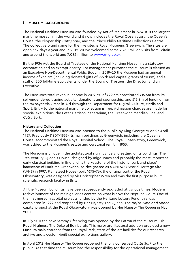## **i MUSEUM BACKGROUND**

The National Maritime Museum was founded by Act of Parliament in 1934. It is the largest maritime museum in the world and it now includes the Royal Observatory, the Queen's House, the clipper ship *Cutty Sark,* and the Prince Philip Maritime Collections Centre. The collective brand name for the five sites is Royal Museums Greenwich. The sites are open 362 days a year and in 2019–20 we welcomed some 2.760 million visits from Britain and around the world and 7.082 million to [www.rmg.co.uk.](http://www.rmg.co.uk/)

By the 1934 Act the Board of Trustees of the National Maritime Museum is a statutory corporation and an exempt charity. For management purposes the Museum is classed as an Executive Non-Departmental Public Body. In 2019–20 the Museum had an annual income of £33.3m (including donated gifts of £297k and capital grants of £0.8m) and a staff of 500 full-time equivalents, under the Board of Trustees, the Director, and an Executive.

The Museum's total revenue income in 2019–20 of £29.3m constituted £15.5m from its self-engendered trading activity, donations and sponsorship; and £13.8m of funding from the taxpayer via Grant-in-Aid through the Department for Digital, Culture, Media and Sport. Entry to the national maritime collection is free. Admission charges are made for special exhibitions, the Peter Harrison Planetarium, the Greenwich Meridian Line, and *Cutty Sark*.

## **History and Collection**

The National Maritime Museum was opened to the public by King George VI on 27 April 1937. Previously (1807–1933) its main buildings at Greenwich, including the Queen's House, accommodated the Royal Hospital School. The Royal Observatory, Greenwich, was added to the Museum's estate and curatorial remit in 1953.

The Museum is unique in the architectural significance and setting of its buildings. The 17th-century Queen's House, designed by Inigo Jones and probably the most important early classical building in England, is the keystone of the historic 'park and place' landscape of Maritime Greenwich, so-designated as a UNESCO World Heritage Site (WHS) in 1997. Flamsteed House (built 1675–76), the original part of the Royal Observatory, was designed by Sir Christopher Wren and was the first purpose-built scientific research facility in Britain.

All the Museum buildings have been subsequently upgraded at various times. Modern redevelopment of the main galleries centres on what is now the Neptune Court. One of the first museum capital projects funded by the Heritage Lottery Fund, this was completed in 1999 and reopened by Her Majesty The Queen. The major *Time and Space* capital project at the Royal Observatory was opened by Her Majesty The Queen in May 2007.

In July 2011 the new Sammy Ofer Wing was opened by the Patron of the Museum, His Royal Highness The Duke of Edinburgh. This major architectural addition provided a new Museum main entrance from the Royal Park, state-of-the-art facilities for our research archive and a custom-built special exhibitions gallery.

In April 2012 Her Majesty The Queen reopened the fully conserved *Cutty Sark* to the public. At that time the Museum had the responsibility for the operational management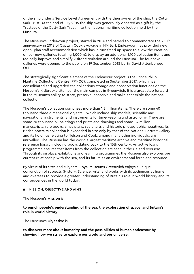of the ship under a Service Level Agreement with the then owner of the ship, the Cutty Sark Trust. At the end of July 2015 the ship was generously donated as a gift by the Trustees of the Cutty Sark Trust in to the national maritime collection held by the Museum.

The Museum's Endeavour project, started in 2014 and named to commemorate the 250<sup>th</sup> anniversary in 2018 of Captain Cook's voyage in HM Bark Endeavour, has provided new open- plan staff accommodation which has in turn freed up space to allow the creation of four new galleries totalling 1,000m2 to display an additional 1,100 collection items and radically improve and simplify visitor circulation around the Museum. The four new galleries were opened to the public on 19 September 2018 by Sir David Attenborough, OM.

The strategically significant element of the Endeavour project is the Prince Philip Maritime Collections Centre (PPMCC), completed in September 2017, which has consolidated and upgraded the collections storage and conservation functions on the Museum's Kidbrooke site near the main campus in Greenwich. It is a great step forward in the Museum's ability to store, preserve, conserve and make accessible the national collection.

The Museum's collection comprises more than 1.5 million items. There are some 40 thousand three dimensional objects – which include ship models, scientific and navigational instruments, and instruments for time-keeping and astronomy. There are some 70 thousand oil paintings and prints and drawings and some 1.4 million manuscripts, rare books, ships plans, sea charts and historic photographic negatives. Its British portraits collection is exceeded in size only by that of the National Portrait Gallery and its holdings relating to Nelson and Cook, among many other individuals, are unrivalled. The Museum has the world's largest maritime archive and maritime historical reference library including books dating back to the 15th century. An active loans programme ensures that items from the collection are seen in the UK and overseas. Through its displays, exhibitions and learning programmes the Museum also explores our current relationship with the sea, and its future as an environmental force and resource.

By virtue of its sites and subjects, Royal Museums Greenwich enjoys a unique conjunction of subjects (History, Science, Arts) and works with its audiences at home and overseas to provide a greater understanding of Britain's role in world history and its consequences in the world today.

## **ii MISSION, OBJECTIVE AND AIMS**

The Museum's **Mission** is:

## **to enrich people's understanding of the sea, the exploration of space, and Britain's role in world history.**

The Museum's **Objective** is:

**to discover more about humanity and the possibilities of human endeavour by showing how we strive to explore our world and our universe.**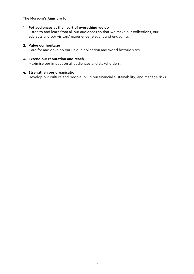The Museum's **Aims** are to:

## **1. Put audiences at the heart of everything we do**

Listen to and learn from all our audiences so that we make our collections, our subjects and our visitors' experience relevant and engaging.

## **2. Value our heritage**

Care for and develop our unique collection and world historic sites.

# **3. Extend our reputation and reach**

Maximise our impact on all audiences and stakeholders.

#### **4. Strengthen our organisation**

Develop our culture and people, build our financial sustainability, and manage risks.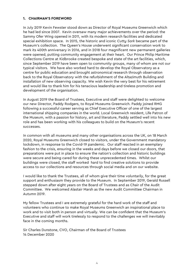#### **1. CHAIRMAN'S FOREWORD**

In July 2019 Kevin Fewster stood down as Director of Royal Museums Greenwich which he had led since 2007. Kevin oversaw many major achievements over the period: the Sammy Ofer Wing opened in 2011, with its modern research facilities and dedicated special exhibition space. In 2015, the historic and iconic *Cutty Sark* became part of the Museum's collection. The Queen's House underwent significant conservation work to mark its 400th anniversary in 2016, and in 2018 four magnificent new permanent galleries were opened, putting community engagement at their heart. Our Prince Philip Maritime Collections Centre at Kidbrooke created bespoke and state of the art facilities, which, since September 2019 have been open to community groups, many of whom are not our typical visitors. We have also worked hard to develop the Royal Observatory as a centre for public education and brought astronomical research through observation back to the Royal Observatory with the refurbishment of the Altazimuth Building and installation of new observing capacity. We wish Kevin the very best for his retirement and would like to thank him for his tenacious leadership and tireless promotion and development of the organisation.

In August 2019 the Board of Trustees, Executive and staff were delighted to welcome our new Director, Paddy Rodgers, to Royal Museums Greenwich. Paddy joined RMG following a successful career serving as Chief Executive Officer of one of the largest international shipping companies in the world. Local Greenwich resident, Life Patron of the Museum, with a passion for history, art and literature, Paddy settled well into his new role and has been working with his colleagues to build on the Museum's recent successes.

In common with all museums and many other organisations across the UK, on 18 March 2020, Royal Museums Greenwich closed to visitors, under the Government mandatory lockdown, in response to the Covid-19 pandemic. Our staff reacted in an exemplary fashion to the crisis, ensuring in the weeks and days before we closed our doors, that preparations were put in place to ensure the nation's collection and historic buildings were secure and being cared for during these unprecedented times. Whilst our buildings were closed, the staff worked hard to find creative solutions to provide access to our collections and resources through social media and on our website.

I would like to thank the Trustees, all of whom give their time voluntarily, for the great support and enthusiasm they provide to the Museum. In September 2019, Gerald Russell stepped down after eight years on the Board of Trustees and as Chair of the Audit Committee. We welcomed Alastair Marsh as the new Audit Committee Chairman in Autumn 2019.

My fellow Trustees and I are extremely grateful for the hard work of the staff and volunteers who continue to make Royal Museums Greenwich an inspirational place to work and to visit both in person and virtually. We can be confident that the Museum's Executive and staff will work tirelessly to respond to the challenges we will inevitably face in the coming months.

Sir Charles Dunstone, CVO, Chairman of the Board of Trustees 14 December 2020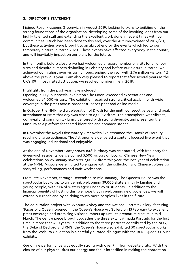## **2. DIRECTOR'S STATEMENT**

I joined Royal Museums Greenwich in August 2019, looking forward to building on the strong foundations of the organisation, developing some of the inspiring ideas from our highly talented staff and extending the excellent work done in recent times with our communities. Much had been done to this end, over the Autumn/Winter of 2019/20, but these activities were brought to an abrupt end by the events which led to our temporary closure in March 2020. These events have affected everybody in the country and will inevitably impact on our plans for the future.

In the months before closure we had welcomed a record number of visits for all of our sites and despite numbers dwindling in February and before our closure in March, we achieved our highest ever visitor numbers, ending the year with 2.76 million visitors, 4% above the previous year. I am also very pleased to report that after several years as the UK's 10th most visited attraction, we reached number nine in 2019.

Highlights from the past year have included:

Opening in July, our special exhibition 'The Moon' exceeded expectations and welcomed 64,000 visitors. The exhibition received strong critical acclaim with wide coverage in the press across broadcast, paper print and online media.

In October the NMM held a celebration of Diwali for the ninth consecutive year and peak attendance at NMM that day was close to 8,000 visitors. The atmosphere was vibrant, convivial and community/family centered with strong diversity, and presented the Museum as a platform for shared identities and common stories.

In November the Royal Observatory Greenwich live-streamed the Transit of Mercury, reaching a large audience. The Astronomers delivered a content focused live event that was engaging, educational and enjoyable.

At the end of November *Cutty Sark*'s 150th birthday was celebrated, with free entry for Greenwich residents we welcomed 3,500 visitors on board. Chinese New Year celebrations on 25 January saw over 7,000 visitors this year, the 19th year of celebration at the NMM. Visitors were invited to engage with the collection and Chinese culture via storytelling, performances and craft workshops.

From late November, through December, to mid-January, The Queen's House was the spectacular backdrop to an ice rink welcoming 39,000 skaters, mainly families and young people, with 61% of skaters aged under 25 or students. In addition to the financial benefits of hosting this, we hope that in welcoming new audiences, we will extend our reach and by so doing touch more people's lives in the future.

The co-curation project with Woburn Abbey and the National Portrait Gallery, featuring 'Faces of a Queen' opened in the Queen's House Art Gallery on 13 February to excellent press coverage and promising visitor numbers up until its premature closure in mid-March. The centre piece brought together the three extant Armada Portraits for the first time in more than 400 years. In addition to the three portraits contributed by the NPG, the Duke of Bedford and RMG, the Queen's House also exhibited 30 spectacular works from the Woburn Collection in a carefully curated dialogue with the RMG Queen's House exhibits.

Our online performance was equally strong with over 7 million website visits. With the closure of our physical sites our energy and focus intensified in making the content on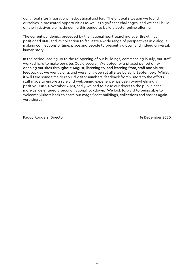our virtual sites inspirational, educational and fun.The unusual situation we found ourselves in presented opportunities as well as significant challenges, and we shall build on the initiatives we made during this period to build a better online offering.

The current pandemic, preceded by the national heart searching over Brexit, has positioned RMG and its collection to facilitate a wide range of perspectives in dialogue making connections of time, place and people to present a global, and indeed universal, human story.

In the period leading up to the re-opening of our buildings, commencing in July, our staff worked hard to make our sites Covid secure. We opted for a phased period of reopening our sites throughout August, listening to, and learning from, staff and visitor feedback as we went along, and were fully open at all sites by early September. Whilst it will take some time to rebuild visitor numbers, feedback from visitors to the efforts staff made to ensure a safe and welcoming experience has been overwhelmingly positive. On 5 November 2020, sadly we had to close our doors to the public once more as we entered a second national lockdown. We look forward to being able to welcome visitors back to share our magnificent buildings, collections and stories again very shortly.

Paddy Rodgers, Director 14 December 2020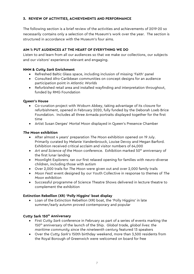# **3. REVIEW OF ACTIVITIES, ACHIEVEMENTS AND PERFORMANCE**

The following section is a brief review of the activities and achievements of 2019-20 so necessarily contains only a selection of the Museum's work over the year. The section is structured in accordance with the Museum's four aims.

# **AIM 1: PUT AUDIENCES AT THE HEART OF EVERYTHING WE DO**

Listen to and learn from all our audiences so that we make our collections, our subjects and our visitors' experience relevant and engaging.

# **NMM &** *Cutty Sark* **Enrichment**

- Refreshed Baltic Glass space, including inclusion of missing 'Faith' panel
- Consulted Afro-Caribbean communities on concept designs for an audience participation point in *Atlantic Worlds*
- Refurbished retail area and installed wayfinding and interpretation throughout, funded by RMG Foundation

# **Queen's Ho***use*

- Co-curation project with Woburn Abbey, taking advantage of its closure for refurbishment, opened in February 2020, fully funded by the Deborah Loeb Brice Foundation. Includes all three Armada portraits displayed together for the first time
- Artist Susan Derges' *Mortal Moon* displayed in Queen's Presence Chamber

# *The Moon* **exhibition**

- After almost 4 years' preparation *The Moon* exhibition opened on 19 July. Primarily curated by Melanie Vandenbrouck, Louise Devoy and Megan Barford. Exhibition received critical acclaim and visitor numbers of 64,000
- Art and Science of the Moon conference. Exhibition marked 50<sup>th</sup> anniversary of the first lunar landing
- Moonlight Explorers: ran our first relaxed opening for families with neuro-diverse children, including those with autism
- Over 2,000 trails for *The Moon* were given out and over 2,000 family trails
- *Moon Fest!* event designed by our Youth Collective in response to themes of *The Moon* exhibition
- Successful programme of Science Theatre Shows delivered in lecture theatre to complement the exhibition

# **Extinction Rebellion (XR) 'Polly Higgins' boat display**

• Loan of the Extinction Rebellion (XR) boat, the 'Polly Higgins' in late summer/early autumn proved contemporary and popular

# **Cutty Sark 150th Anniversary**

- First *Cutty Sark* conference in February as part of a series of events marking the 150th anniversary of the launch of the Ship. *Global trade, global lives: the maritime community since the nineteenth century* featured 13 speakers
- Over the *Cutty Sark's* 150th birthday weekend, more than 3,500 residents from the Royal Borough of Greenwich were welcomed on board for free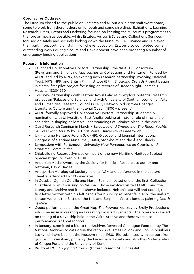## **Coronavirus Outbreak**

The Museum closed to the public on 19 March and all but a skeleton staff went home, some to work from there, others on furlough and some shielding. Exhibitions, Learning, Research, Press, Events and Marketing focused on keeping the Museum's programmes to the fore as much as possible, whilst Estates, Visitor & Sales and Collections Services focused on safely and securely locking down the Museum. HR, Finance and IT played their part in supporting all staff in whichever capacity. Estates also completed some outstanding works during closure and Development have been preparing a number of emergency funding applications.

## **Research & Information**

- Launched Collaborative Doctoral Partnership the 'REACH' Consortium (Revisiting and Enhancing Approaches to Collections and Heritage). Funded by AHRC and led by RMG, an exciting new research partnership involving National Trust, NPG, HRP, and British Film Institute (BFI). *Engaging Crowds* Project began in March, first pilot project focussing on records of Dreadnought Seaman's Hospital 1820-1930
- Two new partnerships with Historic Royal Palaces to explore potential research project on 'Palaces and Science' and with University of Southampton on an Arts and Humanities Research Council (AHRC) Network bid on 'Sea Changes: Literature, Culture and the Material Ocean, 1800 – present'
- AHRC formally approved Collaborative Doctoral Partnership studentship nomination with University of East Anglia looking at historic role of missionary societies in shaping children's understandings of Britain's place in the world
- Caird Research Seminar in March *Sinecures and Smuggling: The Royal Yachts at Greenwich 1713-39* by Dr Chris Ware, University of Greenwich
- UK Maritime Heritage Forum (UKMHF), Glasgow and biennial International Congress of Maritime Museums (ICMM), Stockholm and the Åland Islands
- Symposium with Portsmouth University *New Perspectives on Coastal and Maritime Communities*
- Shipbuilding Records Symposium, part of the new Maritime Heritage Subject Specialist group linked to UKRI
- Anderson Medal Award by the Society for Nautical Research to author and historian, David Davies
- Antiquarian Horological Society held its AGM and conference in the Lecture Theatre, attended by 110 delegates
- In October Quintin Colville and Martin Salmon hosted one of the first `Collection Guardians' visits focussing on Nelson. Those involved visited PPMCC and the Library and Archive and items shown included Nelson's last will and codicil, the first letter written with his left hand after his injury at Tenerife in 1797, the uniform Nelson wore at the Battle of the Nile and Benjamin West's famous painting *Death of Nelson*
- Opera performance on the Great Map *The Powder Monkey* by Brolly Productions who specialise in creating and curating cross arts projects. The opera was based on the log of a slave ship held in the Caird Archive and there were also performances at local schools
- In January, submitted a bid to the Archives Revealed Catalogue Fund run by The National Archives to catalogue the records of James Pollock and Son Shipbuilders Ltd which have been at the Museum since 1980. Bid submitted with support from groups in Faversham, primarily the Faversham Society and also the Confederation of Cinque Ports and the University of Kent.
- Bid to AHRC *Engaging Crowds (Citizen Research)* successful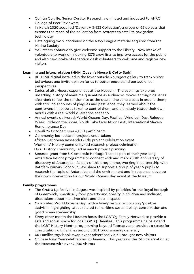- Quintin Colville, Senior Curator Research, nominated and inducted to AHRC College of Peer Reviewers
- In March 2020 acquired 'Daventry GNSS Collection', a group of 65 objects that extends the reach of the collection from sextants to satellite navigation technology
- Cataloguing work continued on the Navy League material acquired from the Marine Society
- Volunteers continue to give welcome support to the Library. New intake of volunteers to work on indexing 1875 crew lists to improve access for the public and also new intake of reception desk volunteers to welcome and register new visitors

# **Learning and Interpretation (NMM, Queen's House & Cutty Sark)**

- RETHINK digital installed in the foyer outside *Voyagers* gallery to track visitor behaviours and invite opinion for us to better understand our audience perspectives
- Series of after-hours experiences at the Museum. The evenings explored unsettling history of maritime quarantine as audiences moved through galleries after-dark to feel the tension rise as the quarantine zone closes in around them; with thrilling accounts of plagues and pestilence, they learned about the controversial measures taken to control them, and ultimately tested their own morals with a real-world quarantine scenario
- Annual events delivered: World Oceans Day, Pacifica, Windrush Day, Refugee Week, Pride on the Shore, Youth Take Over Moon Fest!, International Slavery Remembrance Day
- Diwali 26 October: over 4,000 participants
- Community led research projects undertaken: African Caribbean Research Guide project celebration event Women's' History community-led research project culmination LGBT History community-led research project planning
- Secured grant from UK Antarctic Heritage Trust as part of their year-long Antarctica Insight programme to connect with and mark 200th Anniversary of discovery of Antarctica. As part of this programme, working in partnership with Rathfern Primary School in Lewisham to support a group of year 5 pupils to research the topic of Antarctica and the environment and in response, develop their own intervention for our World Oceans day event at the Museum

## **Family programmes**

- *The Grub's Up* festival in August was inspired by priorities for the Royal Borough of Greenwich, specifically food poverty and obesity in children and included discussions about maritime diets and diets in space
- Celebrated World Oceans Day, with a family festival advocating 'positive activism' highlighting issues related to maritime sustainability, conservation and good ocean stewardship
- Every other month the Museum hosts the LGBTQ+ Family Network to provide a safe and social space for local LGBTQ+ families. This programme helps extend the LGBT History Month programming beyond February and provides a space for consultation with families around LGBT programming generally
- XR Families toy/book swap event advertised via XR brought new visitors
- Chinese New Year celebrations 25 January. This year saw the 19th celebration at the Museum with over 7,000 visitors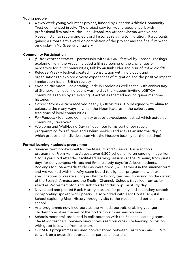## **Young people**

• A two week young volunteer project, funded by Charlton Athletic Community Trust commenced in July. The project saw ten young people work with professional film makers, the June Givanni Pan African Cinema Archive and Museum staff to record and edit oral histories relating to migration. Participants gained a Bronze arts award on completion of the project and the final film went on display in *My Greenwich* gallery

## **Community Participation**

- *If The Weather Permits* partnership with ORIGINS festival by Border Crossings exploring life in the Arctic included a film screening of the challenges of modernity for Inuit communities, talk by an Inuk Elder and tour of *Polar Worlds*
- Refugee Week festival created in consultation with individuals and organisations to explore diverse experiences of migration and the positive impact immigration has on British society
- *Pride on the Shore* celebrating Pride in London as well as the 50th anniversary of Stonewall, an evening event was held at the Museum inviting LGBTQ+ communities to enjoy an evening of activities themed around queer maritime histories
- *Harvest Moon Festival* received nearly 1,300 visitors. Co-designed with Aluna to celebrate the many ways in which the Moon features in the cultures and traditions of local communities
- *Fun Palaces*  four core community groups co-designed festival which acted as community 'takeover'
- Welcome and Well-being Day in November forms part of our regular programming for refugees and asylum seekers and acts as an informal day in which groups and individuals can visit the Museum (usually for the first time)

## **Formal learning – schools programme**

- Summer term booked well for the Museum and Queen's House schools programme. From April to August, over 6,500 school children ranging in age from 4 to 18 years old attended facilitated learning sessions at the Museum, from pirate days for our youngest visitors and Empire study days for A-level students. Bookings for KS4 Armada study day were good (870 learners) in the summer term and we worked with the AQA exam board to align our programme with exam specifications to create a unique offer for history teachers focussing on the defeat of the Spanish Armada and the English Channel. Schools travelled from as far afield as Wolverhampton and Bath to attend this popular study day
- Developed and piloted Black History sessions for primary and secondary schools incorporating spoken word poetry. Also worked with Kent House Hospital School exploring Black History through visits to the Museum and outreach to the school
- Arts programme now incorporates the Armada portrait, enabling younger children to explore themes of the portrait in a more sensory way
- Schools moon trail produced in collaboration with the Science Learning team. *The Moon* teachers' preview view showcased our cross-site learning provision with good follow up from teachers
- Our SEND programmes inspired conversations between *Cutty Sark* and PPMCC to work on a cross site approach for particular sessions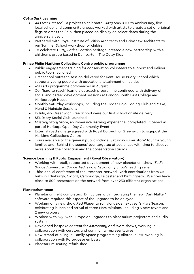## *Cutty Sark* **Learning**

- *All Over Dressed* a project to celebrate *Cutty Sark's* 150th Anniversary, five local school and community groups worked with artists to create a set of original flags to dress the Ship, then placed on display on select dates during the anniversary year.
- Partnered with Royal Institute of British Architects and Grimshaw Architects to run Summer School workshop for children
- To celebrate *Cutty Sark's* Scottish heritage, created a new partnership with a children's group based in Dumbarton, The Cutty Kids

## **Prince Philip Maritime Collections Centre public programme**

- Public engagement training for conservation volunteers to support and deliver public tours launched
- First school outreach session delivered for Kent House Priory School which supports young people with educational attainment difficulties
- ASD arts programme commenced in August
- Our 'hard to reach' learners outreach programme continued with delivery of social and career development sessions at London South East College and Marlborough House
- Monthly Saturday workshops, including the Coder Dojo Coding Club and Make, Mend & Maintain Sessions
- In July, Ark Greenwich Free School were our first school onsite delivery
- SENDsory Social Club launched
- *Mystery Story Store*, an immersive learning experience, completed. Opened as part of Heritage Open Day Community Event
- External road signage agreed with Royal Borough of Greenwich to signpost the Maritime Collections Centre
- Tours available to the general public include 'Saturday super store' tour for young families and 'Behind the scenes' tour targeted at audiences with time to discover more about the collection and the conservation studios

## **Science Learning & Public Engagement (Royal Observatory)**

- Working with retail, supported development of new planetarium show, *Ted's Space Adventure*. *Space Ted* is now Astronomy Shop's leading seller
- Third annual conference of the Presenter Network, with contributions from UK hubs in Edinburgh, Oxford, Cambridge, Leicester and Birmingham. We now have close to 500 presenters on the network from over 230 different organisations

## **Planetarium team**

- Planetarium refit completed. Difficulties with integrating the new 'Dark Matter' software required this aspect of the upgrade to be delayed
- Working on a new show *Red Planet* to run alongside next year's Mars Season, celebrating launch and arrival of three Mars missions, including 3 new rovers and 2 new orbiters
- Worked with Sky-Skan Europe on upgrades to planetarium projectors and audio system
- Developed bespoke content for *Astronomy and Islam* shows, working in collaboration with curators and community representatives
- New strand of bilingual Family Space programming piloted in PHP working in collaboration with Portuguese embassy
- Planetarium seating refurbished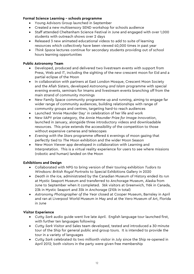## **Formal Science Learning – schools programme**

- Young Advisors Group launched in September
- Created a new multisensory SEND workshop for schools audience
- Staff attended Cheltenham Science Festival in June and engaged with over 1,000 students with outreach shows over 2 days
- Released 3 new animated educational videos to add to suite of learning resources which collectively have been viewed 40,000 times in past year
- *Think Space* lectures continue for secondary students providing out of school hours learning opportunities

## **Public Astronomy Team**

- Developed, produced and delivered two livestream events with support from Press, Web and IT, including the sighting of the new crescent moon for Eid and a partial eclipse of the Moon
- In collaboration with partners at East London Mosque, Crescent Moon Society and the Afiah Sisters, developed *Astronomy and Islam* programme with special evening events, seminars for Imams and livestream events branching off from the main strand of community mornings
- New Family Space community programme up and running, aiming to engage far wider range of community audiences, building relationships with range of community groups and centres, targeting hard-to reach audiences
- Launched 'Annie Maunder Day' in celebration of her life and work
- New IIAPY prize category, the *Annie Maunder Prize for Image Innovation*, launched in January, alongside three introductory videos and downloadable resources. This prize extends the accessibility of the competition to those without expensive cameras and telescopes
- *Evening with the Stars* programme offered 6 evenings of moon gazing that perfectly tied to *The Moon* exhibition and the wider Moon Season
- New Moon Viewer app developed in collaboration with Learning and Interpretation. This is a virtual reality experience for users to see where missions (robotic and human) landed on the Moon

# **Exhibitions and Design**

- Collaborated with NPG to bring version of their touring exhibition *Tudors to Windsors: British Royal Portraits* to Special Exhibitions Gallery in 2020
- *Death in the Ice,* administrated by the Canadian Museum of History ended its run at Mystic Seaport Museum and transferred to Anchorage Museum, Alaska from June to September when it completed. 36k visitors at Greenwich, 116k in Canada, 23k in Mystic Seaport and 35k in Anchorage (210k in total)
- *Astronomy Photographer of the Year* closed at Cooper Museum, Barnsley in April and ran at Liverpool World Museum in May and at the Vero Museum of Art, Florida in June

# **Visitor Experience**

- *Cutty Sark* audio guide went live late April. English language tour launched first, with further ten languages following
- *Cutty Sark* Visitor and Sales team developed, tested and introduced a 30-minute tour of the Ship for general public and group tours. It is intended to provide the tour in a variety of languages
- *Cutty Sark* celebrated its two millionth visitor in July since the Ship re-opened in April 2012; both visitors in the party were given free membership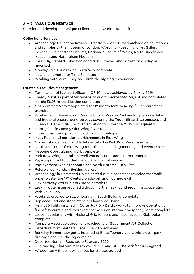# **AIM 2: VALUE OUR HERITAGE**

Care for and develop our unique collection and world historic sites

## **Collections Services**

- Archaeology Collection Review transferred or returned archaeological records and samples to the Museum of London, Worthing Museum and Art Gallery, Ipswich & Colchester Museums, National Museum of Wales, North Lincolnshire Museums and Nottingham Museum.
- Tresco figurehead collection condition surveyed and largest on display remounted
- Monkey Fo'c's'le deck on *Cutty Sark* complete
- New anemometer for Time Ball fitted
- Working with Wire & Sky on 'Climb the Rigging' experience

## **Estates & Facilities Management**

- Termination of licensed offices in ORNC Mews achieved by 31 May 2019
- Energy Audit as part of Sustainability Audit commenced August and completed March; ESOS re-certification completed
- M&E contract: Vertex appointed for 12 month term pending full procurement exercise
- Worked with University of Greenwich and Wessex Archaeology to undertake architectural underground surveys covering the Tudor tiltyard, colonnades and Queen's House initially with an ambition to cover the WHS subsequently
- Floor grilles in Sammy Ofer Wing foyer replaced
- Lift refurbishment programme (Link and Stanhope)
- Mess Room and corridor refurbishments in East Wing
- Modern shower room and toilets installed in Park Row Wing basement
- North and south of East Wing refurbished, including meeting and events spaces
- Neptune Court glazing work complete
- Park Row Wing central stairwell works internal and external complete
- Paye appointed to undertake work to the colonnades
- Improvement works for South and North (External) ROG lifts
- Refurbished Meridian Building gallery
- Archaeology in Flamsteed House carried out in basement revealed that walls under plaster are 17th Century brickwork and not medieval
- Link pathway works in York stone complete
- Leak in water main repaired although further leak found requiring cooperation with Royal Park
- Works to cracked terrazzo flooring in South Building complete
- Replaced Portland stone steps to Flamsteed House
- New LED lights installed in *Cutty Sark* Dry Berth, works to improve operation of fire safety curtain and improvement works on internal emergency lights complete
- Lease negotiations with National Grid for vent and headhouse at Kidbrooke complete
- Temporary storage agreement reached with Government Art Collection
- Departure from Feathers Place June 2019 achieved
- Berkeley Homes new gates installed at Brass Foundry and works on car park drainage and resurfacing complete
- Departed Norman Road store February 2020
- Outstanding Chatham rent review (due in August 2015) satisfactorily agreed
- Wroughton three new licenses for storage agreed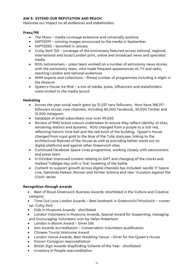# **AIM 3: EXTEND OUR REPUTATION AND REACH**

Maximise our impact on all audiences and stakeholders

## **Press/PR**

- *The Moon* media coverage extensive and universally positive
- IIAPY2019 winning images announced to the media in September
- IIAPY2020 launched in January
- *Cutty Sark* 150 coverage of the anniversary featured across national, regional, international and local/London print, online and broadcast news and specialist media
- ROG Astronomers press team worked on a number of astronomy news stories with the astronomy team, who made frequent appearances on TV and radio, reaching London and national audiences
- NMM experts and collections filmed number of programmes including *A Night in the Museum*
- Queen's House Ice Rink a mix of media, press, influencers and stakeholders were invited to the media launch

## **Marketing**

- Across the year social reach grew by 31,037 new followers. Now have 188,917 followers across core channels, including 80,000 Facebook, 30,000 Twitter and 15,000 Instagram
- Database of email subscribers now over 99,000
- Review of RMG brand colours undertaken to ensure they reflect identity of sites, remaining distinct and dynamic. ROG changed from a purple to a rich red, reflecting historic time ball and the red-brick of the building. Queen's House changed from royal gold to the blue of the Tulip staircase, linking to the architectural features of the House as well as providing better stand out on digital platforms and against other Greenwich sites
- Continued Facebook Space Lives programme, working closely with astronomers and press team
- In October improved content relating to GMT and changing of the clocks and marked Trafalgar Day with a 'live' tweeting of the battle
- Content to support growth across digital channels has included: [Apollo 17 Space](https://www.facebook.com/royalmuseumsgreenwich/videos/533176547412087/)  [Live,](https://www.facebook.com/royalmuseumsgreenwich/videos/533176547412087/) Geminids Meteor Shower and Winter Solstice and new ['Curators Against the](https://www.rmg.co.uk/discover/explore/curators-against-clock)  [Clock'](https://www.rmg.co.uk/discover/explore/curators-against-clock) series

# **Recognition through Awards**

- Best of Royal Greenwich Business Awards: shortlisted in the Culture and Creative category
- Time Out Love London Awards Best landmark in Greenwich/Woolwich runnerup: *Cutty Sark*
- Kids in Museums Awards shortlisted
- London Volunteers in Museums Awards, Special Award for Supporting, managing and Encouraging Volunteers won by Helen Robertson
- London in Bloom Award Silver Gilt
- Aim Awards Accreditation Conservation Volunteers qualification
- Chinese Tourist Welcome Award
- London Venue Awards, Best Wedding Venue Silver for the Queen's House
- Known Consignor reaccreditation
- British Sign Awards Wayfinding Scheme of the Year shortlisted
- Investors in People reaccreditation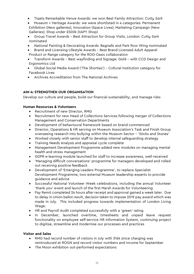- Tiqets Remarkable Venue Awards: we won Best Family Attraction: *Cutty Sark*
- Museum + Heritage Awards: we were shortlisted in 4 categories: Permanent Exhibition (New galleries); Innovation (Space Lives); Marketing Campaign (New Galleries); Shop under £500k (IIAPY Shop)
- Group Travel Awards Best Attraction for Group Visits, London: *Cutty Sark* nominated
- National Painting & Decorating Awards: Bagnalls and Park Row Wing nominated
- Brand and Licensing Lifestyle Awards Best Brand Licensed Adult Apparel Product or Range category for the ROG-Oasis collaboration
- Transform Awards Best wayfinding and Signage: Gold with CCD Design and Ergonomics Ltd
- Global Social Media Award ('The Shorties') Cultural Institution category for Facebook Lives
- Archives Accreditation from The National Archives

# **AIM 4: STRENGTHEN OUR ORGANISATION**

Develop our culture and people, build our financial sustainability, and manage risks

# **Human Resources & Volunteers**

- Recruitment of new Director, RMG
- Recruitment for new Head of Collections Services following merger of Collections Management and Conservation Departments
- Development of behavioural framework based on brand commenced
- Director, Operations & HR serving on Museum Association's Task and Finish Group overseeing research into bullying within the Museum Sector – 'Sticks and Stones'
- Worked closely with senior staff to develop internal safeguarding strategy
- Training Needs Analysis and appraisal cycle complete
- Management Development Programme added new modules on managing mental health and stress management
- GDPR e-learning module launched for staff to increase awareness, well-received
- 'Managing difficult conversations' programme for managers developed and rolled out receiving positive feedback
- Development of 'Emerging Leaders Programme', to replace Specialist Development Programme, two external Museum leadership experts to provide guidance and advice
- Successful National Volunteer Week celebrations, including the annual Volunteer 'thank you' event and launch of the first Marsh Awards for Volunteering
- Pay Remit completed 24 hours after receipt and approval gained a week later. Due to delay in Union ballot result, decision taken to impose 2019 pay award which was made in July. This included progress towards implementation of London Living Wage.
- HR and Payroll Audit completed successfully with a 'green' rating
- In December, launched overtime, timesheets and unpaid leave request functionality on employee self-service HR Information System, continuing project to digitise, streamline and modernise our processes and practices

# **Visitor and Sales**

- RMG had record number of visitors in July with 316k since charging was reintroduced at ROGN and record visitor numbers and income for September
- *The Moon* exhibition out-performed expectations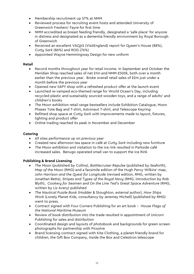- Membership recruitment up 57% at NMM
- Reviewed process for recruiting event hosts and attended University of Greenwich Freshers' Fayre for first time
- NMM accredited as breast feeding friendly, designated a 'safe place' for anyone in distress and designated as a dementia friendly environment by Royal Borough of Greenwich
- Received an excellent VAQAS (VisitEngland) report for Queen's House (88%), *Cutty Sark* (86%) and ROG (76%)
- Appointed Wayne Hemmingway Design for new uniform

## **Retail**

- Record months throughout year for retail income. In September and October the Meridian Shop reached sales of net £1m and NMM £500k, both over a month earlier than the previous year. Broke overall retail sales of £2m just under a month before the previous year
- Opened new IIAPY shop with a refreshed product offer at the launch event
- Launched re-vamped eco-themed range for World Ocean's Day, including recycled plastic and sustainably sourced wooden toys, and a range of adults' and children's books
- *The Moon* exhibition retail range bestsellers include Exhibition Catalogue, Moon Phases Tote Bag and T-shirt, Astronaut T-shirt, and Telescope Keyring
- Refitted shop space at *Cutty Sark* with improvements made to layout, fixtures, lighting and product offer
- Online trading reached its peak in November and December

# **Catering**

- All sites performance up on previous year
- Created new afternoon tea space in café at *Cutty Sark* including new furniture
- *The Moon* exhibition and visitation to the ice rink resulted in Parkside café increased sales. Benugo operated small van to support the Ice Rink

# **Publishing & Brand Licensing**

- *The Moon* (published by Collins), *Battlecruiser Repulse* (published by Seaforth), *Map of the Moon* (RMG) and a facsimile edition of the Hugh Percy Wilkins' map, *John Harrison and the Quest for Longitude* (revised edition, RMG, written by Jonathan Betts), *Stripes and Types of the Royal Navy* (RMG, introduction by Rob Blyth), *Cookery for Seamen* and *On the Line Ted's Great Space Adventure* (RMG, written by Liz Avery) published
- *The Nautical Puzzle Book* (Hodder & Stoughton, external author), *How Ships Work* (Lonely Planet Kids, consultancy by Jeremey Michell) (published by RMG) went to press.
- Contract signed with Four Corners Publishing for an art book *House Flags of the National Maritime Museum*
- Review of book distribution into the trade resulted in appointment of Unicorn Publishing for sales and distribution
- Coordinated design and layouts of photobook and backgrounds for green screen photographs for partnership with Picsolve
- Brand licensing contract signed with Kite Clothing, a planet-friendly brand for children, the Gift Box Company, Inside the Box and Celestron telescope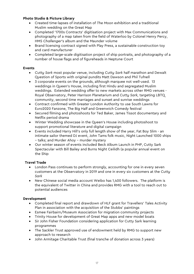## **Photo Studio & Picture Library**

- Created time-lapses of installation of *The Moon* exhibition and a traditional Muslim wedding on the Great Map
- Completed '1700s Contracts' digitisation project with Max Communications and photography of a map taken from the field of Waterloo by Colonel Henry Percy, HMS *Challenger*'s album and the Maunder volume
- Brand licensing contract signed with Play Press, a sustainable construction toy and card manufacturer
- Completed large-scale digitisation project of ship portraits, and photography of a number of house flags and of figureheads in Neptune Court

## **Events**

- *Cutty Sark* most popular venue, including *Cutty Sark* half marathon and Dewalt Question of Sports with original pundits Matt Dawson and Phil Tufnell
- 3 corporate events on the grounds, although marquee not well-used. 13 weddings in Queen's House, including first Hindu and segregated Muslim weddings. Extended wedding offer to new markets across other RMG venues - Royal Observatory, Peter Harrison Planetarium and *Cutty Sark,* targeting LBTQ community, second time marriages and sunset and sunrise weddings
- Contract confirmed with Greater London Authority to use South Lawns for Euro2020 Fanzone, The Big Half and Greenwich Comedy festival
- Secured filming and photoshoots for Ted Baker, James Tissot documentary and Netflix period drama
- Winter Wedding showcase in the Queen's House including photoshoot to support promotional literature and digital campaign
- Events included Harry Hill's only full length show of the year, Fat Boy Slim an intimate sailor themed DJ event, John Tams folk music, Night Launched 1000 ships – talks; and Murder Ahoy – murder mystery
- Our winter season of events included Beck Album Launch in PHP, Cutty Sark Spectacular with Bill Bailey and Burns Night Ceilidh (a popular annual event on the Ship

# **Travel Trade**

- London Pass continues to perform strongly, accounting for one in every seven customers at the Observatory in 2019 and one in every six customers at the *Cutty Sark*
- New Chinese social media account Weibo has 1,400 followers. The platform is the equivalent of Twitter in China and provides RMG with a tool to reach out to potential audiences

# **Development**

- Completed final report and drawdown of HLF grant for Travellers' Tales Activity Plan in association with the acquisition of the Stubbs' paintings
- Esmee Fairbairn/Museum Association for migration community projects
- Trinity House for development of Great Map apps and new model boats
- Sir John Fisher Foundation considering application for Cutty Sark learning programmes
- The Sackler Trust approved use of endowment held by RMG to support new approach to research
- John Armitage Charitable Trust (final tranche of donation across 3 years)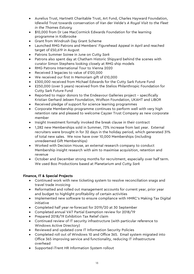- Aurelius Trust, Hartnett Charitable Trust, Art Fund, Charles Hayward Foundation, Idlewild Trust towards conservation of Van der Velde's *A Royal Visit to the Fleet in the Thames Estuary*
- \$10,000 from Dr Lee MacCormick Edwards Foundation for the learning programme in Kidbrooke
- Grant from Windrush Day Grant Scheme
- Launched RMG Patrons and Members' Figurehead Appeal in April and reached target of £50,619 in August
- Patrons Summer Soiree in June on *Cutty Sark*
- Patrons also spent day at Chatham Historic Shipyard behind the scenes with curator Simon Stephens looking closely at RMG ship models
- RMG Patrons International Tour to Vienna 2020
- Received 3 legacies to value of £120,000
- We received our first In Memoriam gift of £10,000
- £300,000 received from Michael Edwards for the Cutty Sark Future Fund
- £250,000 (over 5 years) received from the Stelios Philanthropic Foundation for Cutty Sark Future Fund
- Reported to major donors to the Endeavour Galleries project specifically Kristian Gerhard Jebsen Foundation, Wolfson Foundation, UKAHT and LIBOR
- Received pledge of support for science learning programmes
- Corporate Membership programme continues to perform well with very high retention rate and pleased to welcome Cayzer Trust Company as new corporate member
- Insight Investment formally invoked the break clause in their contract
- 1,282 new Memberships sold in Summer, 73% increase from last year. External recruiters were brought in for 32 days in the holiday period, which generated 31% of total new sales. We now have over 10,000 Memberships (including unredeemed Gift Memberships)
- Worked with Decision House, an external research company to conduct Membership insight research with aim to maximise acquisition, retention and revenue
- October and December strong months for recruitment, especially over half term. We used Boo Productions based at Planetarium and *Cutty Sark*

# **Finance, IT & Special Projects**

- Continued work with new ticketing system to resolve reconciliation snags and travel trade invoicing
- Reformatted and rolled out management accounts for current year, prior year and budget to highlight profitability of certain activities
- Implemented new software to ensure compliance with HMRC's Making Tax Digital initiative
- Completed half year re-forecast for 2019/20 at 30 September
- Completed annual VAT Partial Exemption review for 2018/19
- Prepared 2018/19 Exhibition Tax Relief claim
- Continued review of IT security infrastructure (with particular reference to Windows Active Directory)
- Reviewed and updated core IT Information Security Policies
- Completed roll out of Windows 10 and Office 365. Email system migrated into Office 365 improving service and functionality, reducing IT infrastructure overhead
- Supported iTrent HR Information System rollout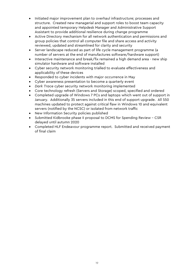- Initiated major improvement plan to overhaul infrastructure; processes and structure. Created new managerial and support roles to boost team capacity and appointed temporary Helpdesk Manager and Administrative Support Assistant to provide additional resilience during change programme
- Active Directory mechanism for all network authentication and permissions and group policies that control all computer file and share access and activity reviewed, updated and streamlined for clarity and security
- Server landscape reduced as part of life cycle management programme (a number of servers at the end of manufactures software/hardware support)
- Interactive maintenance and break/fix remained a high demand area new ship simulator hardware and software installed
- Cyber security network monitoring trialled to evaluate effectiveness and applicability of these devices
- Responded to cyber incidents with major occurrence in May
- Cyber awareness presentation to become a quarterly event
- *Dark Trace* cyber security network monitoring implemented
- Core technology refresh (Servers and Storage) scoped, specified and ordered
- Completed upgrade of Windows 7 PCs and laptops which went out of support in January. Additionally 35 servers included in this end of support upgrade. All 550 machines updated to protect against critical flaw in Windows 10 and equivalent servers (notified by the NCSC) or isolated from network traffic
- New Information Security policies published
- Submitted Kidbrooke phase II proposal to DCMS for Spending Review CSR delayed until autumn 2020
- Completed HLF Endeavour programme report. Submitted and received payment of final claim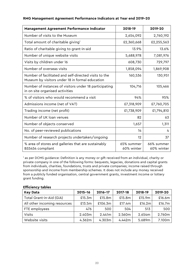| Management Agreement Performance Indicator                                                               | 2018-19                  | 2019-20                  |
|----------------------------------------------------------------------------------------------------------|--------------------------|--------------------------|
| Number of visits to the Museum                                                                           | 2,654,092                | 2,760,192                |
| Total amount of charitable giving <sup>1</sup>                                                           | £2,360,668               | £2,255,563               |
| Ratio of charitable giving to grant-in-aid                                                               | 13.9%                    | 13.6%                    |
| Number of unique website visits                                                                          | 5,688,978                | 7,081,976                |
| Visits by children under 16                                                                              | 608,730                  | 729,797                  |
| Number of overseas visits                                                                                | 1,858,094                | 1,869,908                |
| Number of facilitated and self-directed visits to the<br>Museum by visitors under 18 in formal education | 160,536                  | 130,951                  |
| Number of instances of visitors under 18 participating<br>in on site organised activities                | 104,716                  | 105,466                  |
| % of visitors who would recommend a visit                                                                | 94%                      | 95%                      |
| Admissions income (net of VAT)                                                                           | £7,318,909               | £7,760,705               |
| Trading income (net profit)                                                                              | £1,738,909               | £1,794,810               |
| Number of UK loan venues                                                                                 | 82                       | 63                       |
| Number of objects conserved                                                                              | 1,657                    | 1,311                    |
| No. of peer-reviewed publications                                                                        | 14                       | 4                        |
| Number of research projects undertaken/ongoing                                                           | 12                       | 37                       |
| % area of stores and galleries that are sustainably<br>BS5454 compliant                                  | 65% summer<br>60% winter | 66% summer<br>60% winter |

#### **RMG Management Agreement Performance Indicators at Year end 2019–20**

<sup>1</sup> as per DCMS guidance: Definition is any money or gift received from an individual, charity or private company in one of the following forms: bequests, legacies, donations and capital grants from individuals, charities, foundations, trusts and private companies; income raised through sponsorship and income from membership schemes. It does not include any money received from a publicly funded organisation, central government grants, investment income or lottery grant funding.

## **Efficiency tables**

| <b>Key Data</b>              | $2015 - 16$ | $2016 - 17$ | 2017-18 | 2018-19 | 2019-20 |
|------------------------------|-------------|-------------|---------|---------|---------|
| Total Grant-in-Aid (GiA)     | £15.3m      | £15.8m      | £15.8m  | £15.9m  | £16.6m  |
| All other incoming resources | £13.5m      | £106.3m     | £17.4m  | £16.2m  | £16.7m  |
| FTE employees                | 476         | 500         | 504     | 513     | 500     |
| <b>Visits</b>                | 2.403m      | 2.441m      | 2.560m  | 2.654m  | 2.760m  |
| Website visits               | 4.362m      | 4.303m      | 4.442m  | 5.689m  | 7.100m  |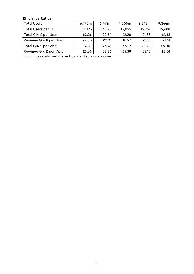# **Efficiency Ratios**

| Total Users <sup>2</sup> | 6.770m | 6.748m | 7.005m | 8.345m | 9.844m |
|--------------------------|--------|--------|--------|--------|--------|
| Total Users per FTE      | 14,193 | 13,496 | 13,899 | 16,267 | 19,688 |
| Total GiA £ per User     | £2.26  | £2.34  | £2.26  | £1.88  | £1.68  |
| Revenue GIA £ per User   | £2.00  | £2.01  | £1.97  | £1.63  | £1.41  |
| Total GiA £ per Visit    | £6.37  | £6.47  | £6.17  | £5.90  | £6.00  |
| Revenue GiA £ per Visit  | £5.65  | £5.56  | £5.39  | £5.12  | £5.01  |

 $2<sup>2</sup>$  comprises visits, website visits, and collections enquiries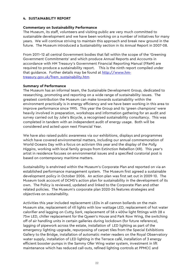#### **4. SUSTAINABILITY REPORT**

## **Commentary on Sustainability Performance**

The Museum, its staff, volunteers and visiting public are very much committed to sustainable development and we have been working on a number of initiatives for many years. We will continue striving to maintain this approach and break new ground in the future. The Museum introduced a Sustainability section in its Annual Report in 2007-08.

From 2011–12 all central Government bodies that fall within the scope of the 'Greening Government Commitments' and which produce Annual Reports and Accounts in accordance with HM Treasury's Government Financial Reporting Manual (FReM) are required to produce a sustainability report. This is the ninth report compiled under that guidance. Further details may be found at [http://www.hm](http://www.hm-treasury.gov.uk/frem_sustainability.htm)[treasury.gov.uk/frem\\_sustainability.htm](http://www.hm-treasury.gov.uk/frem_sustainability.htm)

#### **Summary of Performance**

The Museum has an informal team, the Sustainable Development Group, dedicated to researching, promoting and reporting on a wide range of sustainability issues. The greatest contribution the Museum can make towards sustainability within the environment practically is in energy efficiency and we have been working in this area to improve performance since 1995. This year the Group and its 'green champions' were heavily involved in preparation, workshops and information gathering for an audit and survey carried out by Julie's Bicycle, a recognised sustainability consultancy. This was completed in tandem with an independent audit of energy usage. Both will be considered and acted upon next Financial Year.

We have also raised public awareness via our exhibitions, displays and programmes which have covered environmental matters, including our annual commemoration of World Oceans Day with a focus on activism this year and the display of the *Polly Higgins*, working with local family groups from Extinction Rebellion (XR). This year's artist in residence focuses on environmental issues and a specified curatorial post is based on contemporary maritime matters.

Sustainability is enshrined within the Museum's Corporate Plan and reported on via an established performance management system. The Museum first agreed a sustainable development policy in October 2006. An action plan was first set out in 2009-10. The Museum took account of DCMS's action plan for sustainability in the development of its own. The Policy is reviewed, updated and linked to the Corporate Plan and other related policies. The Museum's corporate plan 2020-24 features strategies and objectives on sustainability.

Activities this year included replacement LEDs in all cannon bollards on the main Museum site, replacement of rill lights with low wattage LED, replacement of hot water calorifier and lagging on *Cutty Sark*, replacement of 58 x 400w light fittings with 28 x 75w LED, chiller replacement for the Queen's House and Park Row Wing, the switching off of air handling units in certain galleries during lockdown (for future reference), lagging of pipework across the estate, installation of LED lighting as part of the emergency lighting upgrade, repurposing of carpet tiles from the Special Exhibitions Gallery to the Bridge, installation of automatic meter readers on the Royal Observatory water supply, installation of LED lighting in the Terrace café, installation of 3 energy efficient booster pumps in the Sammy Ofer Wing water system, investment in lift maintenance which has reduced call-outs, refined lighting controls at PPMCC and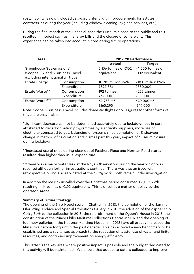sustainability is now included as award criteria within procurements for estates contracts let during the year (including window cleaning, hygiene services, etc.)

During the final month of the Financial Year, the Museum closed to the public and this resulted in modest savings in energy bills and the closure of some plant. This experience can be taken into account in considering future operations.

| Area                                |             | 2019-20 Performance |                            |  |
|-------------------------------------|-------------|---------------------|----------------------------|--|
|                                     |             | Actual              | <b>Target</b>              |  |
| Greenhouse Gas emissions*           |             | 3,136 tonnes of CO2 | <4,500 tonnes of           |  |
| (Scopes 1, 2 and 3 Business Travel  |             | equivalent          | CO <sub>2</sub> equivalent |  |
| excluding international air travel) |             |                     |                            |  |
| <b>Estate Energy</b>                | Consumption | 10.781 million kWh  | <10.0 million kWh          |  |
|                                     | Expenditure | £827,874            | £880,000                   |  |
| Estate Waste**                      | Consumption | 192 tonnes          | <235 tonnes                |  |
|                                     | Expenditure | £69,000             | £58,000                    |  |
| Estate Water***                     | Consumption | 67,958 m3           | <40,000m3                  |  |
|                                     | Expenditure | £165,295            | £49,000                    |  |

Note: Scope 3 Business Travel includes domestic flights only. Figures for other forms of travel are unavailable.

\*significant decrease cannot be determined accurately due to lockdown but in part attributed to decarbonisation programmes by electricity suppliers, more use of electricity compared to gas, balancing of systems since completion of Endeavour, change in method of calculation and in small part this year, impact of Museum closure during lockdown

\*\*increased use of skips during clear out of Feathers Place and Norman Road stores resulted than higher than usual expenditure

\*\*\*there was a major water leak at the Royal Observatory during the year which was repaired although further investigations continue. There was also an issue with retrospective billing also replicated at the *Cutty Sark*. Both remain under investigation.

In addition the ice rink installed over the Christmas period consumed 116,056 kWh resulting in 14 tonnes of CO2 equivalent. This is offset as a matter of policy by the operator, Arena.

## **Summary of Future Strategy**

The opening of the Ship Model store in Chatham in 2010, the completion of the Sammy Ofer Wing Archive and Special Exhibitions Gallery in 2011, the addition of the clipper ship *Cutty Sark* to the collection in 2015, the refurbishment of the Queen's House in 2016, the construction of the Prince Philip Maritime Collections Centre in 2017 and the opening of four new galleries in the National Maritime Museum in 2018 have all greatly increased the Museum's carbon footprint in the past decade. This has allowed a new benchmark to be established and a revitalised approach to the reduction of waste, use of water and finite resources, and continued improvement on energy efficiency.

This latter is the key area where positive impact is possible and the budget dedicated to this activity will be maintained. We ensure that adequate data is collected to improve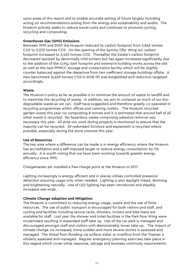upon areas of this report and to enable accurate setting of future targets including acting on recommendations arising from the energy and sustainability and audits. The Museum actively seeks to reduce travel costs and continues to promote cycling, recycling and composting.

## **Greenhouse Gas (GHG) Emissions**

Between 1999 and 2009 the Museum reduced its carbon footprint from 3,842 tonnes CO2 to 3,072 tonnes CO2. On the opening of the Sammy Ofer Wing our carbon footprint increased to 3,422 tonnes CO2. Thereafter the Estate's carbon footprint decreased assisted by abnormally mild winters but has again increased significantly due to the addition of the *Cutty Sark* footprint and extensive building works across the site as well as the new PPMCC storage and conservation facility which will be slightly counter balanced against the departure from two inefficient storage buildings offsite. A new benchmark (4,659 tonnes CO2 in 2018-19) was established and reduction targeted accordingly.

## **Waste**

The Museum's policy as far as possible is to minimise the amount of waste to landfill and to maximise the recycling of waste. In addition, we aim to compost as much of our biodegradable waste as we can. Staff have suggested and therefore greatly co-operated in recycling programmes within offices and catering outlets. The Museum recycled garden waste this year via composting 8 tonnes and it is estimated that around half of all other waste is recycled. No hazardous waste comprising asbestos removal was necessary this year. All strip-out work during projects is monitored to ensure that the majority can be recycled. All redundant furniture and equipment is recycled where possible, especially during the store closures this year.

# **Use of Resources**

The key area where a difference can be made is in energy efficiency where the Museum has accreditation and a self-imposed target to reduce energy consumption by 5% annually. It is worth noting that we have been working towards greater energy efficiency since 1995.

Chargemaster plc installed a free charge point at the Museum in 2017.

Lighting increasingly is energy efficient and in places utilises controlled presence detection ensuring usage only when needed. Lighting is also daylight linked, dimming and brightening naturally. Use of LED lighting has been introduced and steadily increased site-wide.

# **Climate Change Adaption and Mitigation**

The Museum is committed to reducing energy usage, waste and the use of finite resources. The use of public transport is encouraged for both visitors and staff, and cycling and facilities including secure racks, showers, lockers and bike loans are available for staff. Last year the shower and toilet facilities in the Park Row Wing were modernised resulting in expanded staff take up. Use of the car park is managed and discouraged amongst staff and visitors with demonstrably lower take up. The impact of climate change via increased, more sudden and more severe storms is assessed and managed. The threat from flooding via surface water or overflow from the Thames is similarly assessed and managed. Regular emergency planning exercises take place in this regard which cover initial response, salvage and business continuity requirements.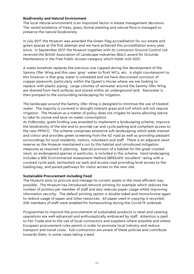## **Biodiversity and Natural Environment**

The local natural environment is an important factor in estate management decisions. The varied existence of trees, grass, formal planting and natural flora is managed to preserve the natural biodiversity.

In July 2017 the Museum was awarded the Green Flag accreditation for our estate and green spaces at the first attempt and we have achieved this accreditation every year since. In September 2017 the Museum together with its contractor Ground Control Ltd received the British Association of Landscape Industries (BALI) award for Grounds Maintenance in the Free Public Access category which holds until 2021.

A water borehole replaces the previous one capped during the development of the Sammy Ofer Wing and this uses 'grey' water to flush WCs, etc. A slight counterpoint to this however is that grey water is untreated and we have discovered corrosion of copper pipework, particularly within the Queen's House where we are looking to replace with plastic piping. Large volumes of rainwater around the Sammy Ofer Wing are drained from hard surfaces and stored within an underground tank. Rainwater is then pumped to the surrounding landscaping for irrigation.

The landscape around the Sammy Ofer Wing is designed to minimise the use of treated water. The majority is covered in drought tolerant grass and turf which will not require irrigation. The Museum as a matter of policy does not irrigate its lawns allowing nature to take its course and save on water consumption.

At Kidbrooke, grant funding was awarded to implement a landscaping scheme, improve the biodiversity of the site and to provide car and cycle parking and compliant access to the new PPMCC. The scheme comprises extensive soft landscaping which adds interest and colour and provides green screening from the A2 road as well as providing pleasant surroundings for local residents, visitors, volunteers and staff. There is an adjacent newt reserve so the Museum maintained a run to this habitat and introduced mitigation measures as required in planning. Special provision of a habitat for the great crested newt, an endangered species in particular, is included in this scheme. Hard landscaping includes a BRE Environmental Assessment Method (BREEAM) 'excellent' rating with a covered cycle park, tarmacked car park and access road providing level access to the loading bay, and paved pathways for visitor access to the new site.

## **Sustainable Procurement including Food**

The Museum aims to procure and manage its current assets in the most efficient way possible. The Museum has introduced network printing for example which reduces the number of printers per member of staff and also reduces paper usage whilst improving information security. The default printing option is double-sided and monochrome again to reduce usage of paper and other resources. All paper used in copying is recycled. 200 members of staff were enabled for homeworking during the Covid-19 outbreak.

Programmes to improve the procurement of sustainable products in retail and catering operations are well-advanced and enthusiastically embraced by staff. Attention is paid to Fair Trade and to the use of local contractors and suppliers where possible and where European procurement rules permit in order to promote local industry and reduce transport and travel costs. Sub-contractors are aware of these policies and contribute towards them, in some cases taking a lead.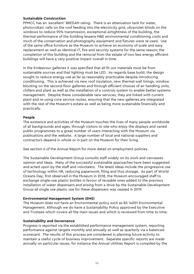#### **Sustainable Construction**

PPMCC has an 'excellent' BREEAM rating. There is an attenuation tank for water, photovoltaic cells on the roof feeding into the electricity grid, ultraviolet blinds on the windows to reduce 90% transmission, exceptional airtightness of the building, the thermal performance of the building lessens M&E environmental conditioning costs and much of the conservation and photography equipment and fixtures were re-used. Use of the same office furniture as the Museum to achieve an economy of scale and easy replacement as well as identical IT, fire and security systems for the same reason; the completion of this building and the removal from the estate of two less energy efficient buildings will have a very positive impact overall in time.

In the Endeavour galleries it was specified that all fit out materials must be from sustainable sources and that lighting must be LED. As regards base build, the design sought to reduce energy use as far as reasonably practicable despite introducing conditioning. This is achieved via new roof insulation, new thermal wall linings, window blocking on the second floor galleries and through efficient choices of air handling units, chillers and plant as well as the installation of a controls system to enable better systems management. Despite these considerable new services, they are linked with current plant and re-using core service routes, ensuring that the new galleries are integrated with the rest of the Museum's estate as well as being more sustainable financially and practically.

## **People**

The existence and activities of the Museum touches the lives of many people worldwide of all backgrounds and ages, through visitors to site who enjoy the displays and varied public programmes to a great number of users interacting with the Museum via publications and the website. A large number of local and national suppliers and contractors depend in whole or in part on the Museum for their living.

See section 6 of the Annual Report for more detail on employment policies.

The Sustainable Development Group consults staff widely on its work and canvasses opinion and ideas. Many of the successful sustainable approaches have been suggested and acted upon by the staff and volunteers. The latest ideas include the progressive use of technology within HR, reducing paperwork, filing and thus storage. As part of World Oceans Day, first observed in the Museum in 2018, the Museum encouraged staff to exchange single-use plastic bottles in favour of reusable ones added to the previous installation of water dispensers and arising from a drive by the Sustainable Development Group all single use plastic use for these dispensers was ceased in 2019.

## **Environmental Management System (EMS)**

The Museum does not have an Environmental policy such as BS 14001 Environmental Management. Although we do have a Sustainability Policy approved by the Executive and Trustees which covers all the main issues and which is reviewed from time to time.

## **Sustainability and Governance**

Progress is reported via the established performance management system, reporting performance against targets monthly and annually as well as quarterly via a balanced scorecard. The results of this process are considered in planning future activity to maintain a useful cycle of business improvement. Separate specific reports are made annually on particular issues, for instance the Annual Utilities Report is compiled by the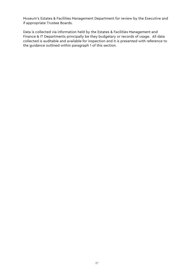Museum's Estates & Facilities Management Department for review by the Executive and if appropriate Trustee Boards.

Data is collected via information held by the Estates & Facilities Management and Finance & IT Departments principally be they budgetary or records of usage. All data collected is auditable and available for inspection and it is presented with reference to the guidance outlined within paragraph 1 of this section.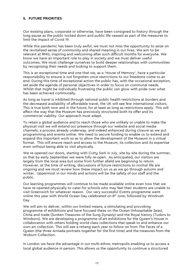#### **5. FUTURE PRIORITIES**

Our existing plans, corporate or otherwise, have been consigned to history through the long pause as the public locked down and public life ceased as part of the measures to limit the impact of Covid 19.

While this pandemic has been truly awful, we must not miss the opportunity to seize on the revitalised sense of community and shared meaning in our lives. We aim to be relevant at RMG; inspiring and welcoming after such difficult months for everyone. We know we have an important role to play in society and we must deliver useful outcomes. We must challenge ourselves to build deeper relationships with communities by recognising their needs and looking to support them.

This is an exceptional time and one that we, as a 'House of Memory', have a particular responsibility to ensure is not forgotten once restrictions to our freedoms come to an end. During this time of exceptional action the public has, with the occasional exception, set aside the agenda of personal objectives in order to focus on communal needs. Whilst that might be individually frustrating the public can glow with pride over what has been achieved communally.

As long as travel is inhibited through national public health restrictions at borders and the decreased availability of affordable travel, the UK will see few international visitors. This is true both now and in the future, for at least as long as restrictions apply. This will affect the way that the Museum has previously structured both its offer and its commercial viability. Our approach must adapt.

To retain a global audience and to reach those who are unlikely or unable to make the physical visit we will extend our presence through our website and social media channels; a process already underway, and indeed enhanced during closure as we put programming and events online. We need to secure funding to enable us to extend and expand this important work so as to allow the development of the Museum in a virtual format. This will ensure reach and access to the Museum, its collection and its expertise even without being able to visit physically.

We re-opened our doors, starting with *Cutty Sark* in July, site by site during the summer, so that by early September we were fully re-open. As anticipated, our visitors are largely from the local area but some from further afield are beginning to return. However, at the time of writing, discussions of future restrictions to normal life are ongoing and we must review how these impact on us as we go through autumn and winter. Uppermost in our minds and actions will be the safety of our staff and the public.

Our learning programmes will continue to be made available online even now that we have re-opened physically to cater for schools who may feel their students are unable to visit Greenwich for whatever reason. Our very successful Events programme went online this year with World Ocean Day celebrated on 8<sup>th</sup> June, followed by Windrush Day.

We will aim to deliver, within our limited means, a stimulating and provoking programme of exhibitions and have focused these on the Ocean (Inhospitable Seas), China and trade (Sunken Treasures of the Sung Dynasty) and the Royal history (Tudors to Windsors). We are developing a programme of art exhibitions for the Queen's House in collaboration with others holding world class collections that speak to and enhance our own art collection. This will see a rehang each year to follow on from The Faces of a Queen (the three Armada portraits together for the first time) and the treasures from the Woburn Collection.

In London we have the advantage in our multi-ethnic metropolis enabling us to access a local global audience in person. This allows us the opportunity to continue a structured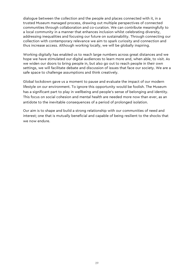dialogue between the collection and the people and places connected with it, in a trusted Museum managed process, drawing out multiple perspectives of connected communities through collaboration and co-curation. We can contribute meaningfully to a local community in a manner that enhances inclusion whilst celebrating diversity, addressing inequalities and focusing our future on sustainability. Through connecting our collection with contemporary relevance we aim to spark curiosity and connection and thus increase access. Although working locally, we will be globally inspiring.

Working digitally has enabled us to reach large numbers across great distances and we hope we have stimulated our digital audiences to learn more and, when able, to visit. As we widen our doors to bring people in, but also go out to reach people in their own settings, we will facilitate debate and discussion of issues that face our society. We are a safe space to challenge assumptions and think creatively.

Global lockdown gave us a moment to pause and evaluate the impact of our modern lifestyle on our environment. To ignore this opportunity would be foolish. The Museum has a significant part to play in wellbeing and people's sense of belonging and identity. This focus on social cohesion and mental health are needed more now than ever, as an antidote to the inevitable consequences of a period of prolonged isolation.

Our aim is to shape and build a strong relationship with our communities of need and interest; one that is mutually beneficial and capable of being resilient to the shocks that we now endure.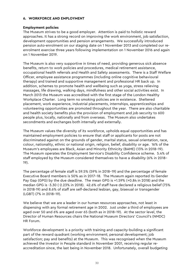## **6. WORKFORCE AND EMPLOYMENT**

## **Employment policies**

The Museum strives to be a good employer. Attention is paid to holistic reward approaches. It has a strong record on improving the work environment, job satisfaction, development opportunities and pension arrangements. We successfully introduced pension auto-enrolment on our staging date on 1 November 2013 and completed our reenrolment exercise three years following implementation on 1 November 2016 and again on 1 November 2019.

The Museum is also very supportive in times of need, providing generous sick absence benefits, return to work policies and procedures, medical retirement assistance, occupational health referrals and Health and Safety assessments. There is a Staff Welfare Officer, employee assistance programmes (including online cognitive behavioural therapy) and trained and supportive management and professional HR back up. In addition, schemes to promote health and wellbeing such as yoga, stress relieving massages, life drawing, walking days, mindfulness and other social activities exist. In March 2013 the Museum was accredited with the first stage of the London Healthy Workplace Charter. Long term no smoking policies are in existence. Sheltered placement, work experience, industrial placements, internships, apprenticeships and volunteering opportunities are promoted throughout the year. There are also charitable and health society benefits plus the provision of employment and job security to 600 people plus, locally, nationally and from overseas. The Museum also undertakes secondments and exchanges both internally and externally.

The Museum values the diversity of its workforce, upholds equal opportunities and has maintained employment policies to ensure that staff or applicants for posts are not discriminated against on the grounds of gender, marital status, sexual orientation, race, colour, nationality, ethnic or national origin, religion, belief, disability or age. 16% of the Museum's employees are Black, Asian and Minority Ethnicity (BAME) (13% in 2018–19). The Museum operates the Employment Service's Disability Confidence scheme. 5.4% of staff employed by the Museum considered themselves to have a disability (6% in 2018– 19).

The percentage of female staff is 59.5% (59% in 2018–19) and the percentage of female Executive Board members is 50% as in 2017–18. The Museum again reported its Gender Pay Gap (GPG) by the due deadline. The mean GPG is +1.59% (+0.84 in 2018) and the median GPG is -3.30 (-2.23% in 2018). 42.6% of staff have declared a religious belief (75% in 2018-19) and 8.6% of staff are self-declared lesbian, gay, bisexual or transgender (LGBT) (7% in 2018–19).

We believe that we are a leader in our human resources approaches, not least in dispensing with any formal retirement age in 2002. Just under a third of employees are aged over 50 and 6% are aged over 65 (both as in 2018–19). At the sector level, the Director of Human Resources chairs the National Museum Directors' Council's (NMDC) HR Forum.

Workforce development is a priority with training and capacity-building a significant part of the reward quadrant (working environment; personal development; job satisfaction; pay and benefits) at the Museum. This was recognised when the Museum achieved the Investor in People standard in November 2001, receiving regular reaccreditation since, the last being in November 2018. Unfortunately, overall budgeting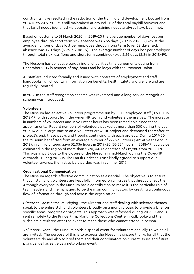constraints have resulted in the reduction of the training and development budget from 2014-15 to 2019–20. It is still maintained at around 1% of the total paybill however and thus far all needs identified via appraisal and training needs analyses have been met.

Based on outturns to 31 March 2020, in 2019–20 the average number of days lost per employee through short term sick absence was 3.56 days (5.09 in 2018–19) whilst the average number of days lost per employee through long term (over 28 days) sick absence was 1.70 days (3.96 in 2018–19). The average number of days lost per employee through total sickness (long and short term combined) was 5.26 days (8.84 in 2018–19).

The Museum has collective bargaining and facilities time agreements dating from December 2013 in respect of pay, hours and holidays with the Prospect Union.

All staff are inducted formally and issued with contracts of employment and staff handbooks, which contain information on benefits, health, safety and welfare and are regularly updated.

In 2017-18 the staff recognition scheme was revamped and a long service recognition scheme was introduced.

## **Volunteers**

The Museum has an active volunteer programme run by 1 FTE employed staff (0.5 FTE in 2018-19) with support from the wider HR team and volunteers themselves. The increase in numbers of volunteers and in volunteer hours has been remarkable since these appointments. Record numbers of volunteers peaked at more than 500 during the year 2013-14 due in large part to an e-volunteer crew list project and decreased thereafter at project's end, these peaks and troughs continuing with each project. During 2019-20 the Museum benefitted from an average number of 279 volunteers (302 at year's end in 2019); in all, volunteers gave 32,036 hours in 2019–20 (33,334 hours in 2018–19) at a value estimated in the region of more than £320,360 (a decrease of £12,980 from 2018–19). This was in part due to the closure of the Museum in mid-March during the Covid-19 outbreak. During 2018-19 The Marsh Christian Trust kindly agreed to support our volunteer awards, the first to be awarded was in summer 2019.

## **Organisational Communication**

The Museum regards effective communication as essential. The objective is to ensure that all staff and volunteers are kept fully informed on all issues that directly affect them. Although everyone in the Museum has a contribution to make it is the particular role of team leaders and line managers to be the main communicators by creating a continuous flow of information through and across the organisation.

*Director's Cross-Museum Briefing* - the Director and staff dealing with selected themes speak to the entire staff and volunteers broadly on a monthly basis to provide a brief on specific areas, progress or projects. This approach was refreshed during 2016–17 and is sent remotely to the Prince Philip Maritime Collections Centre in Kidbrooke and the slides are circulated after the event to reach those who cannot attend in person.

*Volunteer Event* – the Museum holds a special event for volunteers annually to which all are invited. The purpose of this is to express the Museum's sincere thanks for all that the volunteers do and also to brief them and their coordinators on current issues and future plans as well as serve as a networking event.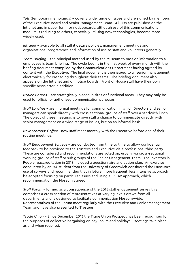*TMs* (temporary memoranda) **–** cover a wide range of issues and are signed by members of the Executive Board and Senior Management Team. All TMs are published on the Intranet and in paper form for noticeboards, although use of this communications medium is reducing as others, especially utilising new technologies, become more widely used.

*Intranet* **–** available to all staff it details policies, management meetings and organisational programmes and information of use to staff and volunteers generally.

*Team Briefing* – the principal method used by the Museum to pass on information to all employees is team briefing. The cycle begins in the first week of every month with the briefing document compiled by the Communications Department having agreed its content with the Executive. The final document is then issued to all senior management electronically for cascading throughout their teams. The briefing document also appears on the Intranet and on notice boards. Front of House staff have their own specific newsletter in addition.

*Notice Boards* **–** are strategically placed in sites or functional areas. They may only be used for official or authorised communication purposes.

*Staff Lunches* **–** are informal meetings for communication in which Directors and senior managers can speak directly with cross-sectional groups of staff over a sandwich lunch. The object of these meetings is to give staff a chance to communicate directly with senior management on a wide range of issues, but on an informal basis.

*New Starters' Coffee -* new staff meet monthly with the Executive before one of their routine meetings.

*Staff Engagement Surveys* – are conducted from time to time to allow confidential feedback to be provided to the Trustees and Executive via a professional third party. These are considered and recommendations are acted on, usually via cross-sectional working groups of staff or sub groups of the Senior Management Team. The Investors in People reaccreditation in 2018 included a questionnaire and action plan. An exercise conducted by an MA student from the University of Greenwich considered the Museum's use of surveys and recommended that in future, more frequent, less intensive approach be adopted focusing on particular issues and using a 'Pulse' approach, which recommendation the Museum agreed.

*Staff Forum –* formed as a consequence of the 2015 staff engagement survey this comprises a cross-section of representatives at varying levels drawn from all departments and is designed to facilitate communication Museum-wide. Representatives of the Forum meet regularly with the Executive and Senior Management Team and have also presented to Trustees.

*Trade Union* – Since December 2013 the Trade Union Prospect has been recognised for the purposes of collective bargaining on pay, hours and holidays. Meetings take place as and when required.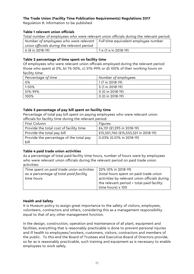# **The Trade Union (Facility Time Publication Requirements) Regulations 2017**

Regulation 8: Information to be published

# **Table 1 relevant union officials**

Total number of employees who were relevant union officials during the relevant period:

| Number of employees who were relevant   Full-time equivalent employee number |                              |
|------------------------------------------------------------------------------|------------------------------|
| union officials during the relevant period                                   |                              |
| $(6 (8 in 2018-19))$                                                         | $\vert$ 7.4 (7.4 in 2018-19) |

# **Table 2 percentage of time spent on facility time**

Of employees who were relevant union officials employed during the relevant period those who spent a) 0%, b) 1%-50%, c) 51%-99% or d) 100% of their working hours on facility time:

| Percentage of time | Number of employees          |
|--------------------|------------------------------|
| 0%                 | 1 (7 in 2018-19)             |
| $1 - 50%$          | $\frac{1}{5}$ (1 in 2018-19) |
| 51%-99%            | $0(0 in 2018-19)$            |
| 100%               | 0 (0 in 2018-19)             |

# **Table 3 percentage of pay bill spent on facility time**

Percentage of total pay bill spent on paying employees who were relevant union officials for facility time during the relevant period:

| First Column                            | <b>Figures</b>                       |
|-----------------------------------------|--------------------------------------|
| Provide the total cost of facility time | £4,131 (£1,295 in 2018-19)           |
| Provide the total pay bill              | £15,501,760 (£15,553,521 in 2018-19) |
| Provide the percentage of the total pay | 0.03% (0.01% in 2018-19)             |
| bill                                    |                                      |

# **Table 4 paid trade union activities**

As a percentage of total paid facility time hours, number of hours were by employees who were relevant union officials during the relevant period on paid trade union activities:

| Time spent on paid trade union activities | 22% (0% in 2018-19)                            |
|-------------------------------------------|------------------------------------------------|
| as a percentage of total paid facility    | (total hours spent on paid trade union         |
| time hours                                | activities by relevant union officials during  |
|                                           | the relevant period $\div$ total paid facility |
|                                           | time hours) x 100                              |

# **Health and Safety**

It is Museum policy to assign great importance to the safety of visitors, employees, volunteers, contractors and others, considering this as a management responsibility equal to that of any other management function.

In the design, construction, operation and maintenance of all plant, equipment and facilities, everything that is reasonably practicable is done to prevent personal injuries and ill health to employees/workers, customers, visitors, contractors and members of the public. To this end the Board of Trustees and Executive Board of Directors provide, so far as is reasonably practicable, such training and equipment as is necessary to enable employees to work safely.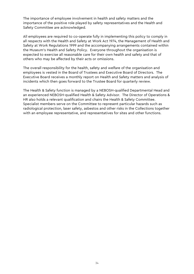The importance of employee involvement in health and safety matters and the importance of the positive role played by safety representatives and the Health and Safety Committee are acknowledged.

All employees are required to co-operate fully in implementing this policy to comply in all respects with the Health and Safety at Work Act 1974, the Management of Health and Safety at Work Regulations 1999 and the accompanying arrangements contained within the Museum's Health and Safety Policy. Everyone throughout the organisation is expected to exercise all reasonable care for their own health and safety and that of others who may be affected by their acts or omissions.

The overall responsibility for the health, safety and welfare of the organisation and employees is vested in the Board of Trustees and Executive Board of Directors. The Executive Board receives a monthly report on Health and Safety matters and analysis of incidents which then goes forward to the Trustee Board for quarterly review.

The Health & Safety function is managed by a NEBOSH-qualified Departmental Head and an experienced NEBOSH-qualified Health & Safety Advisor. The Director of Operations & HR also holds a relevant qualification and chairs the Health & Safety Committee. Specialist members serve on the Committee to represent particular hazards such as radiological protection, laser safety, asbestos and other risks in the Collections together with an employee representative, and representatives for sites and other functions.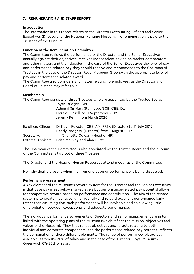# **7. REMUNERATION AND STAFF REPORT**

# **Introduction**

The information in this report relates to the Director (Accounting Officer) and Senior Executives (Directors) of the National Maritime Museum. No remuneration is paid to the Trustees of the Museum.

# **Function of the Remuneration Committee**

The Committee reviews the performance of the Director and the Senior Executives annually against their objectives, receives independent advice on market comparators and other matters and then decides in the case of the Senior Executives the level of pay and performance-related pay they should receive and recommends to the Chairman of Trustees in the case of the Director, Royal Museums Greenwich the appropriate level of pay and performance-related award.

The Committee also considers any matter relating to employees as the Director and Board of Trustees may refer to it.

# **Membership**

|                     | The Committee consists of three Trustees who are appointed by the Trustee Board:<br>Joyce Bridges, CBE<br>Admiral Sir Mark Stanhope, GCB, OBE, DL<br>Gerald Russell, to 11 September 2019<br>Jeremy Penn, from March 2020 |
|---------------------|---------------------------------------------------------------------------------------------------------------------------------------------------------------------------------------------------------------------------|
| Ex officio Officer: | Dr Kevin Fewster, CBE, AM, FRSA (Director) to 31 July 2019                                                                                                                                                                |
| Secretary:          | Paddy Rodgers, (Director) from 1 August 2019<br>Charlotte Cowan, (Head of HR)<br>External Advisers: Brian McEvoy and Alan Hurst                                                                                           |

The Chairman of the Committee is also appointed by the Trustee Board and the quorum of the Committee is two out of three Trustees.

The Director and the Head of Human Resources attend meetings of the Committee.

No individual is present when their remuneration or performance is being discussed.

# **Performance Assessment**

A key element of the Museum's reward system for the Director and the Senior Executives is that base pay is set below market levels but performance-related pay potential allows for competitive reward based on performance and contribution. The aim of the reward system is to create incentives which identify and reward excellent performance fairly rather than assuming that such performance will be inevitable and so allowing little differentiation between exceptional and adequate performance.

The individual performance agreements of Directors and senior management are in turn linked with the operating plans of the Museum (which reflect the mission, objectives and values of the Museum). They thus reflect objectives and targets relating to both individual and corporate components, and the performance-related pay potential reflects the combination of these different elements. The range of performance-related pay available is from 0%-30% of salary and in the case of the Director, Royal Museums Greenwich 0%-20% of salary.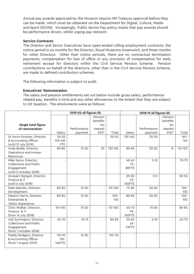Annual pay awards approved by the Museum require HM Treasury approval before they can be made, which must be obtained via the Department for Digital, Culture, Media and Sport (DCMS). Increasingly, Public Sector Pay policy insists that pay awards should be performance driven, whilst urging pay restraint.

# **Service Contracts**

The Director and Senior Executives have open-ended rolling employment contracts: the notice period is six months for the Director, Royal Museums Greenwich, and three months for other Directors. Other than notice periods, there are no contractual termination payments, compensation for loss of office or any provision of compensation for early retirement except for directors within the Civil Service Pension Scheme. Pension contributions on behalf of the directors, other than in the Civil Service Pension Scheme, are made to defined contribution schemes.

The following information is subject to audit.

# **Executives' Remuneration**

The salary and pension entitlements set out below include gross salary, performancerelated pay, benefits in kind and any other allowances to the extent that they are subject to UK taxation. The emoluments were as follows:

|                            |            | 2019-20 all figures £k |                          |           | 2018-19 all figures £k |             |                          |           |  |
|----------------------------|------------|------------------------|--------------------------|-----------|------------------------|-------------|--------------------------|-----------|--|
|                            |            |                        | Pension                  |           |                        |             | Pension                  |           |  |
|                            |            |                        | benefits                 |           |                        |             | benefits                 |           |  |
| Single total figure        |            |                        | (to                      |           |                        |             | (to                      |           |  |
| of remuneration            |            | Performance            | nearest                  |           |                        | Performance | nearest                  |           |  |
|                            | Salary     | payment                | $£1k)*$                  | Total     | Salary                 | payment     | $£1k)*$                  | Total     |  |
| Dr Kevin Fewster, Director | $50 - 55$  |                        |                          | $50 - 55$ | 135-140                | $25 - 30$   |                          | $160 -$   |  |
| & Accounting Officer       | 135-140    |                        |                          |           |                        |             |                          | 165       |  |
| (until 31 July 2019)       | <b>FTE</b> |                        |                          |           |                        |             |                          |           |  |
| Andy Bodle, Director       | 80-85      | $15 - 20$              | 30                       | 130-135   | 80-85                  | $20 - 25$   | 14                       | 115-120   |  |
| Operations and Human       |            |                        |                          |           |                        |             |                          |           |  |
| Resources                  |            |                        |                          |           |                        |             |                          |           |  |
| Mike Sarna, Director,      |            |                        |                          |           | 40-45                  | $5 - 10$    | $\overline{\phantom{0}}$ | 70-75     |  |
| Collections and Public     |            |                        |                          |           | $75 -$                 |             |                          |           |  |
| Engagement                 |            |                        |                          |           | 80FTE                  |             |                          |           |  |
| (until 2 October 2018)     |            |                        |                          |           |                        |             |                          |           |  |
| Anupam Ganguli, Director,  |            |                        | $\sim$                   |           | 25-30                  | $0 - 5$     | $\overline{\phantom{0}}$ | $50 - 55$ |  |
| Finance & IT               |            |                        |                          |           | $95 -$                 |             |                          |           |  |
| (until 6 July 2018)        |            |                        |                          |           | 100FTE                 |             |                          |           |  |
| Kate Seeckts, Director,    | 80-85      | $15 - 20$              | $\blacksquare$           | 95-100    | 75-80                  | $20 - 25$   | $\overline{\phantom{a}}$ | $100 -$   |  |
| Development                |            |                        |                          |           |                        |             |                          | 105       |  |
| Eleanor Harris, Director,  | 80-85      | $15 - 20$              | $\overline{\phantom{a}}$ | $100 -$   | 80-85                  | $20 - 25$   | $\overline{a}$           | $100 -$   |  |
| Enterprises &              |            |                        |                          | 105       |                        |             |                          | 105       |  |
| Visitor Experience         |            |                        |                          |           |                        |             |                          |           |  |
| Chris Walker, Director,    | 95-100     | $15 - 20$              | $\Box$                   | 115-120   | 65-70                  | $15 - 20$   | $\blacksquare$           | 80-85     |  |
| Finance & IT               |            |                        |                          |           | $95 -$                 |             |                          |           |  |
| (from 16 July 2018)        |            |                        |                          |           | 100FTE                 |             |                          |           |  |
| Gail Symington, Director,  | 65-70      | $10 - 15$              | $\overline{\phantom{a}}$ | 80-85     | $55 - 60$              | $5 - 10$    | $\overline{a}$           | 65-70     |  |
| Collections and Public     |            |                        |                          |           | $65 -$                 |             |                          |           |  |
| Engagement                 |            |                        |                          |           | 70FTE                  |             |                          |           |  |
| (from 1 October 2018)      |            |                        |                          |           |                        |             |                          |           |  |
| Paddy Rodgers, Director    | 90-95      | $15 - 20$              | $\blacksquare$           | 110-115   |                        |             |                          |           |  |
| & Accounting Officer       | $135 -$    |                        |                          |           |                        |             |                          |           |  |
| (from 1 August 2019)       | 140FTE     |                        |                          |           |                        |             |                          |           |  |
|                            |            |                        |                          |           |                        |             |                          |           |  |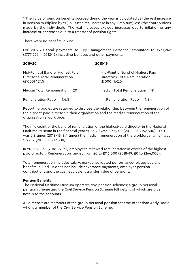\* The value of pension benefits accrued during the year is calculated as (the real increase in pension multiplied by 20) plus (the real increase in any lump sum) less (the contributions made by the individual). The real increases exclude increases due to inflation or any increase or decreases due to a transfer of pension rights.

There were no benefits in kind.

For 2019-20 total payments to Key Management Personnel amounted to £731,242 (£777,926 in 2018-19) including bonuses and other payments.

| 2019-20                           | 2018-19                           |
|-----------------------------------|-----------------------------------|
| Mid-Point of Band of Highest Paid | Mid-Point of Band of Highest Paid |
| Director's Total Remuneration     | Director's Total Remuneration     |
| $(E'000)$ 137.5                   | $(E'000)$ 162.5                   |
| Median Total Remuneration         | <b>Median Total Remuneration</b>  |
| - 20                              | 19                                |
| Remuneration Ratio                | Remuneration Ratio                |
| 1:6.8                             | 1:8.4                             |

Reporting bodies are required to disclose the relationship between the remuneration of the highest-paid director in their organisation and the median remuneration of the organisation's workforce.

The mid-point of the band of remuneration of the highest-paid director in the National Maritime Museum in the financial year 2019–20 was £137,500 (2018–19, £162,500). This was 6.8 times (2018–19, 8.4 times) the median remuneration of the workforce, which was £19,612 (2018–19, £19,300).

In 2019–20, nil (2018–19, nil) employees received remuneration in excess of the highestpaid director. Remuneration ranged from £0 to £116,000 (2018–19, £0 to £164,000).

Total remuneration includes salary, non-consolidated performance-related pay and benefits-in-kind. It does not include severance payments, employer pension contributions and the cash equivalent transfer value of pensions.

# **Pension Benefits**

The National Maritime Museum operates two pension schemes; a group personal pension scheme and the Civil Service Pension Scheme full details of which are given in note 8 to the accounts.

All directors are members of the group personal pension scheme other than Andy Bodle who is a member of the Civil Service Pension Scheme.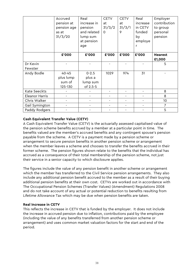|                     | Accrued<br>pension at<br>pension age<br>as at<br>31/3/20 | Real<br>increase in<br>pension<br>and related<br>lump sum<br>at pension<br>age | <b>CETV</b><br>at<br>31/3/2<br>$\Omega$ | <b>CETV</b><br>at<br>31/3/1<br>9 | Real<br>increase<br>in CETV<br>funded<br>by<br>employe<br>r | Employer<br>contribution<br>to group<br>personal<br>pension |
|---------------------|----------------------------------------------------------|--------------------------------------------------------------------------------|-----------------------------------------|----------------------------------|-------------------------------------------------------------|-------------------------------------------------------------|
|                     | £'000                                                    | £'000                                                                          | £'000                                   | £'000                            | £'000                                                       | <b>Nearest</b><br>£1,000                                    |
| Dr Kevin<br>Fewster |                                                          |                                                                                |                                         |                                  |                                                             | 5                                                           |
| Andy Bodle          | 40-45<br>plus lump<br>sum of<br>125-130                  | $0 - 2.5$<br>plus a<br>lump sum<br>of 2.5-5                                    | 1029                                    | 974                              | 31                                                          |                                                             |
| Kate Seeckts        |                                                          |                                                                                |                                         |                                  |                                                             | 8                                                           |
| Eleanor Harris      |                                                          |                                                                                |                                         | -                                |                                                             | 8                                                           |
| Chris Walker        |                                                          |                                                                                |                                         |                                  |                                                             | 10                                                          |
| Gail Symington      |                                                          |                                                                                |                                         |                                  |                                                             | $\overline{7}$                                              |
| Paddy Rodgers       |                                                          |                                                                                |                                         |                                  |                                                             | 5                                                           |

# **Cash Equivalent Transfer Value (CETV)**

A Cash Equivalent Transfer Value (CETV) is the actuarially assessed capitalised value of the pension scheme benefits accrued by a member at a particular point in time. The benefits valued are the member's accrued benefits and any contingent spouse's pension payable from the scheme. A CETV is a payment made by a pension scheme or arrangement to secure pension benefits in another pension scheme or arrangement when the member leaves a scheme and chooses to transfer the benefits accrued in their former scheme. The pension figures shown relate to the benefits that the individual has accrued as a consequence of their total membership of the pension scheme, not just their service in a senior capacity to which disclosure applies.

The figures include the value of any pension benefit in another scheme or arrangement which the member has transferred to the Civil Service pension arrangements. They also include any additional pension benefit accrued to the member as a result of their buying additional pension benefits at their own cost. CETVs are worked out in accordance with The Occupational Pension Schemes (Transfer Values) (Amendment) Regulations 2008 and do not take account of any actual or potential reduction to benefits resulting from Lifetime Allowance Tax which may be due when pension benefits are taken.

# **Real Increase in CETV**

This reflects the increase in CETV that is funded by the employer. It does not include the increase in accrued pension due to inflation, contributions paid by the employee (including the value of any benefits transferred from another pension scheme or arrangement) and uses common market valuation factors for the start and end of the period.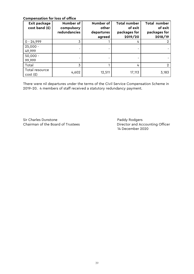# **Compensation for loss of office**

| Exit package<br>cost band (£) | Number of<br>compulsory<br>redundancies | Number of<br>other<br>departures<br>agreed | <b>Total number</b><br>of exit<br>packages for<br>2019/20 | <b>Total number</b><br>of exit<br>packages for<br>2018/19 |
|-------------------------------|-----------------------------------------|--------------------------------------------|-----------------------------------------------------------|-----------------------------------------------------------|
| $0 - 24,999$                  | 3                                       |                                            | 4                                                         |                                                           |
| $25,000 -$<br>49,999          |                                         |                                            |                                                           |                                                           |
| $50,000 -$<br>99,999          |                                         |                                            |                                                           |                                                           |
| Total                         | 3                                       |                                            | 4                                                         | າ                                                         |
| Total resource<br>cost(f)     | 4,602                                   | 12,511                                     | 17,113                                                    | 3,183                                                     |

There were nil departures under the terms of the Civil Service Compensation Scheme in 2019–20. 4 members of staff received a statutory redundancy payment.

Sir Charles Dunstone<br>
Chairman of the Board of Trustees<br>
Pirector and Ace

Director and Accounting Officer 14 December 2020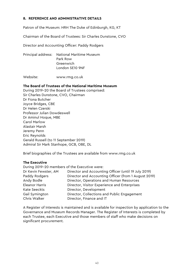# **8. REFERENCE AND ADMINISTRATIVE DETAILS**

Patron of the Museum: HRH The Duke of Edinburgh, KG, KT

Chairman of the Board of Trustees: Sir Charles Dunstone, CVO

Director and Accounting Officer: Paddy Rodgers

| Principal address: National Maritime Museum |
|---------------------------------------------|
| Park Row                                    |
| Greenwich                                   |
| London SE10 9NF                             |
|                                             |

Website: www.rmg.co.uk

#### **The Board of Trustees of the National Maritime Museum**

During 2019–20 the Board of Trustees comprised: Sir Charles Dunstone, CVO, Chairman Dr Fiona Butcher Joyce Bridges, CBE Dr Helen Czerski Professor Julian Dowdeswell Dr Aminul Hoque, MBE Carol Marlow Alastair Marsh Jeremy Penn Eric Reynolds Gerald Russell (to 11 September 2019) Admiral Sir Mark Stanhope, GCB, OBE, DL

Brief biographies of the Trustees are available from www.rmg.co.uk

#### **The Executive**

During 2019–20 members of the Executive were:

| Dr Kevin Fewster, AM | Director and Accounting Officer (until 19 July 2019) |
|----------------------|------------------------------------------------------|
| Paddy Rodgers        | Director and Accounting Officer (from 1 August 2019) |
| Andy Bodle           | Director, Operations and Human Resources             |
| Eleanor Harris       | Director, Visitor Experience and Enterprises         |
| Kate Seeckts         | Director, Development                                |
| Gail Symington       | Director, Collections and Public Engagement          |
| Chris Walker         | Director, Finance and IT                             |

A Register of Interests is maintained and is available for inspection by application to the Governance and Museum Records Manager. The Register of Interests is completed by each Trustee, each Executive and those members of staff who make decisions on significant procurement.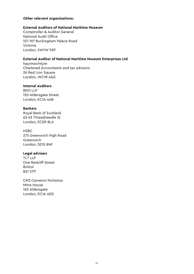#### *Other relevant organisations:*

# **External Auditors of National Maritime Museum**

Comptroller & Auditor General National Audit Office 157-197 Buckingham Palace Road Victoria London, SW1W 9SP

# **External Auditor of National Maritime Museum Enterprises Ltd**

haysmacintyre Chartered Accountants and tax advisors 26 Red Lion Square London, WC1R 4AG

# **Internal Auditors**

BDO LLP 150 Aldersgate Street London, EC1A 4AB

# **Bankers**

Royal Bank of Scotland 62-63 Threadneedle St London, EC2R 8LA

**HSBC** 275 Greenwich High Road Greenwich London, SE10 8NF

# **Legal advisers**

TLT LLP One Redcliff Street Bristol BS1 STP

CMS Cameron McKenna Mitre House 160 Aldersgate London, EC1A 4DD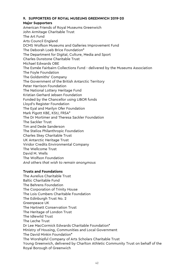#### **9. SUPPORTERS OF ROYAL MUSEUMS GREENWICH 2019-20**

#### **Major Supporters**

American Friends of Royal Museums Greenwich John Armitage Charitable Trust The Art Fund Arts Council England DCMS Wolfson Museums and Galleries Improvement Fund The Deborah Loeb Brice Foundation\* The Department for Digital, Culture, Media and Sport Charles Dunstone Charitable Trust Michael Edwards OBE The Esmée Fairbairn Collections Fund - delivered by the Museums Association The Foyle Foundation The Goldsmiths' Company The Government of the British Antarctic Territory Peter Harrison Foundation The National Lottery Heritage Fund Kristian Gerhard Jebsen Foundation Funded by the Chancellor using LIBOR funds Lloyd's Register Foundation The Eyal and Marilyn Ofer Foundation Mark Pigott KBE, KStJ, FRSA\* The Dr Mortimer and Theresa Sackler Foundation The Sackler Trust Tim and Dede Sanderson The Stelios Philanthropic Foundation Charles Skey Charitable Trust UK Antarctic Heritage Trust Viridor Credits Environmental Company The Wellcome Trust David M. Wells The Wolfson Foundation *And others that wish to remain anonymous*

# **Trusts and Foundations**

The Aurelius Charitable Trust Baltic Charitable Fund The Behrens Foundation The Corporation of Trinity House The Lois Cumbers Charitable Foundation The Edinburgh Trust No. 2 Greenpeace UK The Hartnett Conservation Trust The Heritage of London Trust The Idlewild Trust The Leche Trust Dr Lee MacCormick Edwards Charitable Foundation\* Ministry of Housing, Communities and Local Government The David Minkin Foundation\* The Worshipful Company of Arts Scholars Charitable Trust Young Greenwich, delivered by Charlton Athletic Community Trust on behalf of the Royal Borough of Greenwich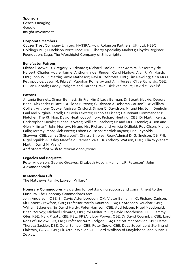# **Sponsors**

Genesis Imaging Google Insight Investment

#### **Corporate Members**

Cayzer Trust Company Limited; HASSRA; How Robinson Partners (UK) Ltd; HSBC Holdings PLC; Hutchison Ports; Ince; ING; Liberty Speciality Markets; Lloyd's Register Foundation; Saga; The Worshipful Company of Shipwrights

# **Benefactor Patrons**

Michael Brown; D. Gregory B. Edwards; Richard Hadida; Rear Admiral Sir Jeremy de Halpert; Charles Hoare Nairne; Anthony Inder Rieden; Carol Marlow; Alan R. W. Marsh, OBE; John W. R. Martin; Jamie Matheson; Ravi K. Mehrotra, CBE; Tim Newling; Mr & Mrs D Petropoulos; Jason M. Pilalas\*; Vaughan Pomeroy and Ann Nussey; Clive Richards, OBE, DL; Ian Ridpath; Paddy Rodgers and Harriet Drake; Dick van Meurs; David M. Wells\*

# **Patrons**

Antonia Bennett; Simon Bennett; Sir Franklin & Lady Berman; Dr Stuart Blackie; Deborah Brice; Alexander Bulazel; Dr Fiona Butcher; C. Richard & Deborah Carlson\*; Dr William Collier; Anthony Cooke; Andrew Crisford; Simon C. Davidson; Mr and Mrs John Denholm; Paul and Virginia Ferrell; Dr Kevin Fewster; Nicholas Fisher; Lieutenant Commander P. Fletcher; The Rt. Hon. David Heathcoat-Amory; Richard Hunting, CBE; Dr Martin Kenig; Christopher Kneale; Michael Kovacs; William Loschert; Mr and Mrs J Mennie; Alison and Glen Milliman\*; John Morrow; Mr and Mrs Richard and Amicia Oldfield; Roy Olsen; Michael Palin; Jeremy Penn; Dick Porter; Esben Poulsson; Merrick Rayner; Eric Reynolds; E F Shawyer, CBE; James Sherwood\*; Chrissy Shipley; Rear-Admiral D. G. Snelson, CB, FNI; Nigel Squibb & Lesley Mansfield; Ramesh Vala; Dr Anthony Watson, CBE; Julia Wykeham-Martin; David M. Wells\*

*And others that wish to remain anonymous*

# **Legacies and Bequests**

Peter Anderson; George Greaves; Elisabeth Hoban; Marilyn L.R. Peterson\*; John Alexander Smith

# **In Memoriam Gift**

The Matthews Family; Lawson Willard\*

**Honorary Commodores** – awarded for outstanding support and commitment to the Museum. The Honorary Commodores are:

John Anderson, OBE; Sir David Attenborough, OM; Victor Benjamin; C. Richard Carlson; Sir Robert Crawford, CBE; Professor Martin Daunton, FBA; Dr Stephen Deuchar, CBE; William Edgerley; Sir David Hardy; Peter Harrison, CBE; Aud Jebsen; Nigel Macdonald; Brian McEvoy; Michael Edwards, OBE; Zvi Meitar M Jur; David Moorhouse, CBE; Sammy Ofer, KBE; Mark Pigott, KBE, KStJ, FRSA; Libby Purves, OBE; Dr David Quarmby, CBE; Lord Rees of Ludlow, OM, FRS; Professor NAM Rodger, FBA; Dr Mortimer Sackler, KBE; Dame Theresa Sackler, DBE; Coral Samuel, CBE; Peter Snow, CBE; Dava Sobel; Lord Sterling of Plaistow, GCVO, CBE; Sir Arthur Weller, CBE; Lord Wolfson of Marylebone; and Susan T Zetkus.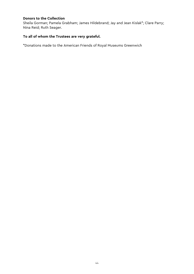#### **Donors to the Collection**

Sheila Gorman; Pamela Grabham; James Hildebrand; Jay and Jean Kislak\*; Clare Parry; Nina Reid; Ruth Seager.

# **To all of whom the Trustees are very grateful.**

\*Donations made to the American Friends of Royal Museums Greenwich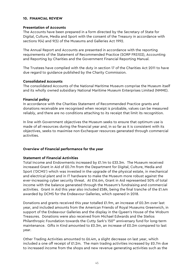#### **10. FINANCIAL REVIEW**

# **Presentation of Accounts**

The Accounts have been prepared in a form directed by the Secretary of State for Digital, Culture, Media and Sport with the consent of the Treasury in accordance with sections 9(4) and 9(5) of the Museums and Galleries Act 1992.

The Annual Report and Accounts are presented in accordance with the reporting requirements of the Statement of Recommended Practice (SORP FRS102), Accounting and Reporting by Charities and the Government Financial Reporting Manual.

The Trustees have complied with the duty in section 17 of the Charities Act 2011 to have due regard to guidance published by the Charity Commission.

#### **Consolidated Accounts**

The consolidated Accounts of the National Maritime Museum comprise the Museum itself and its wholly owned subsidiary National Maritime Museum Enterprises Limited (NMME).

#### **Financial policy**

In accordance with the Charities Statement of Recommended Practice grants and donations receivable are recognised when receipt is probable, values can be measured reliably, and there are no conditions attaching to its receipt that limit its recognition.

In line with Government objectives the Museum seeks to ensure that optimum use is made of all resources during the financial year and, in so far as it is consistent with its objectives, seeks to maximise non-Exchequer resources generated through commercial activities.

# **Overview of Financial performance for the year**

# **Statement of Financial Activities**

Total Income and Endowments increased by £1.1m to £33.3m. The Museum received increased Grant in Aid of £0.7m from the Department for Digital, Culture, Media and Sport ('DCMS') which was invested in the upgrade of the physical estate, in mechanical and electrical plant and in IT hardware to make the Museum more robust against the ever-increasing cyber security threat. At £16.6m, Grant in Aid represented 50% of total income with the balance generated through the Museum's fundraising and commercial activities. Grant in Aid this year also included £58k, being the final tranche of the £1.4m awarded by DCMS for the Endeavour Galleries, which opened in 2018.

Donations and grants received this year totalled £1.9m, an increase of £0.3m over last year, and included amounts from the American Friends of Royal Museums Greenwich, in support of the Endeavour Galleries and the display in the Queen's House of the Woburn Treasures. Donations were also received from Michael Edwards and the Stelios Philanthropic Foundation towards the Cutty Sark's 150<sup>th</sup> anniversary fund for long-term maintenance. Gifts in Kind amounted to £0.3m, an increase of £0.2m compared to last year.

Other Trading Activities amounted to £6.4m, a slight decrease on last year, which included a one off receipt of £1.2m. The main trading activities increased by £0.7m due to increased income from the shops and new revenue generating activities such as the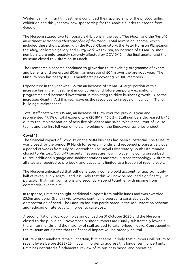Winter ice rink. Insight Investment continued their sponsorship of the photographic exhibition and this year saw new sponsorship for the Annie Maunder telescope from Google.

The Museum staged two temporary exhibitions in the year: *'The Moon'* and the '*Insight Investment Astronomy Photographer of the Year'*. Total admission income, which included these shows, along with the Royal Observatory, the Peter Harrison Planetarium, the *Ahoy*! children's gallery and *Cutty Sark* was £7.8m, an increase of £0.4m. Visitor numbers were unfortunately severely affected by COVID-19 in the final quarter and the museum closed to visitors on 18 March.

The Membership scheme continued to grow due to its exciting programme of events and benefits and generated £0.6m, an increase of £0.1m over the previous year. The Museum now has nearly 10,000 memberships covering 39,000 members.

Expenditure in the year was £35.9m an increase of £2.6m. A large portion of this increase lies in the investment in our current and future temporary exhibitions programme and increased investment in marketing to drive business growth. Also the increased Grant in Aid this year gave us the resources to invest significantly in IT and buildings' maintenance.

Total staff costs were £15.4m, an increase of 0.7% over the previous year and represented 47.5% of total expenditure (2018-19: 46.0%). Staff numbers decreased by 13, due to the implementation of new flexible visitor and sales roles in the Front of House teams and the first full year of no staff working on the Endeavour galleries project.

# **Covid 19**

The financial impact of Covid-19 on the NMM business has been substantial. The Museum was closed for the period 19 March for several months and reopened progressively over a period of weeks from July to September. The Royal Observatory South Site remains closed to Visitors. Covid-19 security measures are now in place, including prescribed routes, additional signage and sanitiser stations and track & trace technology. Visitors to all sites are required to pre book, and capacity is limited to a fraction of recent levels.

The Museum anticipated that self generated income would account for approximately half of revenue in 2020/21, and it is likely that this will now be reduced significantly - in particular that from admissions and secondary spend together with income from commercial events hire.

In response, NMM has sought additional support from public funds and was awarded £3.5m additional Grant in Aid towards continuing operating costs subject to demonstration of need. The Museum has also participated in the Job Retention Scheme and reduced on site activity in order to save cost.

A second National lockdown was announced on 31 October 2020 and the Museum closed to the public on 5 November. Visitor numbers are usually substantially lower in the winter months and the majority of staff agreed to take furlough leave. Consequently, the Museum anticipates that the financial impact will be broadly neutral.

Future visitor numbers remain uncertain, but it seems unlikely that numbers will return to recent levels before 2022/23, if at all. In order to address this longer term uncertainty, NMM has instituted a fundamental review of its business model and operating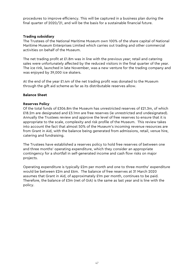procedures to improve efficiency. This will be captured in a business plan during the final quarter of 2020/21, and will be the basis for a sustainable financial future.

# **Trading subsidiary**

The Trustees of the National Maritime Museum own 100% of the share capital of National Maritime Museum Enterprises Limited which carries out trading and other commercial activities on behalf of the Museum.

The net trading profit at £1.8m was in line with the previous year; retail and catering sales were unfortunately affected by the reduced visitors in the final quarter of the year. The ice rink, launched in late November, was a new venture for the trading company and was enjoyed by 39,000 ice skaters.

At the end of the year £1.4m of the net trading profit was donated to the Museum through the gift aid scheme as far as its distributable reserves allow.

# **Balance Sheet**

#### **Reserves Policy**

Of the total funds of £306.8m the Museum has unrestricted reserves of £21.3m, of which £18.2m are designated and £3.1mn are free reserves (ie unrestricted and undesignated). Annually the Trustees review and approve the level of free reserves to ensure that it is appropriate to the scale, complexity and risk profile of the Museum. This review takes into account the fact that almost 50% of the Museum's incoming revenue resources are from Grant in Aid, with the balance being generated from admissions, retail, venue hire, catering and fundraising.

The Trustees have established a reserves policy to hold free reserves of between one and three months' operating expenditure, which they consider an appropriate contingency for a shortfall in self-generated income and cash flow risks on major projects.

Operating expenditure is typically £2m per month and one to three months' expenditure would be between £2m and £6m. The balance of free reserves at 31 March 2020 assumes that Grant in Aid, of approximately £1m per month, continues to be paid. Therefore, the balance of £3m (net of GiA) is the same as last year and is line with the policy.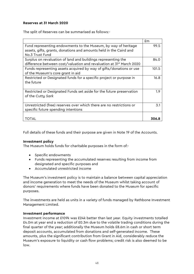# **Reserves at 31 March 2020**

The split of Reserves can be summarised as follows:-

|                                                                                  | £m    |
|----------------------------------------------------------------------------------|-------|
| Fund representing endowments to the Museum, by way of heritage                   | 99.5  |
| assets, gifts, grants, donations and amounts held in the Caird and               |       |
| No.3 Trust Fund                                                                  |       |
| Surplus on revaluation of land and buildings representing the                    | 84.0  |
| difference between cost/valuation and revaluation at 31 <sup>st</sup> March 2020 |       |
| Funds representing assets acquired by way of gifts/donations or use              | 101.5 |
| of the Museum's core grant in aid                                                |       |
| Restricted or Designated funds for a specific project or purpose in              | 16.8  |
| the future                                                                       |       |
|                                                                                  |       |
| Restricted or Designated Funds set aside for the future preservation             | 1.9   |
| of the Cutty Sark                                                                |       |
|                                                                                  |       |
| Unrestricted (free) reserves over which there are no restrictions or             | 3.1   |
| specific future spending intentions                                              |       |
|                                                                                  |       |
| TOT AL                                                                           | 306.8 |

Full details of these funds and their purpose are given in Note 19 of the Accounts.

# **Investment policy**

The Museum holds funds for charitable purposes in the form of:-

- Specific endowments
- Funds representing the accumulated reserves resulting from income from designated and specific purposes and
- Accumulated unrestricted income

The Museum's investment policy is to maintain a balance between capital appreciation and income generation to meet the needs of the Museum whilst taking account of donors' requirements where funds have been donated to the Museum for specific purposes.

The investments are held as units in a variety of funds managed by Rathbone Investment Management Limited.

# **Investment performance**

Investment income at £109k was £24k better than last year. Equity investments totalled £4.0m at year end a reduction of £0.3m due to the volatile trading conditions during the final quarter of the year; additionally the Museum holds £8.6m in cash or short term deposit accounts, accumulated from donations and self-generated income. These amounts, plus the significant contribution from Grant in Aid, considerably reduce the Museum's exposure to liquidity or cash flow problems; credit risk is also deemed to be low.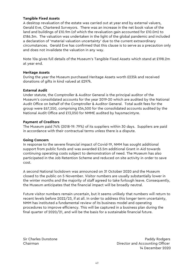# **Tangible Fixed Assets**

A desktop revaluation of the estate was carried out at year end by external valuers, Gerald Eve, Chartered Surveyors. There was an increase in the net book value of the land and buildings of £10.9m (of which the revaluation gain accounted for £10.0m) to £186.3m. The valuation was undertaken in the light of the global pandemic and included a declaration of 'material valuation uncertainty' due to the current extraordinary circumstances. Gerald Eve has confirmed that this clause is to serve as a precaution only and does not invalidate the valuation in any way.

Note 10a gives full details of the Museum's Tangible Fixed Assets which stand at £198.2m at year end.

#### **Heritage Assets**

During the year the Museum purchased Heritage Assets worth £235k and received donations of gifts in kind valued at £297k.

#### **External Audit**

Under statute, the Comptroller & Auditor General is the principal auditor of the Museum's consolidated accounts for the year 2019-20 which are audited by the National Audit Office on behalf of the Comptroller & Auditor General. Total audit fees for the group were £67,550, comprising £54,500 for the consolidated accounts audited by the National Audit Office and £13,050 for NMME audited by haysmacintyre.

#### **Payment of Creditors**

The Museum paid 74% (2018-19: 79%) of its suppliers within 30 days. Suppliers are paid in accordance with their contractual terms unless there is a dispute.

#### **Going Concern**

In response to the severe financial impact of Covid-19, NMM has sought additional support from public funds and was awarded £3.5m additional Grant in Aid towards continuing operating costs subject to demonstration of need. The Museum has also participated in the Job Retention Scheme and reduced on site activity in order to save cost.

A second National lockdown was announced on 31 October 2020 and the Museum closed to the public on 5 November. Visitor numbers are usually substantially lower in the winter months and the majority of staff agreed to take furlough leave. Consequently, the Museum anticipates that the financial impact will be broadly neutral.

Future visitor numbers remain uncertain, but it seems unlikely that numbers will return to recent levels before 2022/23, if at all. In order to address this longer term uncertainty, NMM has instituted a fundamental review of its business model and operating procedures to improve efficiency. This will be captured in a business plan during the final quarter of 2020/21, and will be the basis for a sustainable financial future.

Sir Charles Dunstone Paddy Rodgers Chairman Chairman Director and Accounting Officer 14 December 2020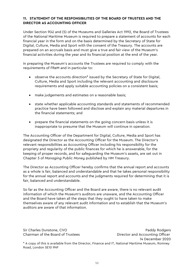# **11. STATEMENT OF THE RESPONSIBILITIES OF THE BOARD OF TRUSTEES AND THE DIRECTOR AS ACCOUNTING OFFICER**

Under Section 9(4) and (5) of the Museums and Galleries Act 1992, the Board of Trustees of the National Maritime Museum is required to prepare a statement of accounts for each financial year in the form and on the basis determined by the Secretary of State for Digital, Culture, Media and Sport with the consent of the Treasury. The accounts are prepared on an accruals basis and must give a true and fair view of the Museum's financial activities during the year and its financial position at the end of the year.

In preparing the Museum's accounts the Trustees are required to comply with the requirements of FReM and in particular to:

- observe the accounts direction\* issued by the Secretary of State for Digital, Culture, Media and Sport including the relevant accounting and disclosure requirements and apply suitable accounting policies on a consistent basis;
- make judgements and estimates on a reasonable basis;
- state whether applicable accounting standards and statements of recommended practice have been followed and disclose and explain any material departures in the financial statements; and
- prepare the financial statements on the going concern basis unless it is inappropriate to presume that the Museum will continue in operation.

The Accounting Officer of the Department for Digital, Culture, Media and Sport has designated the Director as the Accounting Officer for the Museum. The Director's relevant responsibilities as Accounting Officer including his responsibility for the propriety and regularity of the public finances for which he is answerable, for the keeping of proper records, and for safeguarding the Museum's assets, are set out in Chapter 3 of *Managing Public Money* published by HM Treasury.

The Director as Accounting Officer hereby confirms that the annual report and accounts as a whole is fair, balanced and understandable and that he takes personal responsibility for the annual report and accounts and the judgments required for determining that it is fair, balanced and understandable.

So far as the Accounting Officer and the Board are aware, there is no relevant audit information of which the Museum's auditors are unaware, and the Accounting Officer and the Board have taken all the steps that they ought to have taken to make themselves aware of any relevant audit information and to establish that the Museum's auditors are aware of that information.

Road, London SE10 9NF

Sir Charles Dunstone, CVO Paddy Rodgers Chairman of the Board of Trustees **Director and Accounting Officer** 14 December 2020 \* A copy of this is available from the Director, Finance and IT, National Maritime Museum, Romney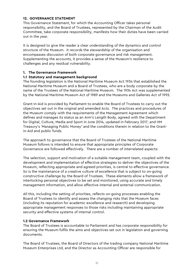# **12. GOVERNANCE STATEMENT**

This Governance Statement, for which the Accounting Officer takes personal responsibility, and the Board of Trustees, represented by the Chairman of the Audit Committee, take corporate responsibility, manifests how their duties have been carried out in the year.

It is designed to give the reader a clear understanding of the dynamics and control structure of the Museum. It records the stewardship of the organisation and encompasses discussion of both corporate governance and risk management. Supplementing the accounts, it provides a sense of the Museum's resilience to challenges and any residual vulnerability.

# **1. The Governance Framework**

# **1.1 Statutory and management background**

The founding legislation is the National Maritime Museum Act 1934 that established the National Maritime Museum and a Board of Trustees, who are a body corporate by the name of the Trustees of the National Maritime Museum. The 1934 Act was supplemented by the National Maritime Museum Act of 1989 and the Museums and Galleries Act of 1992.

Grant-in-Aid is provided by Parliament to enable the Board of Trustees to carry out the objectives set out in the original and amended Acts. The practices and procedures of the Museum comply with the requirements of the Management Agreement which defines and manages its status as an Arm's Length Body, agreed with the Department for Digital, Culture, Media and Sport in June 2014, updated in February 2017, and HM Treasury's 'Managing Public Money' and the conditions therein in relation to the Grantin-Aid and public funds.

The approach to governance that the Board of Trustees of the National Maritime Museum follows is intended to ensure that appropriate principles of Corporate Governance are followed effectively. There are a number of interrelated aspects:

The selection, support and motivation of a suitable management team, coupled with the development and implementation of effective strategies to deliver the objectives of the Museum, reflecting appropriate and agreed priorities, is central to effective governance. So is the maintenance of a creative culture of excellence that is subject to on-going constructive challenge by the Board of Trustees. These elements allow a framework of interlocking personal objectives to be set and monitored, using accurate and timely management information, and allow effective internal and external communication.

All this, including the setting of priorities, reflects on-going processes enabling the Board of Trustees to identify and assess the changing risks that the Museum faces (including its reputation for academic excellence and research) and developing appropriate management responses to those risks including maintaining appropriate security and effective systems of internal control.

# **1.2 Governance Framework**

The Board of Trustees is accountable to Parliament and has corporate responsibility for ensuring the Museum fulfils the aims and objectives set out in legislation and governing documents.

The Board of Trustees, the Board of Directors of the trading company National Maritime Museum Enterprises Ltd, and the Director as Accounting Officer are responsible for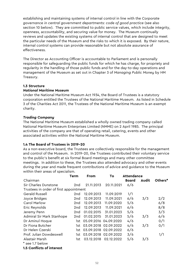establishing and maintaining systems of internal control in line with the *Corporate governance in central government departments: code of good practice* (see also section 10 below). They are committed to public service values, which include integrity, openness, accountability, and securing value for money. The Museum continually reviews and updates the existing systems of internal control that are designed to meet the particular needs of the Museum and the risks to which it is exposed. By their nature, internal control systems can provide reasonable but not absolute assurance of effectiveness.

The Director as Accounting Officer is accountable to Parliament and is personally responsible for safeguarding the public funds for which he has charge, for propriety and regularity in the handling of those public funds and for the day-to-day operations and management of the Museum as set out in Chapter 3 of *Managing Public Money* by HM Treasury.

# **1.3 Structure**

# *National Maritime Museum*

Under the National Maritime Museum Act 1934, the Board of Trustees is a statutory corporation entitled the Trustees of the National Maritime Museum. As listed in Schedule 3 of the Charities Act 2011, the Trustees of the National Maritime Museum is an exempt charity.

# *Trading Company*

The National Maritime Museum established a wholly owned trading company called National Maritime Museum Enterprises Limited (NMME) on 2 April 1985. The principal activities of the company are that of operating retail, catering, events and other associated activities within the National Maritime Museum.

# **1.4 The Board of Trustees in 2019–20**

As a non-executive board, the Trustees are collectively responsible for the management and control of the Museum. In 2019–20, the Trustees contributed their voluntary service to the public's benefit at six formal Board meetings and many other committee meetings. In addition to these, the Trustees also attended advocacy and other events during the year and made frequent contributions of advice and guidance to the Museum within their areas of specialism.

|                                        | Term | From       | To                    | <b>Attendance</b> |       |         |  |
|----------------------------------------|------|------------|-----------------------|-------------------|-------|---------|--|
| Chairman                               |      |            |                       | <b>Board</b>      | Audit | Others* |  |
| Sir Charles Dunstone                   | 2nd  | 21.11.2013 | 20.11.2021            | 6/6               |       |         |  |
| Trustees in order of first appointment |      |            |                       |                   |       |         |  |
| <b>Gerald Russell</b>                  | 2nd  | 12.09.2013 | 11.09.2019            | 1/1               |       |         |  |
| Joyce Bridges                          | 2nd  | 12.09.2013 | 11.09.2021            | 6/6               | 3/3   | 2/2     |  |
| Carol Marlow                           | 2nd  | 12.09.2013 | 11.09.2020            | 5/6               |       | 6/8     |  |
| Eric Reynolds                          | 2nd  | 12.09.2013 | 11.09.2021            | 6/6               |       | 8/8     |  |
| Jeremy Penn                            | 2nd  | 01.02.2015 | 31.01.2023            | 5/6               |       | 3/3     |  |
| Admiral Sir Mark Stanhope              | 2nd  | 01.02.2015 | 31.01.2023            | 5/6               | 3/3   | 6/6     |  |
| Dr Aminul Hoque                        | 1st. |            | 05.09.2016 04.09.2020 | 4/6               |       | 0/1     |  |
| Dr Fiona Butcher                       | 1st. |            | 03.09.2018 02.09.2022 | 4/6               | 3/3   | 0/1     |  |
| Dr Helen Czerski                       | 1st. |            | 03.09.2018 02.09.2022 | 6/6               |       |         |  |
| Prof. Julian Dowdeswell                | 1st. |            | 03.09.2018 02.09.2022 | 3/6               |       | 1/1     |  |
| Alastair Marsh                         | 1st  | 03.12.2018 | 02.12.2022            | 5/6               | 3/3   |         |  |
| * see 1.7 below                        |      |            |                       |                   |       |         |  |
| <b>1.5 Conflicts of interest</b>       |      |            |                       |                   |       |         |  |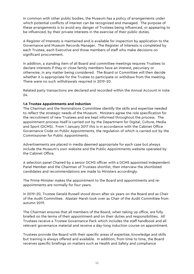In common with other public bodies, the Museum has a policy of arrangements under which potential conflicts of interest can be recognized and managed. The purpose of these arrangements is to avoid any danger of Trustees being influenced, or appearing to be influenced, by their private interests in the exercise of their public duties.

A Register of Interests is maintained and is available for inspection by application to the Governance and Museum Records Manager. The Register of Interests is completed by each Trustee, each Executive and those members of staff who make decisions on significant procurement.

In addition, a standing item of all Board and committee meetings requires Trustees to declare interests if they or close family members have an interest, pecuniary or otherwise, in any matter being considered. The Board or Committee will then decide whether it is appropriate for the Trustee to participate or withdraw from the meeting. There were no such withdrawals required in 2019–20.

Related party transactions are declared and recorded within the Annual Account in note  $24.$ 

# **1.6 Trustee Appointments and Induction**

The Chairman and the Nominations Committee identify the skills and expertise needed to reflect the strategic needs of the Museum. Ministers agree the role specification for the recruitment of new Trustees and are kept informed throughout the process. The appointment process itself is carried out by the Department for Digital, Culture, Media and Sport (DCMS). From 1 January 2017 this is in accordance with the Cabinet Office Governance Code on Public Appointments, the regulation of which is carried out by the Commissioner for Public Appointments.

Advertisements are placed in media deemed appropriate for each case but always include the Museum's own website and the Public Appointments website operated by the Cabinet Office.

A selection panel Chaired by a senior DCMS officer with a DCMS appointed Independent Panel Member and the Chairman of Trustees shortlist, then interview the shortlisted candidates and recommendations are made to Ministers accordingly.

The Prime Minister makes the appointment to the Board and appointments and reappointments are normally for four years.

In 2019–20, Trustee Gerald Russell stood down after six years on the Board and as Chair of the Audit Committee. Alastair Marsh took over as Chair of the Audit Committee from autumn 2019.

The Chairman ensures that all members of the Board, when taking up office, are fully briefed on the terms of their appointment and on their duties and responsibilities. All Trustees receive a Trustee Governance Pack which includes the staff handbook and all relevant governance material and receive a day-long induction course on appointment.

Trustees provide the Board with their specific areas of expertise, knowledge and skills but training is always offered and available. In addition, from time to time, the Board receives specific briefings on matters such as Health and Safety and compliance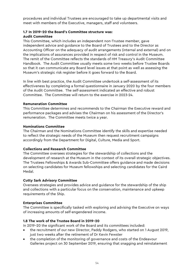procedures and individual Trustees are encouraged to take up departmental visits and meet with members of the Executive, managers, staff and volunteers.

#### **1.7 In 2019–20 the Board's Committee structure was: Audit Committee**

This Committee, which includes an independent non-Trustee member, gave independent advice and guidance to the Board of Trustees and to the Director as Accounting Officer on the adequacy of audit arrangements (internal and external) and on the implications of assurances provided in respect of risk and control in the Museum. The remit of the Committee reflects the standards of HM Treasury's Audit Committee Handbook. The Audit Committee usually meets some two weeks before Trustee Boards so that it can communicate any Board level issues at that point as well as assessing the Museum's strategic risk register before it goes forward to the Board.

In line with best practice, the Audit Committee undertook a self-assessment of its effectiveness by completing a formal questionnaire in January 2020 by the four members of the Audit Committee. The self-assessment indicated an effective and robust Committee. The Committee will return to the exercise in 2023-24.

# **Remuneration Committee**

This Committee determines and recommends to the Chairman the Executive reward and performance packages and advises the Chairman on his assessment of the Director's remuneration. The Committee meets twice a year.

# **Nominations Committee**

The Chairman and the Nominations Committee identify the skills and expertise needed to reflect the strategic needs of the Museum then request recruitment campaigns accordingly from the Department for Digital, Culture, Media and Sport.

# **Collections and Research Committee**

The Committee oversees strategies for the stewardship of collections and the development of research at the Museum in the context of its overall strategic objectives. The Trustees Fellowships & Awards Sub-Committee offers guidance and made decisions on selecting candidates for Museum fellowships and selecting candidates for the Caird Medal.

# **Cutty Sark Advisory Committee**

Oversees strategies and provides advice and guidance for the stewardship of the ship and collections with a particular focus on the conservation, maintenance and upkeep requirements of the Ship.

#### **Enterprises Committee**

The Committee is specifically tasked with exploring and advising the Executive on ways of increasing amounts of self-engendered income.

# **1.8 The work of the Trustee Board in 2019–20**

In 2019–20 the significant work of the Board and its committees included:

- the recruitment of our new Director, Paddy Rodgers, who started on 1 August 2019, just two weeks after the retirement of Dr Kevin Fewster
- the completion of the monitoring of governance and costs of the Endeavour Galleries project on 30 September 2019, ensuring that snagging and reinstatement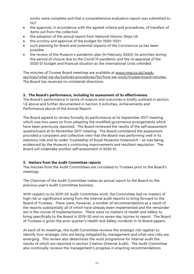works were complete and that a comprehensive evaluation report was submitted to **HLF** 

- the approval, in accordance with the agreed criteria and procedures, of transfers of items out from the collection
- the adoption of the annual report from National Historic Ships UK
- the scrutiny and approval of the budget for 2020-2021
- such planning for Brexit and potential impacts of the Coronavirus as has been possible
- the review of the Museum's pandemic plan (in February 2020); its activities during the period of closure due to the Covid-19 pandemic and the re-appraisal of the 2020-21 budget and financial situation as the international crisis unfolded

The minutes of Trustee Board meetings are available at [www.rmg.co.uk/work](http://www.rmg.co.uk/work-services/what-we-do/policies-procedures/foi/how-we-work/trustee-board-minutes)[services/what-we-do/policies-procedures/foi/how-we-work/trustee-board-minutes.](http://www.rmg.co.uk/work-services/what-we-do/policies-procedures/foi/how-we-work/trustee-board-minutes) The Board has received no ministerial directions.

# **2. The Board's performance, including its assessment of its effectiveness**

The Board's performance in terms of outputs and outcomes is briefly outlined in section 1.8 above and further documented in Section 3 Activities, Achievements and Performance above of the Annual Report.

The Board agreed to review formally its performance at its September 2017 meeting which was two years on from adopting the modified governance arrangements which have been previously reported. The Board reviewed the results of the self-assessment questionnaire at its November 2017 meeting. The Board considered the assessment provided a consistent and collective view that the Board was performing well in its statutory role and its wider Trusteeship of Royal Museums Greenwich – as was being evidenced by the Museum's continuing improvements and resultant reputation. The Board will undertake another self-assessment in 2020-21.

# **3. Matters from the Audit Committee reports**

The minutes from the Audit Committees are circulated to Trustees prior to the Board's meetings.

The Chairman of the Audit Committee makes an annual report to the Board on the previous year's Audit Committee business.

With respect to its 2019–20 Audit Committee work, the Committee had no matters of high risk or significance arising from the internal audit reports to bring forward to the Board of Trustees. There were, however, a number of recommendations as a result of the reports substantially all of which have already been implemented and the remainder are in the course of implementation. There were no matters of Health and Safety to bring specifically to the Board in 2019–20 and no seven-day injuries to report. The Board of Trustees is given the prior quarter's Health and Safety incidents in its Board papers.

At each of its meetings, the Audit Committee reviews the strategic risk register to identify how strategic risks are being mitigated by management and what new risks are emerging. This review also determines the work programme for internal audit the results of which are reported in section 5 below (Internal Audit). The Audit Committee also continually reviews the management's progress in enacting recommendations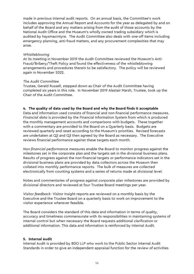made in previous internal audit reports. On an annual basis, the Committee's work includes approving the Annual Report and Accounts for the year as delegated by and on behalf of the Board and any matters arising from the audit of those accounts by the National Audit Office and the Museum's wholly owned trading subsidiary which is audited by haysmacintyre. The Audit Committee also deals with one-off items including emergency planning, anti-fraud matters, and any procurement complexities that may arise.

# *Whistleblowing*

At its meeting in November 2019 the Audit Committee reviewed the Museum's Anti-Fraud/Bribery/Theft Policy and found the effectiveness of the whistleblowing arrangements and procedures therein to be satisfactory. The policy will be reviewed again in November 2022.

#### *The Audit Committee*

Trustee, Gerald Russell, stepped down as Chair of the Audit Committee having completed six years in this role. In November 2019 Alastair Marsh, Trustee, took up the Chair of the Audit Committee.

# **4. The quality of data used by the Board and why the Board finds it acceptable**

Data and information used consists of financial and non-financial performance measures. *Financial data* is provided by the Financial Information System from which is produced the monthly management accounts and comparisons with budgets. These together with a commentary are provided to the Board on a Quarterly basis. Budgets are reviewed quarterly and reset according to the Museum's priorities. Revised forecasts are undertaken at Q2 and Q3 then agreed by the Board as necessary. The Executive reviews financial performance against these targets each month.

*Non-financial performance measures* enable the Board to monitor progress against the milestones set in the corporate plan and the targets set in the divisional business plans. Results of progress against the non-financial targets or performance indicators set in the divisional business plans are provided by data collectors across the Museum then collated into monthly performance reports. The bulk of measures are collected electronically from counting systems and a series of returns made at divisional level.

Notes and commentaries of progress against corporate plan milestones are provided by divisional directors and reviewed at four Trustee Board meetings per year.

*Visitor feedback-* Visitor Insight reports are reviewed on a monthly basis by the Executive and the Trustee Board on a quarterly basis to work on improvement to the visitor experience wherever feasible.

The Board considers the standard of this data and information in terms of quality, accuracy and timeliness commensurate with its responsibilities in maintaining systems of internal control but when necessary the Board requests additional clarification or additional information. This data and information is reinforced by Internal Audit.

# **5. Internal Audit**

Internal Audit is provided by BDO LLP who work to the Public Sector Internal Audit Standards in order to give an independent appraisal function for the review of activities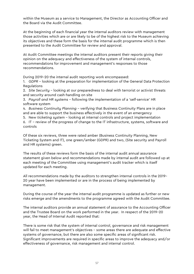within the Museum as a service to Management, the Director as Accounting Officer and the Board via the Audit Committee.

At the beginning of each financial year the internal auditors review with management those activities which are or are likely to be of the highest risk to the Museum achieving its objectives and these form the basis for the internal audit programme which is then presented to the Audit Committee for review and approval.

At Audit Committee meetings the internal auditors present their reports giving their opinion on the adequacy and effectiveness of the system of internal controls, recommendations for improvement and management's responses to those recommendations.

During 2019–20 the internal audit reporting work encompassed:

1. *GDPR* – looking at the preparation for implementation of the General Data Protection **Regulations** 

2. *Site Security* – looking at our preparedness to deal with terrorist or activist threats and security around cash-handling on site

3. *Payroll and HR systems* – following the implementation of a 'self-service' HR software system

4. *Business Continuity Planning* – verifying that Business Continuity Plans are in place and are able to support the business effectively in the event of an emergency

5. N*ew ticketing system* – looking at internal controls and project implementation

6. IT – review of the progress of change to the IT infrastructure, systems, software and controls

Of these six reviews, three were rated amber (Business Continuity Planning, New Ticketing System and IT), one green/amber (GDPR) and two, (Site security and Payroll and HR systems) green.

The results of these reviews form the basis of the internal audit annual assurance statement given below and recommendations made by internal audit are followed up at each meeting of the Committee using management's audit tracker which is itself updated for each meeting.

All recommendations made by the auditors to strengthen internal controls in the 2019– 20 year have been implemented or are in the process of being implemented by management.

During the course of the year the internal audit programme is updated as further or new risks emerge and the amendments to the programme agreed with the Audit Committee.

The internal auditors provide an annual statement of assurance to the Accounting Officer and the Trustee Board on the work performed in the year. In respect of the 2019–20 year, the Head of Internal Audit reported that:

There is some risk that the system of internal control, governance and risk management will fail to meet management's objectives – some areas there are adequate and effective systems of governance, but there are also some specific areas of significant risk. Significant improvements are required in specific areas to improve the adequacy and/or effectiveness of governance, risk management and internal control.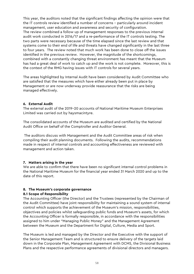This year, the auditors noted that the significant findings affecting the opinion were that the IT controls review identified a number of concerns – particularly around incident management, user education and awareness and security of configuration. The review combined a follow up of management responses to the previous internal audit work conducted in 2016/17 and a re-performance of the IT controls testing. The two parts were necessary because of the time elapsed since the last review and that systems come to their end of life and threats have changed significantly in the last three to four years. The review noted that much work has been done to close off the issues identified in the previous review. However, the magnitude of the shortcomings, combined with a constantly changing threat environment has meant that the Museum has had a great deal of work to catch up and the work is not complete. Moreover, this is the context of the RMG having issues with IT controls for several years.

The areas highlighted by Internal Audit have been considered by Audit Committee who are satisfied that the measures which have either already been put in place by Management or are now underway provide reassurance that the risks are being managed effectively.

# **6. External Audit**

The external audit of the 2019–20 accounts of National Maritime Museum Enterprises Limited was carried out by haysmacintyre.

The consolidated accounts of the Museum are audited and certified by the National Audit Office on behalf of the Comptroller and Auditor General.

The auditors discuss with Management and the Audit Committee areas of risk when compiling their audit planning documents. Following the audits, recommendations made in respect of internal controls and accounting effectiveness are reviewed with management and action taken.

# **7. Matters arising in the year**

We are able to confirm that there have been no significant internal control problems in the National Maritime Museum for the financial year ended 31 March 2020 and up to the date of this report.

# **8. The Museum's corporate governance**

# **8.1 Scope of Responsibility**

The Accounting Officer (the Director) and the Trustees (represented by the Chairman of the Audit Committee) have joint responsibility for maintaining a sound system of internal control which supports the achievement of the Museum's mission, responsibilities, objectives and policies whilst safeguarding public funds and Museum's assets, for which the Accounting Officer is formally responsible, in accordance with the responsibilities assigned to him under "Managing Public Money" and the Management Agreement between the Museum and the Department for Digital, Culture, Media and Sport.

The Museum is led and managed by the Director and the Executive with the support of the Senior Management Team and is structured to ensure delivery of the targets laid down in the Corporate Plan, Management Agreement with DCMS, the Divisional Business Plans and the respective performance agreements of divisional directors and managers.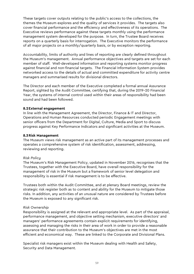These targets cover outputs relating to the public's access to the collections, the themes the Museum explores and the quality of services it provides. The targets also cover financial performance and the efficiency and effectiveness of its operations. The Executive reviews performance against these targets monthly using the performance management system developed for the purpose. In turn, the Trustee Board receives reports on a quarterly basis for interrogation. The Executive monitors the performance of all major projects on a monthly/quarterly basis, or by exception reporting.

Accountability, limits of authority and lines of reporting are clearly defined throughout the Museum's management. Annual performance objectives and targets are set for each member of staff. Well-developed information and reporting systems monitor progress against financial and non-financial targets. The Financial Information System provides networked access to the details of actual and committed expenditure for activity centre managers and summarised results for divisional directors.

The Director and each member of the Executive completed a formal annual Assurance Report, sighted by the Audit Committee, certifying that, during the 2019–20 Financial Year, the systems of internal control used within their areas of responsibility had been sound and had been followed.

# **8.2External engagement**

In line with the Management Agreement, the Director, Finance & IT and Director, Operations and Human Resources conducted periodic Engagement meetings with senior officers from the Department for Digital, Culture, Media and Sport to discuss progress against Key Performance Indicators and significant activities at the Museum.

# **8.3Risk Management**

The Museum views risk management as an active part of its management processes and operates a comprehensive system of risk identification, assessment, addressing, reviewing and reporting.

# *Risk Policy*

The Museum's Risk Management Policy, updated in November 2016, recognises that the Trustees, together with the Executive Board, have overall responsibility for the management of risk in the Museum but a framework of senior level delegation and responsibility is essential if risk management is to be effective.

Trustees both within the Audit Committee, and at plenary Board meetings, review the strategic risk register both as to content and ability for the Museum to mitigate those risks. In addition, any activities of an unusual nature are considered by Trustees before the Museum is exposed to any significant risk.

# *Risk Ownership*

Responsibility is assigned at the relevant and appropriate level. As part of the appraisal, performance management, and objective setting mechanism, executive directors' and managers' performance agreements contain explicit requirements for identifying, assessing and managing the risks in their area of work in order to provide a reasonable assurance that their contribution to the Museum's objectives are met in the most efficient and economical way. These are linked to the Corporate and Divisional Plans.

Specialist risk managers exist within the Museum dealing with Health and Safety, Security and Data Management.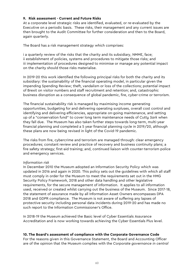# **9. Risk assessment - Current and Future Risks**

At a corporate level strategic risks are identified, evaluated, or re-evaluated by the Executive on a periodic basis. These risks, their management and any current issues are then brought to the Audit Committee for further consideration and then to the Board, again quarterly.

The Board has a risk management strategy which comprises:

i a quarterly review of the risks that the charity and its subsidiary, NMME, face; ii establishment of policies, systems and procedures to mitigate those risks; and iii implementation of procedures designed to minimise or manage any potential impact on the charity should those risks materialise.

In 2019-20 this work identified the following principal risks for both the charity and its subsidiary: the sustainability of the financial operating model, in particular given the impending Spending Review; theft, vandalism or loss of the collections; potential impact of Brexit on visitor numbers and staff recruitment and retention; and, catastrophic business disruption as a consequence of global pandemic, fire, cyber-crime or terrorism.

The financial sustainability risk is managed by maximising income generating opportunities, budgeting for and delivering operating surpluses, overall cost control and identifying and delivering efficiencies, appropriate on-going maintenance, and setting up of a "conservation fund" to cover long term maintenance needs of *Cutty Sark* when they fall due. The Museum has also taken further steps towards long-term, multi-year financial planning and completed a 5 year financial planning cycle in 2019/20, although these plans are now being revised in light of the Covid-19 pandemic.

The risks from fire, cybercrime and terrorism are managed through: clear emergency procedures; constant review and practice of recovery and business continuity plans; a fire safety strategy; first-aid training; and, continued liaison with counter-terrorism police and emergency services.

# *Information risk*

In December 2010 the Museum adopted an Information Security Policy which was updated in 2016 and again in 2020. This policy sets out the guidelines with which all staff must comply in order for the Museum to meet the requirements set out in the HMG Security Policy Framework, 2018 and other data handling and other legislative requirements, for the secure management of information. It applies to all information used, received or created whilst carrying out the business of the Museum. Since 2017-18, the statement of assurance made by all Information Asset Owners encompasses DPA 2018 and GDPR compliance. The Museum is not aware of suffering any lapses of protective security including personal data incidents during 2019-20 and has made no such report to the Information Commissioner's Office.

In 2018-19 the Museum achieved the Basic level of Cyber Essentials Assurance Accreditation and is now working towards achieving the Cyber Essentials Plus level.

# **10. The Board's assessment of compliance with the Corporate Governance Code**

For the reasons given in this Governance Statement, the Board and Accounting Officer are of the opinion that the Museum complies with the *Corporate governance in central*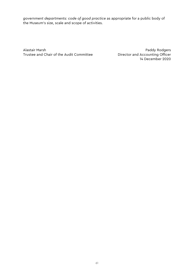*government departments: code of good practice* as appropriate for a public body of the Museum's size, scale and scope of activities.

Alastair Marsh Paddy Rodgers<br>Trustee and Chair of the Audit Committee Philophee Cirector and Accounting Officer Trustee and Chair of the Audit Committee

14 December 2020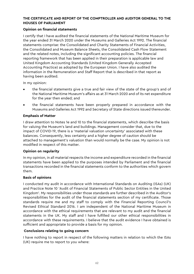# **THE CERTIFICATE AND REPORT OF THE COMPTROLLER AND AUDITOR GENERAL TO THE HOUSES OF PARLIAMENT**

# **Opinion on financial statements**

I certify that I have audited the financial statements of the National Maritime Museum for the year ended 31 March 2020 under the Museums and Galleries Act 1992. The financial statements comprise: the Consolidated and Charity Statements of Financial Activities, the Consolidated and Museum Balance Sheets, the Consolidated Cash Flow Statement and the related notes, including the significant accounting policies. The financial reporting framework that has been applied in their preparation is applicable law and United Kingdom Accounting Standards (United Kingdom Generally Accepted Accounting Practice) as adopted by the European Union. I have also audited the information in the Remuneration and Staff Report that is described in that report as having been audited.

In my opinion:

- the financial statements give a true and fair view of the state of the group's and of the National Maritime Museum's affairs as at 31 March 2020 and of its net expenditure for the year then ended; and
- the financial statements have been properly prepared in accordance with the Museums and Galleries Act 1992 and Secretary of State directions issued thereunder.

# **Emphasis of Matter**

I draw attention to Notes 1e and 10 to the financial statements, which describe the basis for valuing the Museum's land and buildings. Management consider that, due to the impact of COVID-19, there is a 'material valuation uncertainty' associated with these balances. Consequently, less certainty and a higher degree of caution should be attached to management's valuation than would normally be the case. My opinion is not modified in respect of this matter.

# **Opinion on regularity**

In my opinion, in all material respects the income and expenditure recorded in the financial statements have been applied to the purposes intended by Parliament and the financial transactions recorded in the financial statements conform to the authorities which govern them.

# **Basis of opinions**

I conducted my audit in accordance with International Standards on Auditing (ISAs) (UK) and Practice Note 10 'Audit of Financial Statements of Public Sector Entities in the United Kingdom'. My responsibilities under those standards are further described in the Auditor's responsibilities for the audit of the financial statements section of my certificate. Those standards require me and my staff to comply with the Financial Reporting Council's Revised Ethical Standard 2016. I am independent of the National Maritime Museum in accordance with the ethical requirements that are relevant to my audit and the financial statements in the UK. My staff and I have fulfilled our other ethical responsibilities in accordance with these requirements. I believe that the audit evidence I have obtained is sufficient and appropriate to provide a basis for my opinion.

# **Conclusions relating to going concern**

I have nothing to report in respect of the following matters in relation to which the ISAs (UK) require me to report to you where: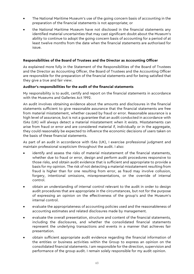- The National Maritime Museum's use of the going concern basis of accounting in the preparation of the financial statements is not appropriate; or
- the National Maritime Museum have not disclosed in the financial statements any identified material uncertainties that may cast significant doubt about the Museum's ability to continue to adopt the going concern basis of accounting for a period of at least twelve months from the date when the financial statements are authorised for issue.

# **Responsibilities of the Board of Trustees and the Director as Accounting Officer**

As explained more fully in the Statement of the Responsibilities of the Board of Trustees and the Director as Accounting Officer, the Board of Trustees and the Accounting Officer are responsible for the preparation of the financial statements and for being satisfied that they give a true and fair view.

# **Auditor's responsibilities for the audit of the financial statements**

My responsibility is to audit, certify and report on the financial statements in accordance with the Museums and Galleries Act 1992.

An audit involves obtaining evidence about the amounts and disclosures in the financial statements sufficient to give reasonable assurance that the financial statements are free from material misstatement, whether caused by fraud or error. Reasonable assurance is a high level of assurance, but is not a guarantee that an audit conducted in accordance with ISAs (UK) will always detect a material misstatement when it exists. Misstatements can arise from fraud or error and are considered material if, individually or in the aggregate, they could reasonably be expected to influence the economic decisions of users taken on the basis of these financial statements.

As part of an audit in accordance with ISAs (UK), I exercise professional judgment and maintain professional scepticism throughout the audit. I also:

- identify and assess the risks of material misstatement of the financial statements, whether due to fraud or error, design and perform audit procedures responsive to those risks, and obtain audit evidence that is sufficient and appropriate to provide a basis for my opinion. The risk of not detecting a material misstatement resulting from fraud is higher than for one resulting from error, as fraud may involve collusion, forgery, intentional omissions, misrepresentations, or the override of internal control.
- obtain an understanding of internal control relevant to the audit in order to design audit procedures that are appropriate in the circumstances, but not for the purpose of expressing an opinion on the effectiveness of the group's and the Museum's internal control.
- evaluate the appropriateness of accounting policies used and the reasonableness of accounting estimates and related disclosures made by management.
- evaluate the overall presentation, structure and content of the financial statements, including the disclosures, and whether the consolidated financial statements represent the underlying transactions and events in a manner that achieves fair presentation.
- obtain sufficient appropriate audit evidence regarding the financial information of the entities or business activities within the Group to express an opinion on the consolidated financial statements. I am responsible for the direction, supervision and performance of the group audit. I remain solely responsible for my audit opinion.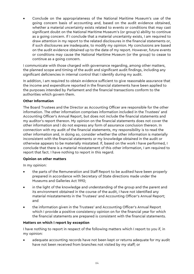• Conclude on the appropriateness of the National Maritime Museum's use of the going concern basis of accounting and, based on the audit evidence obtained, whether a material uncertainty exists related to events or conditions that may cast significant doubt on the National Maritime Museum's (or group's) ability to continue as a going concern. If I conclude that a material uncertainty exists, I am required to draw attention in my report to the related disclosures in the financial statements or, if such disclosures are inadequate, to modify my opinion. My conclusions are based on the audit evidence obtained up to the date of my report. However, future events or conditions may cause the National Maritime Museum (or the group) to cease to continue as a going concern.

I communicate with those charged with governance regarding, among other matters, the planned scope and timing of the audit and significant audit findings, including any significant deficiencies in internal control that I identify during my audit.

In addition, I am required to obtain evidence sufficient to give reasonable assurance that the income and expenditure reported in the financial statements have been applied to the purposes intended by Parliament and the financial transactions conform to the authorities which govern them.

# **Other Information**

The Board Trustees and the Director as Accounting Officer are responsible for the other information. The other information comprises information included in the Trustees' and Accounting Officer's Annual Report, but does not include the financial statements and my auditor's report thereon. My opinion on the financial statements does not cover the other information and I do not express any form of assurance conclusion thereon. In connection with my audit of the financial statements, my responsibility is to read the other information and, in doing so, consider whether the other information is materially inconsistent with the financial statements or my knowledge obtained in the audit or otherwise appears to be materially misstated. If, based on the work I have performed, I conclude that there is a material misstatement of this other information, I am required to report that fact. I have nothing to report in this regard.

# **Opinion on other matters**

In my opinion:

- the parts of the Remuneration and Staff Report to be audited have been properly prepared in accordance with Secretary of State directions made under the Museums and Galleries Act 1992;
- in the light of the knowledge and understanding of the group and the parent and its environment obtained in the course of the audit, I have not identified any material misstatements in the Trustees' and Accounting Officer's Annual Report; and
- the information given in the Trustees' and Accounting Officer's Annual Report which I provide a positive consistency opinion on for the financial year for which the financial statements are prepared is consistent with the financial statements.

# **Matters on which I report by exception**

I have nothing to report in respect of the following matters which I report to you if, in my opinion:

adequate accounting records have not been kept or returns adequate for my audit have not been received from branches not visited by my staff; or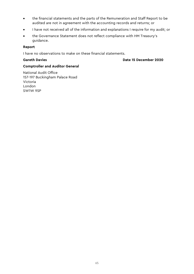- the financial statements and the parts of the Remuneration and Staff Report to be audited are not in agreement with the accounting records and returns; or
- I have not received all of the information and explanations I require for my audit; or
- the Governance Statement does not reflect compliance with HM Treasury's guidance.

# **Report**

I have no observations to make on these financial statements.

#### **Gareth Davies Date 15 December 2020**

# **Comptroller and Auditor General**

National Audit Office 157-197 Buckingham Palace Road Victoria London SW1W 9SP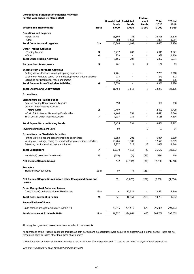| <b>Consolidated Statement of Financial Activities</b><br>For the year ended 31 March 2020 |                         | <b>Unrestricted</b><br><b>Funds</b> | <b>Restricted</b><br><b>Funds</b> | <b>Endow-</b><br>ment<br><b>Funds</b> | <b>Total</b><br>2020 | * Total<br>2019 |
|-------------------------------------------------------------------------------------------|-------------------------|-------------------------------------|-----------------------------------|---------------------------------------|----------------------|-----------------|
| <b>Income and Endowments</b>                                                              | <b>Note</b>             | £'000                               | £'000                             | £'000                                 | £'000                | £'000           |
| <b>Donations and Legacies</b>                                                             |                         |                                     |                                   |                                       |                      |                 |
| - Grant in Aid                                                                            |                         | 16,540                              | 58                                |                                       | 16,598               | 15,870          |
| - Other                                                                                   |                         | 308                                 | 1,551                             |                                       | 1,859                | 1,614           |
| <b>Total Donations and Legacies</b>                                                       | 2.a                     | 16,848                              | 1,609                             | $\blacksquare$                        | 18,457               | 17,484          |
| <b>Other Trading Activities</b>                                                           |                         |                                     |                                   |                                       |                      |                 |
| - Trading Income                                                                          | 3                       | 5,217                               | 202                               |                                       | 5,419                | 4,671           |
| - Other                                                                                   | 4                       | 938                                 |                                   |                                       | 938                  | 1,960           |
| <b>Total Other Trading Activities</b>                                                     |                         | 6,155                               | 202                               | $\blacksquare$                        | 6,357                | 6,631           |
| <b>Income from Investments</b>                                                            | 5                       | 101                                 | $\mathbf{1}$                      | 7                                     | 109                  | 85              |
| <b>Income from Charitable Activities</b>                                                  |                         |                                     |                                   |                                       |                      |                 |
| Putting Visitors First and creating inspiring experiences                                 |                         | 7,761                               |                                   |                                       | 7,761                | 7,318           |
| Valuing our Heritage, caring for and developing our unique collection                     |                         | 273                                 |                                   |                                       | 273                  | 272             |
| Extending our Reputation, reach and impact                                                |                         | 316                                 |                                   |                                       | 316                  | 336             |
| <b>Total Income from Charitable Activities</b>                                            | 6                       | 8,350                               |                                   |                                       | 8,350                | 7,926           |
| <b>Total Income and Endowments</b>                                                        |                         | 31,454                              | 1,812                             | $\overline{7}$                        | 33,273               | 32,126          |
| <b>Expenditure</b>                                                                        |                         |                                     |                                   |                                       |                      |                 |
| <b>Expenditure on Raising Funds</b>                                                       |                         |                                     |                                   |                                       |                      |                 |
| Costs of Raising Donations and Legacies                                                   |                         | 498                                 |                                   |                                       | 498                  | 398             |
| Costs of Other Trading Activities                                                         |                         |                                     |                                   |                                       |                      |                 |
| - Trading Costs                                                                           | 3                       | 3,497                               |                                   |                                       | 3,497                | 2,770           |
| - Cost of Activities for Generating Funds, other                                          |                         | 4,440                               | 231                               |                                       | 4,671                | 5,044           |
| <b>Total Cost of Other Trading Activities</b>                                             | $\overline{\mathbf{z}}$ | 7,937                               | 231                               | $\blacksquare$                        | 8,168                | 7,814           |
| <b>Total Expenditure on Raising Funds</b>                                                 |                         | 8,435                               | 231                               | $\blacksquare$                        | 8,666                | 8,212           |
| <b>Investment Management Costs</b>                                                        |                         | 59                                  |                                   | $\overline{2}$                        | 61                   | 54              |
| <b>Expenditure on Charitable Activities</b>                                               |                         |                                     |                                   |                                       |                      |                 |
| Putting Visitors First and creating inspiring experiences                                 |                         | 6,683                               | 201                               |                                       | 6,884                | 5,230           |
| Valuing our Heritage, caring for and developing our unique collection                     |                         | 13,266                              | 4,307                             |                                       | 17,573               | 17,289          |
| Extending our Reputation, reach and impact                                                |                         | 2,227                               | 213                               | 18                                    | 2,458                | 2,548           |
| <b>Total Expenditure</b>                                                                  | $\overline{\mathbf{z}}$ | 30,670                              | 4,952                             | 20                                    | 35,642               | 33,333          |
| Net Gains/(Losses) on Investments                                                         | 13                      | (352)                               | (4)                               | (33)                                  | (389)                | 149             |
| <b>Net Income/(Expenditure)</b>                                                           |                         | 432                                 | (3, 144)                          | (46)                                  | (2,758)              | (1,058)         |
| <b>Transfers</b>                                                                          |                         |                                     |                                   |                                       |                      |                 |
| Transfers between funds                                                                   | 19.a                    | 89                                  | 74                                | (163)                                 |                      |                 |
|                                                                                           |                         |                                     |                                   |                                       |                      |                 |
| Net Income/(Expenditure) before other Recognised Gains and<br><b>Losses</b>               |                         | 521                                 | (3,070)                           | (209)                                 | (2,758)              | (1,058)         |
| <b>Other Recognised Gains and Losses</b>                                                  |                         |                                     |                                   |                                       |                      |                 |
| Gains/(Losses) on Revaluation of Fixed Assets                                             | 10.a                    | ۰                                   | 13,521                            |                                       | 13,521               | 2,740           |

| <b>Total Net Movement in Funds</b>            | g    | 521    | 10,451  | (209) | 10,763  | 1,682   |
|-----------------------------------------------|------|--------|---------|-------|---------|---------|
| <b>Reconciliation of Funds</b>                |      |        |         |       |         |         |
| Funds balance brought forward at 1 April 2019 |      | 20,816 | 274,510 | 679   | 296,005 | 294,323 |
| <b>Funds balance at 31 March 2020</b>         | 19.a | 21,337 | 284,961 | 470   | 306,768 | 296,005 |

All recognised gains and losses have been included in the accounts.

\* The Statement of Financial Activities includes a re-classification of management and IT costs as per note 7 Analysis of total expenditure

The notes on pages 70 to 88 form part of these accounts.

All operations of the Museum continued throughout both periods and no operations were acquired or discontinued in either period. There are no recognised gains or losses other than those shown above.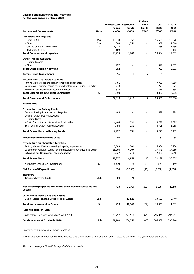# **Charity Statement of Financial Activities**

**For the year ended 31 March 2020**

|                                                                       |             |                                                |                | Endow-                   |                      |                 |
|-----------------------------------------------------------------------|-------------|------------------------------------------------|----------------|--------------------------|----------------------|-----------------|
|                                                                       |             | <b>Unrestricted Restricted</b><br><b>Funds</b> | <b>Funds</b>   | ment<br><b>Funds</b>     | <b>Total</b><br>2020 | * Total<br>2019 |
| <b>Income and Endowments</b>                                          | <b>Note</b> | £'000                                          | £'000          | £'000                    | £'000                | £'000           |
| <b>Donations and Legacies</b>                                         |             |                                                |                |                          |                      |                 |
| - Grant in Aid                                                        | 2.a         | 16,540                                         | 58             | -                        | 16,598               | 15,870          |
| - Other                                                               | 2.a         | 308                                            | 1,551          |                          | 1,859                | 1,614           |
| - Gift Aid donation from NMME                                         | 3           | 1,438                                          |                |                          | 1,438                | 1,739           |
| - Recharges NMME                                                      |             | 189                                            |                | $\blacksquare$           | 189                  | 166             |
| <b>Total Donations and Legacies</b>                                   |             | 18,475                                         | 1,609          | ۰                        | 20,084               | 19,389          |
| <b>Other Trading Activities</b>                                       |             |                                                |                |                          |                      |                 |
| - Trading Income                                                      |             |                                                |                |                          |                      |                 |
| - Other                                                               |             | 992                                            |                |                          | 992                  | 2,002           |
| <b>Total Other Trading Activities</b>                                 |             | 992                                            | $\blacksquare$ | $\overline{\phantom{0}}$ | 992                  | 2,002           |
| <b>Income from Investments</b>                                        |             | 96                                             | $\mathbf{1}$   | $\overline{7}$           | 104                  | 81              |
| <b>Income from Charitable Activities</b>                              |             |                                                |                |                          |                      |                 |
| Putting Visitors First and creating inspiring experiences             |             | 7,761                                          |                |                          | 7,761                | 7,318           |
| Valuing our Heritage, caring for and developing our unique collection |             | 273                                            |                |                          | 273                  | 272             |
| Extending our Reputation, reach and impact                            |             | 316                                            |                | $\overline{\phantom{a}}$ | 316                  | 336             |
| <b>Total Income from Charitable Activities</b>                        | 6           | 8,350                                          | $\blacksquare$ | $\blacksquare$           | 8,350                | 7,926           |
| <b>Total Income and Endowments</b>                                    |             | 27,913                                         | 1,610          | $\overline{7}$           | 29,530               | 29,398          |
| <b>Expenditure</b>                                                    |             |                                                |                |                          |                      |                 |
| <b>Expenditure on Raising Funds</b>                                   |             |                                                |                |                          |                      |                 |
| Costs of Raising Donations and Legacies                               |             | 498                                            |                |                          | 498                  | 398             |
| Costs of Other Trading Activities                                     |             |                                                |                |                          |                      |                 |
| - Trading Costs                                                       |             |                                                |                |                          |                      |                 |
| - Cost of Activities for Generating Funds, other                      |             | 4,494                                          | 231            |                          | 4,725                | 5,085           |
| <b>Total Cost of Other Trading Activities</b>                         |             | 4,494                                          | 231            | ۰.                       | 4,725                | 5,085           |
| <b>Total Expenditure on Raising Funds</b>                             |             | 4,992                                          | 231            |                          | 5,223                | 5,483           |
| <b>Investment Management Costs</b>                                    |             | 59                                             |                | $\overline{2}$           | 61                   | 54              |
| <b>Expenditure on Charitable Activities</b>                           |             |                                                |                |                          |                      |                 |
| Putting Visitors First and creating inspiring experiences             |             | 6,683                                          | 201            |                          | 6,884                | 5,230           |
| Valuing our Heritage, caring for and developing our unique collection |             | 13,266                                         | 4,307          |                          | 17,573               | 17,289          |
| Extending our Reputation, reach and impact                            |             | 2,227                                          | 213            | 18                       | 2,458                | 2,548           |
| <b>Total Expenditure</b>                                              |             | 27,227                                         | 4,952          | 20                       | 32,199               | 30,605          |
| Net Gains/(Losses) on Investments                                     | 13          | (352)                                          | (4)            | (33)                     | (389)                | 149             |
| <b>Net Income/(Expenditure)</b>                                       |             | 334                                            | (3, 346)       | (46)                     | (3,058)              | (1,058)         |
| <b>Transfers</b>                                                      |             |                                                |                |                          |                      |                 |
| Transfers between funds                                               | 19.b        | 89                                             | 74             | (163)                    |                      |                 |
| Net Income/(Expenditure) before other Recognised Gains and            |             | 423                                            | (3, 272)       | (209)                    | (3,058)              | (1,058)         |
| <b>Losses</b>                                                         |             |                                                |                |                          |                      |                 |

| <b>Other Recognised Gains and Losses</b><br>Gains/(Losses) on Revaluation of Fixed Assets | 10.a | $\overline{\phantom{a}}$ | 13,521  | $\overline{\phantom{a}}$ | 13,521  | 2,740   |
|-------------------------------------------------------------------------------------------|------|--------------------------|---------|--------------------------|---------|---------|
| <b>Total Net Movement in Funds</b>                                                        | 9    | 423                      | 10,249  | (209)                    | 10,463  | 1,682   |
| <b>Reconciliation of Funds</b>                                                            |      |                          |         |                          |         |         |
| Funds balance brought forward at 1 April 2019                                             |      | 20,757                   | 274,510 | 679                      | 295,946 | 294,264 |
| <b>Funds balance at 31 March 2020</b>                                                     | 19.b | 21,180                   | 284,759 | 470                      | 306,409 | 295,946 |

Prior year comparatives are shown in note 28

\* The Statement of Financial Activities includes a re-classification of management and IT costs as per note 7 Analysis of total expenditure

The notes on pages 70 to 88 form part of these accounts.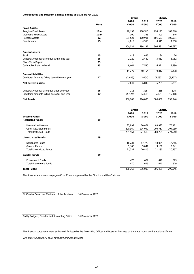#### **Consolidated and Museum Balance Sheets as at 31 March 2020**

|                                                |             | <b>Group</b> |         | <b>Charity</b> |          |
|------------------------------------------------|-------------|--------------|---------|----------------|----------|
|                                                |             | 2020         | 2019    | 2020           | 2019     |
|                                                | <b>Note</b> | £'000        | £'000   | £'000          | £'000    |
| <b>Fixed Assets</b>                            |             |              |         |                |          |
| <b>Tangible Fixed Assets</b>                   | 10.a        | 198,193      | 188,510 | 198,193        | 188,510  |
| <b>Intangible Fixed Assets</b>                 | 10.b        | 300          | 346     | 300            | 346      |
| Heritage Assets                                | 12          | 101,523      | 100,991 | 101,523        | 100,991  |
| <b>Investments</b>                             | 13          | 4,015        | 4,350   | 4,515          | 4,850    |
|                                                |             | 304,031      | 294,197 | 304,531        | 294,697  |
| <b>Current assets</b>                          |             |              |         |                |          |
| <b>Stock</b>                                   | 15          | 418          | 435     | 84             | 76       |
| Debtors: Amounts falling due within one year   | 16          | 2,220        | 2,489   | 3,412          | 3,962    |
| Short-Term Deposit                             | 23          |              |         |                |          |
| Cash at bank and in hand                       | 23          | 8,641        | 7,530   | 6,321          | 5,390    |
|                                                |             | 11,279       | 10,454  | 9,817          | 9,428    |
| <b>Current liabilities</b>                     |             |              |         |                |          |
| Creditors: Amounts falling due within one year | 17          | (3,636)      | (3,604) | (3,033)        | (3, 137) |
| <b>Net current assets</b>                      |             | 7,643        | 6,849   | 6,784          | 6,291    |
| Debtors: Amounts falling due after one year    | 16          | 218          | 326     | 218            | 326      |
| Creditors: Amounts falling due after one year  | 17          | (5, 124)     | (5,368) | (5, 124)       | (5,368)  |
| <b>Net Assets</b>                              |             | 306,768      | 296,005 | 306,409        | 295,946  |
|                                                |             |              |         |                |          |
|                                                |             | <b>Group</b> |         | <b>Charity</b> |          |
|                                                |             | 2020         | 2019    | 2020           | 2019     |
| <b>Income Funds</b>                            |             | £'000        | £'000   | £'000          | £'000    |
| <b>Restricted funds:</b>                       | 19          |              |         |                |          |
| <b>Revaluation Reserve</b>                     |             | 83,992       | 70,471  | 83,992         | 70,471   |
| <b>Other Restricted Funds</b>                  |             | 200,969      | 204,039 | 200,767        | 204,039  |
| <b>Total Restricted Funds</b>                  |             | 284,961      | 274,510 | 284,759        | 274,510  |
| <b>Unrestricted funds:</b>                     | 19          |              |         |                |          |
| <b>Designated Funds</b>                        |             | 18,231       | 17,775  | 18,074         | 17,716   |
| <b>General Funds</b>                           |             | 3,106        | 3,041   | 3,106          | 3,041    |
| <b>Total Unrestricted Funds</b>                |             | 21,337       | 20,816  | 21,180         | 20,757   |
| <b>Capital Funds</b>                           | 19          |              |         |                |          |
| <b>Endowment Funds</b>                         |             | 470          | 679     | 470            | 679      |
| <b>Total Endowment Funds</b>                   |             | 470          | 679     | 470            | 679      |
| <b>Total Funds</b>                             |             | 306,768      | 296,005 | 306,409        | 295,946  |

The financial statements on pages 66 to 88 were approved by the Director and the Chairman.

Sir Charles Dunstone, Chairman of the Trustees 14 December 2020

Paddy Rodgers, Director and Accounting Officer 14 December 2020

The financial statements were authorised for issue by the Accounting Officer and Board of Trustees on the date shown on the audit certificate.

The notes on pages 70 to 88 form part of these accounts.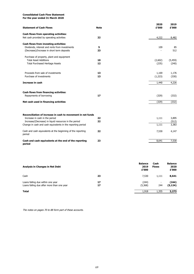**Consolidated Cash Flow Statement For the year ended 31 March 2020**

| <b>Statement of Cash Flows</b>                                        | <b>Note</b> | 2020<br>£'000 | 2019<br>£'000 |
|-----------------------------------------------------------------------|-------------|---------------|---------------|
| <b>Cash flows from operating activities:</b>                          |             |               |               |
| Net cash provided by operating activities                             | 22          | 4,222         | 8,482         |
| <b>Cash flows from investing activities:</b>                          |             |               |               |
| Dividends, interest and rents from investments                        | 5           | 109           | 85            |
| (Decrease)/Increase in short term deposits                            | 23          |               | 512           |
| Purchase of property, plant and equipment                             |             |               |               |
| <b>Total Asset Additions</b>                                          | 10          | (2,602)       | (5, 459)      |
| <b>Total Purchased Heritage Assets</b>                                | 12          | (235)         | (240)         |
| Proceeds from sale of investments                                     | 13          | 1,169         | 1,176         |
| Purchase of investments                                               | 13          | (1,223)       | (330)         |
|                                                                       |             |               |               |
| <b>Increase in cash</b>                                               |             | 1,440         | 4,226         |
| <b>Cash flows from financing activities:</b>                          |             |               |               |
| Repayments of borrowing                                               | 17          | (329)         | (332)         |
|                                                                       |             |               |               |
| Net cash used in financing activities                                 |             | (329)         | (332)         |
|                                                                       |             |               |               |
| Reconciliation of increase in cash to movement in net funds           |             |               |               |
| Increase in cash in the period                                        | 22          | 1,111         | 3,895         |
| Increase/(Decrease) in liquid resources in the period                 | 22          |               | (512)         |
| Change in cash and cash equivalents in the reporting period           |             | 1,111         | 3,383         |
| Cash and cash equivalents at the beginning of the reporting<br>period | 22          | 7,530         | 4,147         |
| Cash and cash equivalents at the end of the reporting                 | 23          | 8,641         | 7,530         |
| period                                                                |             |               |               |

| <b>Analysis in Changes in Net Debt</b>                                          |          | <b>Balance</b><br>2019<br>£'000 | Cash<br><b>Flows</b> | <b>Balance</b><br>2020<br>£'000 |
|---------------------------------------------------------------------------------|----------|---------------------------------|----------------------|---------------------------------|
| Cash                                                                            | 23       | 7,530                           | 1,111                | 8,641                           |
| Loans falling due within one year<br>Loans falling due after more than one year | 17<br>17 | (244)<br>(5,368)                | $\sim$<br>244        | (244)<br>(5, 124)               |
| <b>Total</b>                                                                    |          | 1,918                           | 1,355                | 3,273                           |

The notes on pages 70 to 88 form part of these accounts.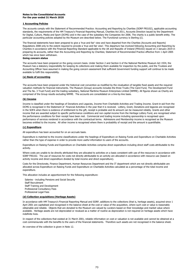## **Notes to the Consolidated Accounts For the year ended 31 March 2020**

## **1 Accounting Policies**

### **Going concern status**

## **(a) Basis of accounting**

#### **(b) Income**

## **(c) Expenditure**

All expenditure has been accounted for on an accruals basis.

This allocation includes an apportionment for the following expenditure:

Salaries - including Pensions and Social Security Staff Recruitment Staff Training and Development Professional Consultancy Fees Professional Legal Fees

## **(d) Collection acquisitions (Heritage Assets)**

An overview of the collection is given in Note 12.

Costs for the Directorate, Finance Department, Human Resources Department and the IT department which are not directly attributable are allocated across Expenditure on Raising Funds and Expenditure on Charitable Activities calculated as a percentage of the total income and expenditure.

The accounts comply with the Statement of Recommended Practice: Accounting and Reporting by Charities (SORP FRS102), applicable accounting standards, the requirements of the HM Treasury's Financial Reporting Manual, Charities Act 2011, Accounts Direction issued by the Department for Digital, Culture, Media and Sport (DCMS) and in the case of the subsidiary the Companies Act 2006. The charity is a public benefit entity. The particular accounting policies adopted by the Museum are described below. The Functional currency is Sterling  $(E)$ .

In accordance with HM Treasury's Financial Reporting Manual and SORP, additions to the collections (that is, heritage assets), acquired since 1 April 2001 are capitalised and recognised in the balance sheet at the cost or value of the acquisition, where such cost or value is reasonably obtainable and reliable. Objects that are donated to the Museum are valued by curators based on their knowledge and market value where available. Heritage assets are not depreciated or revalued as a matter of routine as depreciation is not required on heritage assets which have indefinite lives.

In respect of the collections that existed at 31 March 2001, reliable information on cost or valuation is not available and cannot be obtained at a cost commensurate with the benefits to the users of the financial statements. Therefore such assets are not recognised in the balance sheet.

The accounts have been prepared under the historical cost convention as modified by the revaluation of tangible fixed assets and the required valuation methods for financial instruments. The Museum (Group) accounts includes the three Trusts (The Caird Fund, The Development Fund and The No. 3 Trust Fund) and the trading subsidiary, National Maritime Museum Enterprises Limited (NMME). All figures shown as Charity are comprised of the Group results excluding NMME. The accounts are consolidated on a line-by-line basis.

Income is classified under the headings of Donations and Legacies, Income from Charitable Activities and Trading Income. Grant-in-aid from the DCMS is recognised in the Statement of Financial Activities in the year that it is received. Lottery, Grant, Donations and legacies are recognised in the SOFA when there is evidence of entitlement to the gift, receipt is probable and its amount can be measured reliably. Grants and other income that are awarded subject to specific performance conditions and non capital income from the Heritage Lottery Fund, are recognised when the performance conditions for their receipt have been met. Commercial and trading income including sponsorship is recognised upon performance of services rendered in accordance with the contractual terms. Admissions and Membership income is recognised as the Museum becomes entitled to the income. All other income is recognised where there is probability of receipt and the amount is quantifiable.

Expenditure is matched to the income classifications under the headings of Expenditure on Raising Funds and Expenditure on Charitable Activities rather than the type of expense in order to provide more useful information to users of the accounts.

Expenditure on Raising Funds and Expenditure on Charitable Activities comprise direct expenditure including direct staff costs attributable to the activity.

Where costs are unable to be directly attributed they are allocated to activities on a basis consistent with use of the resources in accordance with SORP FRS102. The use of resources for costs not directly attributable to an activity are allocated in accordance with resource use (based on activity income and direct expenditure divided by total income and direct expenditure).

The financial statements have been prepared to give a 'true and fair' view and have departed from the Charities (Accounts and Reports) Regulations 2008 only to the extent required to provide a 'true and fair view'. This departure has involved following Accounting and Reporting by Charities in accordance with the Financial Reporting Standard applicable to the UK and Republic of Ireland (FRS102) issued on 3 January 2019 in preparing its accounts, rather than the Accounting and Reporting by Charities; Statement of Recommended Practice effective from 1 April 2005 which has since been withdrawn.

The accounts have been prepared on the going concern basis. Under Section 2 and Section 6 of the National Maritime Museum Act 1934, the Museum has a statutory responsibility for keeping its collections and making them available for inspection by the public, and the Trustees and Accounting Officer have assumed in making the going concern assessment that sufficient Government funding support will continue to be made available to fulfil this responsibility.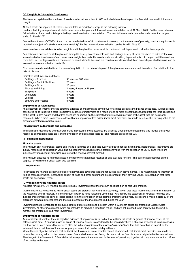## **(e) Tangible & Intangible fixed assets**

All fixed assets are reported at cost less accumulated depreciation, except in the following instance:

No revaluation is undertaken for other tangible and intangible fixed assets as it is considered that depreciated cost value is appropriate.

Indicative asset lives are as follows:

| <b>Buildings - Structure</b>  | 50 years or 100 years        |
|-------------------------------|------------------------------|
| Buildings - Plant & Machinery | 20 years                     |
| Buildings - Fit out           | 20 years                     |
| <b>Fixtures and fittings</b>  | 2 years, 4 years or 10 years |
| Equipment                     | 4 years                      |
| Computers                     | 4 years                      |
| <b>Vehicles</b>               | 4 years                      |
| Software and Website          | 4 years                      |
|                               |                              |

#### **Impairment of fixed assets**

#### **(f) Significant judgements and estimates**

## **(g) Financial instruments**

#### **Financial assets**

## **i. Receivables**

#### **ii. Available for sale financial assets**

Available for sale ("AFS") financial assets are mainly investments that the Museum does not plan to hold until maturity.

#### **Impairment of financial assets**

The significant judgements and estimates made in preparing these accounts are disclosed throughout the document, and include those with respect to depreciation (note 1(e)) and the valuation of fixed assets (note 10) and heritage assets (note 12).

The Museum capitalises the purchase of assets which cost more than  $£1,000$  and which have lives beyond the financial year in which they are bought.

The Museum only has financial assets and financial liabilities of a kind that qualify as basic financial instruments. Basic financial instruments are initially recognised at transaction value and subsequently measured at their settlement value with the exception of DCMS loans which are subsequently measured at amortised cost using the effective interest method.

The Museum classifies its financial assets in the following categories: receivables and available-for-sale. The classification depends on the purpose for which the financial asset was acquired.

Receivables are financial assets with fixed or determinable payments that are not quoted in an active market. The Museum has no intention of trading these receivables. Receivables consist of trade and other debtors and are recorded at their carrying values, in recognition that these assets fall due within 1 year.

Land and buildings are professionally fully valued every five years; a full valuation was undertaken as at 31 March 2017. In the years between full valuations of land and buildings a desktop based revaluation is undertaken. The next full valuation is due to be undertaken for the year ended 31 March 2022.

Due to the outbreak of COVID-19, and the unprecedented set of circumstances it presents, the the valuation of property, plant and equipment is reported as subject to 'material valuation uncertainty'. Further information on valuation can be found in Note 10.

Depreciation is provided on all tangible and intangible assets, except freehold land and heritage assets, at rates calculated to write off the cost less estimated residual value of each asset on a straight line basis. For assets under construction, depreciation is not charged until the asset has come into use. Heritage assets are considered to have indefinite lives and are therefore not depreciated. Land is not depreciated because land is assumed to have an unlimited useful life.

Investments that are treated as AFS financial assets are stated at fair value (market value). Given that these investments are small in relation to the Museum's overall reserves, it is the Museum's policy to keep valuations up to date. As a result, the Statement of Financial Activities only includes those unrealised gains or losses arising from the revaluation of the portfolio throughout the year. Disclosure is made in Note 13 of the difference between historical cost and the sale proceeds of the investments sold during the year.

Investments that are intended to produce a return, but are available to be spent within a 12 month period are treated as Current Asset investments. All other investments, which are intended to produce a long term return, and are not intended to be spent within the next 12 months, are treated as Fixed Asset investments.

An assessment of whether there is objective evidence of impairment is carried out for all financial assets or groups of financial assets at the balance sheet date. A financial asset, or group of financial assets, is considered to be impaired if there is objective evidence of impairment as a result of one or more events that occurred after the initial recognition of the asset (a 'loss event') and that loss event has an impact on the estimated future cash flows of the asset or group of assets that can be reliably estimated.

Where there is objective evidence that an impairment loss exists on receivables carried at amortised cost, impairment provisions are made to reduce the carrying value to the present value of estimated future cash flows, discounted at the financial asset's original effective interest rate. The charge to the Statement of Financial Activities represents the movement in the level of provisions, together with any amounts written off, net of recoveries in the year.

Fixed assets are depreciated from the date of acquisition to the date of disposal, Intangible assets are amortised from date of acquisition to the date of disposal.

An assessment of whether there is objective evidence of impairment is carried out for all fixed assets at the balance sheet date. A fixed asset is considered to be impaired if there is objective evidence of impairment as a result of one or more events that occurred after the initial recognition of the asset (a 'loss event') and that loss event has an impact on the estimated future recoverable value of the asset that can be reliably estimated. Where there is objective evidence that an impairment loss exists, impairment provisions are made to reduce the carrying value to the present estimated recoverable value.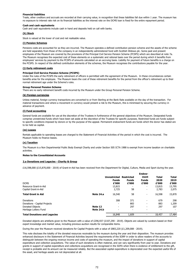## **Financial liabilities**

### **Cash and cash equivalents**

Cash and cash equivalents include cash in hand and deposits held on call with banks.

## **(h) Stock**

Stock is valued at the lower of cost and net realisable value.

### **(i) Pension Schemes**

#### **(j) Early retirement costs**

### **Principal Civil Service Pension Scheme (PCSPS)**

#### **Group Personal Pension Scheme**

### **(k) Foreign currencies**

#### **(l) Fund accounting**

## **(m) Leases**

## **(n) Taxation**

#### **Notes to the Consolidated Accounts**

#### **2.a Donations and Legacies - Charity & Group**

£16,598,000 (£15,870,000 - 2019) of Grant-in-Aid has been received from the Department for Digital, Culture, Media and Sport during the year.

|                       |                                | <b>Endow-</b> |                |              |              |  |  |  |
|-----------------------|--------------------------------|---------------|----------------|--------------|--------------|--|--|--|
|                       | <b>Unrestricted Restricted</b> |               | ment           | <b>Total</b> | <b>Total</b> |  |  |  |
|                       | <b>Funds</b>                   | <b>Funds</b>  | <b>Funds</b>   | 2020         | 2019         |  |  |  |
| <b>DCMS</b>           | £'000                          | £'000         | £'000          | £'000        | £'000        |  |  |  |
| Resource Grant-in-Aid | 13,815                         | $\sim$        | $\sim$         | 13,815       | 13,795       |  |  |  |
| Capital Grant-in-Aid  | 2,725                          | 58            | $\blacksquare$ | 2,783        | 2,075        |  |  |  |

| <b>Total Grant in Aid</b>           | Note 24.a | 16,540                   | 58                       | ۰. | 16,598 | 15,870 |
|-------------------------------------|-----------|--------------------------|--------------------------|----|--------|--------|
| Donations                           |           | 308                      | 371                      | -  | 679    | 298    |
| Donations - Capital Projects        |           | $\overline{\phantom{a}}$ | 883                      | -  | 883    | 1,209  |
| Donated Objects                     | Note 12   | $\sim$                   | 297                      | -  | 297    | 107    |
| Heritage Lottery Fund               | Note 24.b | $\overline{\phantom{0}}$ | $\overline{\phantom{0}}$ | -  |        |        |
| <b>Total Donations and Legacies</b> |           | 16,848                   | 1,609                    |    | 18,457 | 17,484 |

Under the rules of the PCSPS the early retirement of officers is permitted with the agreement of the Museum. In these circumstances certain benefits arise for the employee. The Museum bears the cost of these retirement benefits for the period from the officer's retirement up to their normal retirement age under the Scheme's rules.

There are no early retirement benefit costs incurred by the Museum under the Group Personal Pension Scheme.

Unless material, foreign currency transactions are converted to or from Sterling at the Bank Rate available on the day of the transaction. For material transactions and where a movement in currency would present a risk to the Museum, this is minimised by securing the currency in advance of payment.

General funds are available for use at the discretion of the Trustees in furtherance of the general objectives of the Museum. Designated funds comprise unrestricted funds which have been set aside at the discretion of the Trustees for specific purposes. Restricted funds are funds subject to specific conditions imposed by donors or by the purpose of the appeal. Permanent endowment funds are funds which the donor has stated are to be held as capital.

Rentals applicable to operating leases are charged to the Statement of Financial Activities of the period in which the cost is incurred. The Museum holds no finance leases.

The Museum is a Non Departmental Public Body Exempt Charity and under Section 505 ICTA 1988 is exempt from income taxation on charitable activities.

Donated objects are artefacts given to the Museum with a value of £296,937 (£107,290 - 2019). Objects are valued by curators based on their expert knowledge and market value, including previous auction results for comparable items.

During the year the Museum received donations for Capital Projects with a value of £883,220 (£1,209,008 - 2019).

This note discloses the totality of the donated resources receivable by the museum during the year and their disposition. The museum provides enhanced disclosure in the Statement of Financial Activities beyond the requirements of the SORP in order to allow readers of the accounts to distinguish between the ongoing revenue income and costs of operating the museum, and the impact of donations in support of capital expenditure and collection acquisitions. The value of such donations is often material, and can vary significantly from year to year. Donations and grants in support of capital expenditure and collections acquisitions are recognised in the SOFA when there is evidence of entitlement to the gift, receipt is probable and its amount can be measured reliably. But the associated capital expenditure is depreciated over the expected useful life of the asset, and heritage assets are not depreciated at all.

Trade, other creditors and accruals are recorded at their carrying value, in recognition that these liabilities fall due within 1 year. The museum has no exposure to interest rate risk on its financial liabilities as the interest rate on the DCMS loan is fixed for the entire repayment period.

Pensions costs are accounted for as they are incurred. The Museum operates a defined contribution pension scheme and the assets of the scheme are held separately from those of the company in an independently administered fund with Scottish Widows plc. Some past and present employees of the Museum are covered by the provisions of the Principal Civil Service Pension Scheme (PCSPS) which are described at note 7a. The Museum recognises the expected cost of these elements on a systematic and rational basis over the period during which it benefits from employees' services by payment to the PCSPS of amounts calculated on an accruing basis. Liability for payment of future benefits is a charge on the PCSPS. In respect of the defined contribution elements of the schemes, the Museum recognises the contributions payable for the year.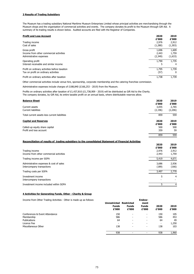### **3 Results of Trading Subsidiary**

| <b>Profit and Loss Account</b>                | 2020<br>£'000 | 2019<br>£'000 |
|-----------------------------------------------|---------------|---------------|
| Trading income                                | 2,976         | 2,912         |
| Cost of sales                                 | (1,280)       | (1,303)       |
| Gross profit                                  | 1,696         | 1,609         |
| Income from other commercial activities       | 2,443         | 1,759         |
| Administrative expenses                       | (2,349)       | (1,633)       |
| Operating profit                              | 1,790         | 1,735         |
| Interest receivable and similar income        |               | 4             |
| Profit on ordinary activities before taxation | 1,795         | 1,739         |
| Tax on profit on ordinary activities          | (57)          | $\mathbf{0}$  |
| Profit on ordinary activities after taxation  | 1,738         | 1,739         |

Other commercial activities include venue hire, sponsorship, corporate membership and the catering franchise commission.

Administrative expenses include charges of £188,840 (£166,253 - 2019) from the Museum.

Profits on ordinary activities after taxation of £1,437,810 (£1,738,909 - 2019) will be distributed as Gift Aid to the Charity. The company donates, by Gift Aid, its entire taxable profit on an annual basis, where distributable reserves allow.

| <b>Balance Sheet</b>                                                                                  | 2020<br>£'000        | 2019<br>£'000        |
|-------------------------------------------------------------------------------------------------------|----------------------|----------------------|
| Current assets<br><b>Current liabilities</b>                                                          | 3,055<br>(2, 196)    | 2,765<br>(2,206)     |
| Total current assets less current liabilities                                                         | 859                  | 559                  |
| <b>Capital and Reserves</b><br>Called-up equity share capital                                         | 2020<br>£'000<br>500 | 2019<br>£'000<br>500 |
| Profit and loss account                                                                               | 359                  | 59                   |
|                                                                                                       | 859                  | 559                  |
| Reconciliation of results of trading subsidiary to the consolidated Statement of Financial Activities |                      |                      |
|                                                                                                       | 2020<br>£'000        | 2019<br>£'000        |
| Trading income<br>Income from other commercial activities                                             | 2,976<br>2,443       | 2,912<br>1,759       |
| Trading income per SOFA                                                                               | 5,419                | 4,671                |
| Administrative expenses & cost of sales<br>Intercompany transactions                                  | 3,686<br>(189)       | 2,936<br>(166)       |
| Trading costs per SOFA                                                                                | 3,497                | 2,770                |
| Investment income<br>Intercompany transactions                                                        | 5                    | $\overline{4}$       |
| Investment income included within SOFA                                                                | 5                    | $\overline{4}$       |

#### **4 Activities for Generating Funds, Other - Charity & Group**

| Income from Other Trading Activities - Other is made up as follows: |  |
|---------------------------------------------------------------------|--|
|---------------------------------------------------------------------|--|

| Income from Other Trading Activities - Other is made up as follows: |                                     |                                   | <b>Endow-</b>            |                          |       |
|---------------------------------------------------------------------|-------------------------------------|-----------------------------------|--------------------------|--------------------------|-------|
|                                                                     | <b>Unrestricted</b><br><b>Funds</b> | <b>Restricted</b><br><b>Funds</b> | ment<br><b>Funds</b>     | 2020                     | 2019  |
|                                                                     | £'000                               | £'000                             | £'000                    | £'000                    | £'000 |
| Conferences & Event Attendance                                      | 150                                 | ۰                                 | $\overline{\phantom{0}}$ | 150                      | 105   |
| Membership                                                          | 586                                 | ۰                                 | $\overline{\phantom{0}}$ | 586                      | 453   |
| <b>Publications</b>                                                 | 64                                  | ۰                                 | $\overline{\phantom{0}}$ | 64                       | 49    |
| Licence Fee                                                         |                                     |                                   |                          | $\overline{\phantom{a}}$ | 1,250 |
| Miscellaneous Other                                                 | 138                                 | ۰                                 | $\overline{\phantom{a}}$ | 138                      | 103   |
|                                                                     | 938                                 |                                   |                          | 938                      | 1,960 |

The Museum has a trading subsidiary National Maritime Museum Enterprises Limited whose principal activities are merchandising through the Museum shops and the organisation of commercial activities and events. The company donates its profit to the Museum through Gift Aid. A summary of its trading results is shown below. Audited accounts are filed with the Registrar of Companies.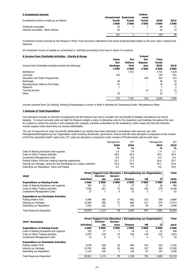## **7 Analysis of Total Expenditure**

|                                                                       | Managemen     | <b>ICT</b>    | Managemen     | ICT           |
|-----------------------------------------------------------------------|---------------|---------------|---------------|---------------|
|                                                                       | 2020          | 2020          | 2019          | 2019          |
|                                                                       | $\frac{0}{0}$ | $\frac{0}{0}$ | $\frac{0}{0}$ | $\frac{1}{2}$ |
| Costs of Raising Donations and Legacies                               | 1.9           | 2.6           | 1.4           | 2.1           |
| Costs of Other Trading Activities                                     | 18.6          | 25.6          | 18.4          | 20.9          |
| <b>Investment Management Costs</b>                                    | 0.6           | 0.6           | 0.5           | 0.5           |
| Putting Visitors First and creating inspiring experiences             | 34.7          | 27.3          | 36.6          | 30.7          |
| Valuing our Heritage, caring for and developing our unique collection | 35.0          | 34.3          | 34.1          | 35.8          |
| Extending our Reputation, reach and impact                            | 9.2           | 9.6           | 9.0           | 10.0          |

| <b>6 Income from Charitable Activities - Charity &amp; Group</b> |                          |                 | <b>Extend</b> |              |       |
|------------------------------------------------------------------|--------------------------|-----------------|---------------|--------------|-------|
|                                                                  | <b>Value</b>             | Put             | Our           | <b>Total</b> |       |
|                                                                  | Our                      | <b>Visitors</b> | Reputa-       | <b>Funds</b> |       |
| Income from Charitable Activities include the following:         | <b>Heritage</b>          | <b>First</b>    | tion          | 2020         | 2019  |
|                                                                  | £'000                    | £'000           | £'000         | £'000        | £'000 |
| <b>Admissions</b>                                                |                          | 7,761           | ۰             | 7,761        | 7,318 |
| Licensing                                                        | 194                      |                 | ۰             | 194          | 201   |
| <b>Education and Public Programmes</b>                           |                          |                 | 304           | 304          | 314   |
| Recharges                                                        | 38                       |                 | ۰             | 38           | 43    |
| Reproductions, Plans & Print Sales                               | 16                       |                 |               | 16           | 19    |
| Research                                                         |                          |                 | ۰             |              | 2     |
| <b>Touring Income</b>                                            | $\overline{\phantom{0}}$ |                 | 12            | 12           | 22    |
| Other                                                            | 24                       |                 | ۰             | 24           | 7     |
|                                                                  | 273                      | 7,761           | 316           | 8,350        | 7,926 |

#### **Expenditure on Charitable Activities**

| <b>Putting Visitors First</b>   |  |
|---------------------------------|--|
| Valuing our Heritage            |  |
| <b>Extending our Reputation</b> |  |

| <b>Putting Visitors First</b>   | 4,996  | 386   | 27 | 862   | 315 | 298   | 6,884  |
|---------------------------------|--------|-------|----|-------|-----|-------|--------|
| Valuing our Heritage            | 15,596 | 390   | 27 | 869   | 317 | 374   | I7,573 |
| <b>Extending our Reputation</b> | 1,932  | 102   |    | 228   | 84  | 105   | 2,458  |
| <b>Total Resources Expended</b> | 29,970 | 1,113 | 78 | 2,483 | 907 | 1,091 | 35,642 |
|                                 |        |       |    |       |     |       |        |

| <b>5 Investment Income</b>               |                                              |                                     | <b>Endow-</b>                 |               |               |
|------------------------------------------|----------------------------------------------|-------------------------------------|-------------------------------|---------------|---------------|
| Investment income is made up as follows: | <b>Unrestricted</b><br><b>Funds</b><br>£'000 | Restricted<br><b>Funds</b><br>£'000 | ment<br><b>Funds</b><br>£'000 | 2020<br>£'000 | 2019<br>£'000 |
| Dividends receivable                     | 76                                           |                                     |                               | 84            | 71            |
| Interest receivable - Bank interest      | 25                                           | $\overline{\phantom{a}}$            | ۰.                            | 25            | 14            |
|                                          | 101                                          |                                     |                               | 109           | 85            |

|                                         |                   | Direct Support Cost Allocation / Strengthening our Organisation |         |                |       |       | <b>Total</b> |
|-----------------------------------------|-------------------|-----------------------------------------------------------------|---------|----------------|-------|-------|--------------|
| 2020                                    |                   | Director-                                                       | Govern- |                |       |       |              |
|                                         | <b>Activities</b> | ate                                                             | ance    | <b>Finance</b> | HR    |       | 2020         |
| <b>Expenditure on Raising Funds</b>     | £'000             | £'000                                                           | £'000   | £'000          | £'000 | £'000 | £'000        |
| Costs of Raising Donations and Legacies | 383               | 21                                                              |         | 47             | 17    | 28    | 498          |
| Costs of Other Trading Activities       | 7,036             | 207                                                             | 15      | 462            | 169   | 279   | 8,168        |
| <b>Investment Management Costs</b>      | 27                |                                                                 |         | 15             |       |       | 61           |

Investment income received by the Museum's three Trust accounts is allocated to the funds proportionately based on the prior year's closing fund balances.

|                                             |                   | Direct Support Cost Allocation / Strengthening our Organisation |         |                |           |           | <b>Total</b> |
|---------------------------------------------|-------------------|-----------------------------------------------------------------|---------|----------------|-----------|-----------|--------------|
| 2019 Reanalysis                             |                   | <b>Director-</b>                                                | Govern- |                |           |           |              |
|                                             | <b>Activities</b> | ate                                                             | ance    | <b>Finance</b> | <b>HR</b> | <b>IT</b> | 2019         |
| <b>Expenditure on Raising Funds</b>         | £'000             | £'000                                                           | £'000   | £'000          | £'000     | £'000     | £'000        |
| Costs of Raising Donations and Legacies     | 329               | 17                                                              |         | 18             | 11        | 22        | 398          |
| Costs of Other Trading Activities           | 6,975             | 216                                                             | 14      | 246            | 140       | 223       | 7,814        |
| <b>Investment Management Costs</b>          | 32                | 6                                                               | 0       |                | 4         |           | 54           |
| <b>Expenditure on Charitable Activities</b> |                   |                                                                 |         |                |           |           |              |
| <b>Putting Visitors First</b>               | 3,678             | 430                                                             | 28      | 489            | 276       | 329       | 5,230        |
| Valuing our Heritage                        | 15,765            | 400                                                             | 28      | 456            | 257       | 383       | 17,289       |
| <b>Extending our Reputation</b>             | 2,142             | 105                                                             |         | 120            | 67        | 107       | 2,548        |
| <b>Total Resources Expended</b>             | 28,921            | 1,174                                                           | 78      | 1,336          | 755       | 1,069     | 33,333       |

All investment income is treated as unrestricted or restricted according to the fund in which it is received.

Income received from Car Parking, Filming & Photography is shown in Note 4 Activities for Generating Funds: Miscellaneous Other.

The use of resources for costs not directly attributable to an activity have been allocated in accordance with resource use, with Management/Strengthening Our Organisation costs including directorate, governance, finance and HR costs allocated in proportion to the number of full time equivalent staff in each area, ICT costs are allocated in proportion to the number of PCs/terminals used by each area.

Cost allocation includes an element of judgement and the Museum has had to consider the cost benefit of detailed calculations and record keeping. To ensure accurate costs are kept the Museum adopts a policy of allocating costs to the respective cost headings throughout the year for projects or where the activity is self contained (for example, activities undertaken by the subsidiary), which means the that the Activities include support costs where they are directly attributable.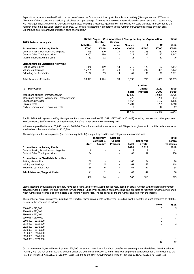|                                                 |              | <b>Staff on</b>          |        |        |
|-------------------------------------------------|--------------|--------------------------|--------|--------|
| (a) Staff Costs                                 |              | <b>Capital</b>           | 2020   | 2019   |
|                                                 | <b>Staff</b> | <b>Projects</b>          | £'000  | £'000  |
| Wages and salaries - Permanent Staff            | 12,835       |                          | 12,835 | 12,775 |
| Wages and salaries - Agency and Temporary Staff | 226          | -                        | 226    | 153    |
| Social security costs                           | 1,167        |                          | 1,167  | 1,186  |
| Pension costs                                   | 1,201        |                          | 1,201  | 1,210  |
| Early retirement and termination costs          | 17           | $\overline{\phantom{a}}$ |        | 17     |
|                                                 | 15,446       | $\overline{\phantom{a}}$ | 15,446 | 15,341 |

The average number of employees (i.e. full-time equivalents) analysed by function and category of employment was:

|                                             |              | <b>Temporary</b>                       | <b>Staff on</b>            |              |                             | <b>Total</b>         |
|---------------------------------------------|--------------|----------------------------------------|----------------------------|--------------|-----------------------------|----------------------|
|                                             | <b>Staff</b> | <b>Contract &amp;</b><br><b>Agency</b> | Capital<br><b>Projects</b> | <b>Total</b> | <b>Reanalyse</b><br>d Total | before<br>reanalysis |
| <b>Expenditure on Raising Funds</b>         |              |                                        |                            | 2020         | 2019                        | 2019                 |
| Costs of Raising Donations and Legacies     | 8            |                                        |                            | 8            |                             | 11                   |
| Costs of Other Trading Activities           | 84           |                                        | $\overline{\phantom{0}}$   | 85           | 87                          | 230                  |
| <b>Expenditure on Charitable Activities</b> |              |                                        |                            |              |                             |                      |
| <b>Putting Visitors First</b>               | 160          |                                        |                            | 160          | 174                         | 28                   |
| Valuing our Heritage                        | 157          | 5                                      | $\overline{\phantom{0}}$   | 162          | 162                         | 168                  |
| <b>Extending our Reputation</b>             | 36           | 6                                      | $\overline{\phantom{a}}$   | 42           | 42                          | 38                   |
| <b>Administration/Support Costs</b>         | 41           | $\overline{2}$                         |                            | 43           | 41                          | 38                   |
|                                             | 486          | 14                                     |                            | 500          | 513                         | 513                  |

|                                             | <b>Direct</b>     | <b>Support Cost Allocation / Strengthening our Organisation</b> |         |                |           |           | <b>Total</b> |
|---------------------------------------------|-------------------|-----------------------------------------------------------------|---------|----------------|-----------|-----------|--------------|
| 2019 before reanalysis                      |                   | <b>Director-</b>                                                | Govern- |                |           |           |              |
|                                             | <b>Activities</b> | ate                                                             | ance    | <b>Finance</b> | <b>HR</b> | <b>IT</b> | 2019         |
| <b>Expenditure on Raising Funds</b>         | £'000             | £'000                                                           | £'000   | £'000          | £'000     | £'000     | £'000        |
| Costs of Raising Donations and Legacies     | 329               | 370                                                             | 25      | 421            | 238       | 337       | 1,720        |
| Costs of Other Trading Activities           | 9,207             | 189                                                             | 12      | 215            | 122       | 172       | 9,917        |
| <b>Investment Management Costs</b>          | 32                | 12                                                              |         | 13             | 7         | 11        | 76           |
| <b>Expenditure on Charitable Activities</b> |                   |                                                                 |         |                |           |           |              |
| <b>Putting Visitors First</b>               | 1,446             | 189                                                             | 13      | 215            | 122       | 172       | 2,157        |
| Valuing our Heritage                        | 15,765            | 361                                                             | 24      | 411            | 232       | 329       | 17,122       |
| <b>Extending our Reputation</b>             | 2,142             | 53                                                              | 3       | 61             | 34        | 48        | 2,341        |
| <b>Total Resources Expended</b>             | 28,921            | 1,174                                                           | 78      | 1,336          | 755       | 1,069     | 33,333       |
|                                             |                   |                                                                 |         |                | $C+CE$    |           |              |

|                     | 2020 | 2019           |
|---------------------|------|----------------|
| £60,000 - £70,000   |      | 5              |
| £70,001 - £80,000   |      |                |
| £80,001 - £90,000   |      |                |
| £90,001 - £100,000  |      | 3 <sup>1</sup> |
| £100,001 - £110,000 |      |                |
| £110,001 - £120,000 |      | $2^{\circ}$    |
| £120,001 - £130,000 |      |                |
| £130,001 - £140,000 |      |                |
| £140,001 - £150,000 |      |                |
| £150,001 - £160,000 |      |                |
| £160,001 - £170,000 |      |                |
|                     | 12   | 12             |

Staff allocations by function and category have been reanalysed for the 2019 financial year, based on actual function with the largest movement between Putting Visitors First and Activities for Generating Funds. Prior allocation had admissions staff allocated to Activities for generating Funds when Admissions income is shown in Note 6 as Putting Visitors First. The reanalysis aligns the Admissions staff with the income.

The number of senior employees, including the Director, whose emoluments for the year (including taxable benefits in kind) amounted to £60,000 or over in the year was as follows:

Of the twelve employees with earnings over £60,000 per annum there is one for whom benefits are accruing under the defined benefits scheme (PCSPS), with the remainder accruing benefits under the defined contribution scheme. The total employer's contribution for this individual to the PCSPS at Period 12 was £25,230 (£19,807 - 2018-19) and to the NMM Group Personal Pension Plan was £125,717 (£157,072 - 2018-19).

For 2019-20 total payments to Key Management Personnel amounted to £731,242 (£777,926 in 2018-19) including bonuses and other payments. No Consultancy Staff were used during the year, therefore no tax assurances were required.

Volunteers gave the Museum 32,036 hours in 2019-20. The voluntary effort equates to around £10 per hour given, which on this basis equates to a valued contribution equivalent to £320,360.

Expenditure includes a re-classification of the use of resources for costs not directly attributable to an activity (Management and ICT costs). Allocation of these costs were previously calculated as a percentage of income, but have now been allocated in accordance with resource use, with Management/Strengthening Our Organisation costs including directorate, governance, finance and HR costs allocated in proportion to the number of full time equivalent staff in each area, ICT costs are allocated in proportion to the number of PCs/terminals used by each area. Expenditure before reanalysis of support costs shown below.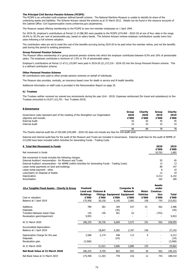## **The Principal Civil Service Pension Scheme (PCSPS)**

The Museum ceased offering membership to the PCSPS to new non-member employees on 1 April 1994.

#### **Group Personal Pension Scheme**

#### **Other Personal Pension Scheme**

Nil contributions were paid to other private pension schemes on behalf of individuals.

The Museum also provides, centrally, an insurance based cover for death in service and ill health benefits.

Additional information on staff costs is provided in the Remuneration Report on page 35.

#### **b) Trustees**

#### **8 Governance**

The Charity external audit fee of £54,500 (£45,000 - 2018-19) does not include any fees for non-audit work.

| 9 Total Net Movement in Funds                                                                       | 2020<br>£'000                                   | 2019<br>£'000 |
|-----------------------------------------------------------------------------------------------------|-------------------------------------------------|---------------|
| Net movement in funds                                                                               | 10,763                                          | 1,682         |
| Net movement in funds includes the following charges:                                               |                                                 |               |
| External Auditors' remuneration - for Museum and Trusts                                             | 55                                              | 45            |
| External Auditors' remuneration - for NMME (within Activities for Generating Funds - Trading Costs) | 13                                              | 13            |
| Lease rental payments on land and buildings                                                         | 80                                              | 147           |
| Lease rental payment - other                                                                        | 8                                               | 10            |
| Loss/(Gain) on Disposal of Assets                                                                   | 12                                              | 19            |
| Depreciation                                                                                        | 6,312                                           | 6,142         |
| Amortisation                                                                                        | 162                                             | 189           |
| 10.a Tangible Fixed Assets - Charity & Group<br><b>Freehold</b>                                     | <b>Assets</b><br><b>Computer &amp;</b><br>under |               |

**Land and Fixtures & Metwork** 

**Motor Construc-**

| Governance costs represent part of the meeting of the Strengthen our Organisation<br>objective and include: | <b>Group</b><br>2020<br>£'000 | <b>Charity</b><br>2020<br>£'000 | <b>Group</b><br>2019<br>£'000 | <b>Charity</b><br>2019<br>£'000 |
|-------------------------------------------------------------------------------------------------------------|-------------------------------|---------------------------------|-------------------------------|---------------------------------|
| <b>External Audit</b>                                                                                       | 55                            | 55                              | 45                            | 45                              |
| <b>Internal Audit</b>                                                                                       | 33                            | 33                              | 33                            | 33                              |
|                                                                                                             | 88                            | 88                              | 78                            | 78                              |

| Cost or valuation:                                   | <b>Buildings</b><br>£'000 | £'000  | £'000 | <b>Fittings Equipment Equipment</b><br>£'000 | <b>Vehicles</b><br>£'000 | tion<br>£'000 | Total<br>£'000 |
|------------------------------------------------------|---------------------------|--------|-------|----------------------------------------------|--------------------------|---------------|----------------|
| Balance at 1 April 2019                              | 175,458                   | 30,150 | 6,160 | 2,983                                        | 158                      | 743           | 215,652        |
| <b>Additions</b>                                     | 789                       | 381    | 184   | 537                                          | 33                       | 562           | 2,486          |
| <b>Disposals</b>                                     |                           |        | (36)  |                                              |                          |               | (36)           |
| <b>Transfers Between Asset Class</b>                 | 135                       | 195    | 361   | 52                                           | $\sim$                   | (743)         |                |
| Revaluation gain/impairment                          | 9,953                     |        | ٠     | ۰                                            | ۰                        |               | 9,953          |
| At 31 March 2020                                     | 186,335                   | 30,726 | 6,669 | 3,572                                        | 191                      | 562           | 228,055        |
| Accumulated depreciation:<br>Balance at 1 April 2019 |                           | 18,847 | 5,382 | 2,767                                        | 146                      |               | 27,142         |
| Depreciation Charge for the year                     | 3,568                     | 2,174  | 448   | 113                                          | 9                        |               | 6,312          |
| <b>Disposals</b>                                     |                           |        | (24)  |                                              |                          |               | (24)           |
| Revaluation gain                                     | (3, 568)                  |        |       | ۰                                            |                          |               | (3, 568)       |
| At 31 March 2020                                     |                           | 21,021 | 5,806 | 2,880                                        | 155                      |               | 29,862         |
| Net Book Value at 31 March 2020                      | 186,335                   | 9,705  | 863   | 692                                          | 36                       | 562           | 198,193        |
| Net Book Value at 31 March 2019                      | 175,458                   | 11,303 | 778   | 216                                          | 12                       | 743           | 188,510        |

The Museum offers membership of a group personal pension scheme into which the employer contributes between 8.5% and 10% of pensionable salary. The employee contributes a minimum of 1.5% or 3% of pensionable salary.

Employer's contributions at Period 12 of £1,119,997 were paid in 2019-20 (£1,137,216 - 2018-19) into the Group Personal Pension scheme. This is a defined contribution scheme.

The Trustees neither received nor waived any emoluments during the year (£nil - 2019). Expenses reimbursed (for travel and subsistence) to five Trustees amounted to £4,671 (£2,701 - four Trustees 2019).

External and internal audit fees for the audit of the Museum and Trusts are included in Governance. External audit fees for the audit of NMME of £13,050 have been included within Activities for Generating Funds - Trading Costs.

The PCSPS is an unfunded multi-employer defined benefit scheme. The National Maritime Museum is unable to identify its share of the underlying assets and liabilities. The Scheme Actuary valued the scheme as at 31 March 2012. Details can be found in the resource accounts of the Cabinet Office: Civil Superannuation (www.civilservice.gov.uk/pensions).

For 2019-20, employer's contributions at Period 12 of £88,383 were payable to the PCSPS (£74,404 - 2018-19) at one of four rates in the range 26.6% to 30.3% per cent of pensionable pay, based on salary bands. The Scheme Actuary reviews employer contributions usually every four years following a full scheme valuation.

The contribution rates are set to meet the cost of the benefits accruing during 2019-20 to be paid when the member retires, and not the benefits paid during this period to existing pensioners.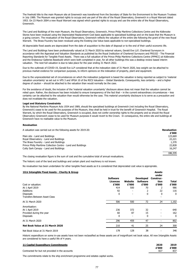#### **Legal and Statutory Constraints**

#### **Revaluation**

| A valuation was carried out on the following assets for 2019-20: | <b>Revaluation</b> |
|------------------------------------------------------------------|--------------------|
|                                                                  | £'000              |
| Main site - Land and Buildings                                   | 123,669            |
| Royal Observatory - Land and Buildings                           | 22,221             |
| The Brass Foundry - Land and Buildings                           | 1,370              |
| Prince Philip Maritime Collection Centre - Land and Buildings    | 22,828             |
| Cutty Sark Canopy - Land and Buildings                           | 16,247             |
|                                                                  | 186,335            |

The closing revaluation figure is the sum of cost and the cumulative total of annual revaluations.

The historic cost of the land and buildings and certain plant and machinery is not known.

No revaluation has been undertaken for other tangible fixed assets as it is considered that depreciated cost value is appropriate.

| 10.b Intangible Fixed Assets - Charity & Group |                                             |                          |                                              | <b>Assets</b><br>under            |                |
|------------------------------------------------|---------------------------------------------|--------------------------|----------------------------------------------|-----------------------------------|----------------|
| Cost or valuation:                             | <b>Software</b><br><b>Licences</b><br>£'000 | <b>Website</b><br>£'000  | <b>Developed</b><br><b>Software</b><br>£'000 | <b>Construc-</b><br>tion<br>£'000 | Total<br>£'000 |
| At 1 April 2019                                | 414                                         | 500                      | 70                                           | 2                                 | 986            |
| <b>Additions</b>                               | 92                                          | $\overline{\phantom{a}}$ | 2                                            | 22                                | 116            |
| <b>Disposals</b>                               | $\bf{0}$                                    | $\blacksquare$           | $\mathbf 0$                                  | $\mathbf 0$                       | $\bf{0}$       |
| <b>Transfers Between Asset Class</b>           |                                             |                          |                                              |                                   |                |
| At 31 March 2020                               | 506                                         | 500                      | 72                                           | 24                                | 1,102          |
| Amortisation:                                  |                                             |                          |                                              |                                   |                |
| At 1 April 2019                                | 236                                         | 372                      | 32                                           |                                   | 640            |
| Provided during the year                       | 60                                          | 87                       | 15                                           | ۰                                 | 162            |
| <b>Disposals</b>                               | $\bf{0}$                                    |                          | $\boldsymbol{0}$                             |                                   | $\bf{0}$       |
| At 31 March 2020                               | 296                                         | 459                      | 47                                           | $\blacksquare$                    | 802            |
| Net Book Value at 31 March 2020                | 210                                         | 41                       | 25                                           | 24                                | 300            |
| Net Book Value at 31 March 2019                | 178                                         | 128                      | 38                                           |                                   | 346            |

| 11 Capital Expenditure Commitments              | 2020  | 2019  |
|-------------------------------------------------|-------|-------|
|                                                 | £'000 | £'000 |
| Contracted for but not provided in the accounts |       | 837   |

Historic expenditure on some in-use assets have not been reclassified as these assets are of insignificant net book value. All new Intangible Assets are considered to have a useful life of 4 years.

The commitments relate to the ship enrichment programme and estates capital works.

The freehold title to the main Museum site at Greenwich was transferred from the Secretary of State for the Environment to the Museum Trustees in July 1989. The Museum was granted rights to occupy and use part of the site of the Royal Observatory, Greenwich in a Royal Warrant dated 1953. On 23 March 2004 a new Royal Warrant was signed which granted rights to occupy and use the entire site of the Royal Observatory, Greenwich.

The Land and Buildings have been professionally valued at 31 March 2020 by external valuers, Gerald Eve LLP, Chartered Surveyors in accordance with the Appraisal and Valuation Standards as published by the Royal Institution of Chartered Surveyors and FRS102 - The Financial Reporting Standards for Tangible Fixed Assets. There was a full valuation of the Prince Philip Maritime Collections Centre (PPMCC) at Kidbrooke and the Endeavour Galleries Basebuild which were both completed in year, for all other buildings this was a desktop review based interim valuation. The next full valuation is due to take place for the year ending 31 March 2022.

All depreciable fixed assets are depreciated from the date of acquisition to the date of disposal or to the end of their useful economic life.

By the National Maritime Museum Acts 1934 and 1989, should the specialised buildings at Greenwich (not including the Royal Observatory, Greenwich) cease to be used for the purposes of the Museum, they shall be held in trust for the benefit of Greenwich Hospital. The Royal Warrant, by which the Royal Observatory, Greenwich is occupied, does not confer ownership rights to the property and so should the Royal Observatory Greenwich cease to be used for Museum purposes it would revert to the Crown. In consequence, the entire site and buildings at Greenwich have no realisable value to the Museum.

The Land and Buildings of the main Museum, the Royal Observatory, Greenwich, Prince Philip Maritime Collections Centre and the Kidbrooke Stores have been revalued using the Depreciated Replacement Cost basis applicable to specialised buildings and on the basis that the Museum is a going concern. The revaluation of the Royal Observatory, Greenwich reflects the valuation of the entire site following the grant of the new Royal Warrant. The Brass Foundry has been revalued using the Existing Use Value basis applicable to non-specialised buildings.

Due to the outbreak of COVID-19, Gerald Eve LLP considered that at the indexation date of 31 March 2020, less weight can be attached to previous market evidence for comparison purposes, to inform opinions on the indexation of property, plant and equipment.

Due to the unprecedented set of circumstances on which the indexation judgement is based the valuation is being reported as subject to 'material valuation uncertainty' as set out in VPS 3 and VPGA 10 of the RICS Valuation – Global Standards. Consequently, less certainty – and a higher degree of caution – should be attached to the valuation than would normally be the case.

For the avoidance of doubt, the inclusion of the 'material valuation uncertainty' disclosure above does not mean that the valuation cannot be relied upon. Rather, the disclosure has been included to ensure transparency of the fact that – in the current extraordinary circumstances – less certainty can be attached to the valuation than would otherwise be the case. This material uncertainty disclosure is to serve as a precaution and does not invalidate the valuation.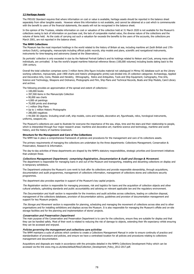## **12 Heritage Assets**

## **The NMM Collections**

- 100,000 books
- 397,500 items in the Manuscripts Collection
- 90,000 sea charts
- 4,000 oil paintings
- 70,000 prints and drawings
- 1 million Ship Plans
- Up to 1 million Historic Photographs
- 280,000 negatives

The main purpose of the Conservation and Preservation Department is to care for the collections, ensure they are suitable for display and that they can be handled safely. Most of their work is related to reducing the risk of damage to objects, extending their life expectancy whilst ensuring they can be accessed and enjoyed.

Acquisitions and disposals are made in accordance with the principles detailed in the NMM's Collections Development Policy which can be accessed via the link www.rmg.co.uk/sites/default/files/Collection\_Development\_Policy\_2012-2017.pdf.

#### Policies governing the management and collections care activities

The NMM maintains a suite of policies which combine to create a Collections Management Manual in order to ensure continuity of practice and standardisation of procedure and policies, and ensure we have a centralised location for all policies and procedures relating to collections management and documentation.

The Registration section is responsible for managing processes, risk and logistics for loans and the acquisition of collection objects and other cultural artefacts, upholding standards and public accountability and advising on relevant applicable law and the regulatory environment.

The Documentation and Audit section is responsible for the inventory and audit activities across collections, leading on collection disposal, management of the collections databases, provision of documentation advice, guidelines and provision of documentation management and support for key Museum projects.

The Storage and Movement section is responsible for planning, scheduling and managing the movement of collections across sites and to other organisations and for installing exhibitions and displays across the Museum. It is also responsible for managing the Museum's offsite and on-site storage facilities and for the planning and implementation of stores' projects.

The Department underpins the Museum's core remit to look after its collections and provide responsible stewardship, through acquisitions, documentation and audit programmes, management of collections information, management of collections stores and collections security programmes.

The department also provides expertise in support of the Museum's key capital projects.

#### Conservation and Preservation Department

## **Structure for the Management and Care of the Collections**

The NMM has in place a comprehensive framework of policies and procedures for the management and care of its collections assets.

The primary requirements of managing the collections are undertaken by the three departments: Collections Management; Conservation & Preservation, Research & Information.

The day-to-day activities of these departments are shaped by the NMM's statutory responsibilities, strategic priorities and Government initiatives that underpin these.

## Collections Management Department; comprising Registration, Documentation & Audit and Storage & Movement.

The department is responsible for managing loans in and out of the Museum and transporting, installing and decanting collections on display and in temporary exhibitions.

Its portraits' collection is only exceeded in size by the National Portrait Gallery's and its holdings related to Nelson and Cook, among many other individuals, are unrivalled. It has the world's largest maritime historical reference library (100,000 volumes) including books dating back to the 15th century.

Overall the total collection comprises some 3 million items (this figure includes material not catalogued in Mimsy XG database such as the Library working collection, manuscripts, post 1900 charts and historic photographic prints) sub-divided into 25 collection categories: Archaeology, Applied and Decorative Arts, Coins, Medals and Heraldry, Ethnography, Relics and Antiquities, Tools and Ship Equipment, Cartography, Fine Arts, Science and Technology, Weapons and Ordnance, Photographs and Film, Ship Plans and Technical Records, Boats and Ship Models, Caird Library and archive.

The following provides an approximation of the spread and extent of collections:-

 • 44,500 3D objects: Including small craft, ship models, coins and medals, decorative art, figureheads, relics, horological instruments, uniforms, weapons etc.

The Museum's collections are used to illustrate for everyone the importance of the sea, ships, time and the stars and their relationship to people, which is interpreted through four major research areas: maritime and decorative art; maritime science and technology, maritime and world history, and the history of maritime Greenwich.

The FRS102 Standard requires that where information on cost or value is available, heritage assets should be reported in the balance sheet separately from other tangible assets. However where this information is not available, and cannot be obtained at a cost which is commensurate with the benefit to users of the financial statements, the assets will not be recognised in the balance sheet.

In the opinion of the Trustees, reliable information on cost or valuation of the collection held at 31 March 2020 is not available for the Museum's collections owing to lack of information on purchase cost, the lack of comparable market value, the diverse nature of the collections and the volume of items held. As the costs of carrying out such a valuation far exceeds the benefits to the users of the accounts, the collections pre March 2001, are not reported in the balance sheet.

The Museum has the most important holdings in the world related to the history of Britain at sea, including maritime art (both British and 17thcentury Dutch), cartography, manuscripts including official public records, ship models and plans, scientific and navigational instruments, instruments for time-keeping and astronomy (based at the Observatory).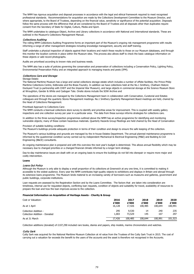## Collections Auditing

#### Storage Estate:

## **Loans**

## Loans Out Policy

| Cost or Valuation:                   | 2016   | 2017    | 2018    | 2019    | 2020    |
|--------------------------------------|--------|---------|---------|---------|---------|
|                                      | £'000  | £'000   | £'000   | £'000   | £'000   |
| As at 1 April                        | 16,128 | 17,426  | 100,485 | 100,644 | 100,991 |
| Collection Addition -                | 295    | 9,530   | 14      | 240     | 235     |
| <b>Collection Addition - Donated</b> | 1,003  | 73,529  | 145     | 107     | 297     |
| As at 31 March                       | 17,426 | 100,485 | 100,644 | 100,991 | 101,523 |

Collection additions (donated) of £107,290 included rare books, diaries and papers, ship models, marine chronometers and watches.

#### Cutty Sark

Cutty Sark was acquired for the National Maritime Museum Collection at nil value from the Trustees of the Cutty Sark Trust in 2015. The cost of carrying out a valuation far exceeds the benefit to the users of the accounts and the asset is therefore not recognised in the Accounts.

The Museum's various buildings and grounds are managed by the in-house Estates Department. The annual planned maintenance programme is informed by the quadrennial condition survey carried out by independent Mechanical & Electrical Engineering (M&E) and Building & Civil Engineering (B&CE) consultants.

An ongoing maintenance plan is prepared and with this overview the next year's budget is determined. This allows annual flexibility which may be necessary due to changed priorities or a changed financial climate informed by a longer term strategy.

Day-to-day maintenance issues are dealt with on an ongoing basis to ensure the buildings do not fall into disrepair or require more major and costly intervention.

Although the Museum is only able to display a small proportion of its collections at Greenwich at any one time, it is committed to making it accessible to the widest audience. Every year the NMM contributes high-quality objects to exhibitions and displays in Britain and abroad through its extensive loans programme. The Museum lends material to an increasing variety of borrowers such as museums and galleries, government and public buildings, corporate institutions.

Loan requests are assessed by the Registration Section and by the Loans Committee. The factors that are taken into consideration are timeliness, internal use for requested objects, conflicting loan requests, condition of objects and suitability for travel, availability of resources to prepare the loan and how the loan improves access to the collection.

#### **Financial Information on Acquisition of Heritage Assets - Charity & Group**

The operations of the stores are managed by the Collections Management team in collaboration with Conservation, Curatorial and Estates colleagues and through the quarterly Stores Management meetings. No.1 Smithery Quarterly Management Board meetings are held, chaired by the Head of Collections Management.

#### Prioritised Approach to Collections Care:

The NMM conducts a biannual collections store survey to identify and prioritise areas for improvement. This is coupled with weekly gallery inspections and one collection survey per year in a particular area. The data from these surveys informs strategies for collections care.

In addition to the three survey/inspection programmes outlined above the NMM has an active programme for identifying and monitoring vulnerable objects; many of these contain hazardous materials. Quarterly Hazards Group Meetings are held chaired by the Head of Conservation

Provision of suitable building conditions:

The Museum's buildings provide adequate protection in terms of their condition and design to ensure the safe keeping of the collection.

The rolling NMM Collections Auditing Programme forms an important part of the Museum's ongoing risk management programme with results informing a range of other management strategies including knowledge management, security and staff training.

Staff undertake a physical inspection of objects against their locations and match these results to those on our Museum databases, and through this monitor the location controls in place within the Museum sites. This process also allows staff to check the basic catalogue information on these objects or add record photographs.

Audits are prioritised according to known risks and business needs.

The NMM also has a suite of policies governing the conservation and preservation of collections including a Conservation Policy, Lighting Policy, Environmental Preservation Policy and an integrated approach to managing insects and pests (IPM).

## Collections Care and Storage

The National Maritime Museum has a large and varied collections storage estate which includes a number of offsite facilities; the Prince Philip Maritime Collections Centre, Kidbrooke and the Brass Foundry. In addition we have collections held at the No.1 Smithery, Chatham Historic Dockyard Trust (a partnership with CHDT and the Imperial War Museum), and large objects in commercial storage at the Science Museum Store at Wroughton, Gander & White and Cadogan Tate. Onsite stores include the SOW Archive and

The NMM has rigorous acquisition and disposal processes in accordance with the legal and ethical framework required to meet recognised professional standards. Recommendations for acquisition are made by the Collections Development Committee to the Museum Director, and where appropriate, to the Board of Trustees, depending on the financial value, sensitivity or significance of the potential acquisition. Disposals follow the same process with the difference that all are considered by the Board of Trustees and all disposals other than duplicates require consent from the Secretary of State for Digital, Culture, Media and Sport.

The NMM undertakes to catalogue Object, Archive and Library collections in accordance with National and International standards. These are outlined in the Museum's Collections Management Manual.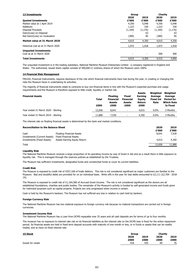### **14 Financial Risk Management**

| <b>Financial Assets</b>             | <b>Total</b> | <b>Floating</b><br><b>Financial</b><br><b>Assets</b> | <b>Fixed</b><br><b>Financial</b><br><b>Assets</b> | <b>Assets</b><br><b>Earning</b><br><b>Equity</b><br><b>Return</b> | Weighted<br><b>Average</b><br><b>Fixed Int</b><br>Rate | Weighted<br>Average<br><b>Period for</b><br><b>Which Rate</b> |
|-------------------------------------|--------------|------------------------------------------------------|---------------------------------------------------|-------------------------------------------------------------------|--------------------------------------------------------|---------------------------------------------------------------|
|                                     | £000         | £000                                                 | £000                                              | £000                                                              |                                                        | <b>Is Fixed</b>                                               |
| Year ended 31 March 2020 - Sterling | 12,656       | 8,641                                                | $\overline{\phantom{0}}$                          | 4,015                                                             | $0.0\%$                                                | 3 Months                                                      |
| Year ended 31 March 2019 - Sterling | 11,880       | 7,530                                                | $\sim$                                            | 4,350                                                             | $0.0\%$                                                | 3 Months                                                      |

The interest rate on floating financial assets is determined by the bank and market conditions.

| <b>Reconciliation to the Balance Sheet</b> |                                     | 2020<br>£'000 | 2019<br>£'000 |
|--------------------------------------------|-------------------------------------|---------------|---------------|
| Cash                                       | <b>Floating Financial Assets</b>    | 8,641         | 7,530         |
| Investments (Current Assets)               | <b>Fixed Financial Assets</b>       |               |               |
| Investments (Fixed Assets)                 | <b>Assets Earning Equity Return</b> | 4,015         | 4,350         |
| Total                                      |                                     | 12,656        | 11,880        |

The unquoted investment is in the trading subsidiary, National Maritime Museum Enterprises Limited - a company registered in England and Wales. The authorised, issued share capital consists of 500,000 £1 ordinary shares of which the Museum owns 100%.

#### **Liquidity Risk**

The Museum has sufficient investments, designated funds and unrestricted funds to cover its current liabilities.

#### **Credit Risk**

Cash is held by the Museum's bankers. The Museum has not suffered any loss in relation to cash held by bankers.

#### **Foreign Currency Risk**

#### **Investment Income Risk**

The National Maritime Museum has low material exposure to foreign currency risk because no material transactions are carried out in foreign currencies.

The National Maritime Museum has a Loan from DCMS repayable over 25 years and all cash deposits are for terms of up to four months.

| 15 Stock         | Group |      | <b>Charity</b> |      |
|------------------|-------|------|----------------|------|
|                  | 2020  | 2019 | 2020           | 2019 |
|                  | £000  | £000 | £000           | £000 |
| Goods for resale | 418   | 435  | 84             | 76   |

| 13 Investments                                           | <b>Group</b> |          | <b>Charity</b> |          |
|----------------------------------------------------------|--------------|----------|----------------|----------|
|                                                          | 2020         | 2019     | 2020           | 2019     |
| <b>Quoted Investments</b>                                | £'000        | £'000    | £'000          | £'000    |
| Market value at 1 April 2019                             | 4,350        | 5,048    | 4,350          | 5,048    |
| <b>Additions</b>                                         | 1,223        | 330      | 1,223          | 330      |
| <b>Disposal Proceeds</b>                                 | (1, 169)     | (1, 176) | (1, 169)       | (1, 176) |
| Gain/(Loss) on Disposal                                  |              | 63       |                | 63       |
| Net Gain/(Loss) on revaluation                           | (389)        | 85       | (389)          | 85       |
| Market value at 31 March 2020                            | 4,015        | 4,350    | 4,015          | 4,350    |
| Historical cost as at 31 March 2020                      | 1,972        | 1,918    | 1,972          | 1,918    |
| <b>Unquoted Investments:</b><br>Cost as at 31 March 2020 |              | ۰        | 500            | 500      |
| <b>Total Investments</b>                                 | 4,015        | 4,350    | 4,515          | 4,850    |

The museum has no exposure to interest rate risk on its financial liabilities as the interest rate on the DCMS loan is fixed for the entire repayment period. Its financial assets are held in fixed term deposit accounts with maturity of one month or less, or in funds or assets that can be readily traded, and so have no fixed interest rate.

FRS102, Financial Instruments, requires disclosure of the role which financial instruments have had during the year, in creating or changing the risks the Museum faces in undertaking its activities.

The majority of financial instruments relate to contracts to buy non-financial items in line with the Museum's expected purchase and usage requirements and the Museum is therefore exposed to little credit, liquidity or market risk.

The National Maritime Museum receives a large proportion of its operating income by way of Grant in Aid and as a result there is little exposure to liquidity risk. This is managed through the reserves policies as established by the Trustees.

The Museum is exposed to credit risk of £557,168 of trade debtors. This risk is not considered significant as major customers are familiar to the Museum. Bad and doubtful debts are provided for on an individual basis. Write offs in the year for bad debts amounted to £2,111 (£2,709 - 2018-19).

The Museum is exposed to credit risk of £1,164,560 of Accrued Grant Income. The risk is not considered significant as the donors are all established foundations, charities and public bodies. The remainder of the Museum's activity is funded by self-generated income and funds given for restricted purposes such as capital projects. Projects are only progressed when income is certain.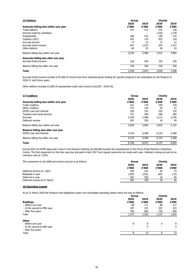Other debtors includes £1,000 of unpresented credit card income (£18,355 - 2018-19).

| 16 Debtors                          | <b>Group</b> |       | <b>Charity</b> |       |
|-------------------------------------|--------------|-------|----------------|-------|
|                                     | 2020         | 2019  | 2020           | 2019  |
| Amounts falling due within one year | £'000        | £'000 | £'000          | £'000 |
| Trade debtors                       | 557          | 412   | 343            | 156   |
| Amount owed by subsidiary           |              |       | 1,438          | 1,739 |
| Prepayments                         | 186          | 315   | 186            | 315   |
| Taxation (VAT)                      | 453          | 119   | 453            | 118   |
| Accrued income                      | 17           | 14    | 17             | 14    |
| <b>Accrued Grant income</b>         | 947          | 1,577 | 947            | 1,577 |
| Other debtors                       | 60           | 52    | 28             | 43    |
| Balance falling due within one year | 2,220        | 2,489 | 3,412          | 3,962 |
| Amounts falling due after one year  |              |       |                |       |
| <b>Accrued Grant Income</b>         | 218          | 326   | 218            | 326   |
| Balance falling due after one year  | 218          | 326   | 218            | 326   |
| <b>Total</b>                        | 2,438        | 2,815 | 3,630          | 4,288 |

## **18 Operating Leases**

As at 31 March 2020 the Museum had obligations under non-cancellable operating leases which are due as follows:

| <b>17 Creditors</b>                 | <b>Group</b> |       |       | <b>Charity</b> |  |  |
|-------------------------------------|--------------|-------|-------|----------------|--|--|
|                                     | 2020         | 2019  | 2020  | 2019           |  |  |
| Amounts falling due within one year | £'000        | £'000 | £'000 | £'000          |  |  |
| Trade creditors                     | 251          | 179   | 249   | 179            |  |  |
| Other creditors                     | 172          | 142   | 44    | 37             |  |  |
| <b>DCMS</b> Loan and Interest       | 329          | 332   | 329   | 332            |  |  |
| Taxation and social security        | 337          | 284   | 280   | 284            |  |  |
| <b>Accruals</b>                     | 2,160        | 2,308 | 2,113 | 2,240          |  |  |
| Deferred income                     | 387          | 359   | 18    | 65             |  |  |
| Balance falling due within one year | 3,636        | 3,604 | 3,033 | 3,137          |  |  |
| Balance falling due after one year  |              |       |       |                |  |  |
| <b>DCMS</b> Loan and Interest       | 5,124        | 5,368 | 5,124 | 5,368          |  |  |
| Balance falling due after one year  | 5,124        | 5,368 | 5,124 | 5,368          |  |  |
| <b>Total</b>                        | 8,760        | 8,972 | 8,157 | 8,505          |  |  |

| The movement on the deferred income account is as follows: |       | Group | <b>Charity</b> |       |
|------------------------------------------------------------|-------|-------|----------------|-------|
|                                                            | 2020  | 2019  | 2020           | 2019  |
|                                                            | £'000 | £'000 | £'000          | £'000 |
| Deferred income at 1 April                                 | 359   | 322   | 65             | 73    |
| Released in year                                           | (359) | (322) | (65)           | (73)  |
| Deferred in year                                           | 387   | 359   | 18             | 65    |
| Deferred income at 31 March                                | 387   | 359   | 18             | 65    |

|                               | <b>Group</b> |       | <b>Charity</b>           |       |
|-------------------------------|--------------|-------|--------------------------|-------|
|                               | 2020         | 2019  | 2020                     | 2019  |
| <b>Buildings</b>              | £'000        | £'000 | £'000                    | £'000 |
| - Within one year             | 80           | 117   | 80                       | 117   |
| - In the second to fifth year | 307          | 315   | 307                      | 315   |
| - After five years            | 740          | 820   | 740                      | 820   |
| Total                         | 1,127        | 1,252 | 1,127                    | 1,252 |
| <b>Other</b>                  |              |       |                          |       |
| - Within one year             | 8            | 8     | 8                        | 8     |
| - In the second to fifth year | $\sim$       | 5     | $\overline{\phantom{0}}$ | 5     |
| - After five years            | $\sim$       |       |                          |       |
| <b>Total</b>                  | 8            | 13    | 8                        | 13    |

During 2015-16 DCMS approved a loan to the Museum totalling £6,100,000 towards the development of the Prince Philip Maritime Collections Centre. The first repayment on the loan was due and paid in April 2017 and regular payments are made each year. Interest is being accrued at an indicative rate of 1.02%.

Accrued Grant income includes £747,060 of income due from restricted grant funding for specific projects to be undertaken by the Museum in 2020-21 and future years.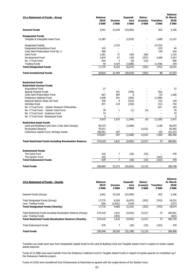| 19.a Statement of Funds - Group                             | <b>Balance</b><br>2019<br>£'000 | <b>Income</b><br>£'000 | <b>Expendi-</b><br>ture<br>£'000 | Gains/<br>(Losses)<br>£'000 | <b>Transfers</b><br>£'000 | <b>Balance</b><br>31 March<br>2020<br>£'000 |
|-------------------------------------------------------------|---------------------------------|------------------------|----------------------------------|-----------------------------|---------------------------|---------------------------------------------|
| <b>General Funds</b>                                        | 3,041                           | 23,228                 | (23, 995)                        |                             | 832                       | 3,106                                       |
| <b>Designated Funds</b><br>Tangible & Intangible Asset Fund | 13,387                          |                        | (2, 919)                         |                             | 1,689                     | 12,157                                      |
| <b>Designated Capital</b>                                   |                                 | 2,725                  |                                  |                             | (2,725)                   |                                             |
| Designated Acquisitions Fund                                | 103                             |                        |                                  |                             | (19)                      | 84                                          |
| Cutty Sark Preservation Fund No. 2                          | 466                             |                        |                                  |                             | 150                       | 616                                         |
| Caird Fund                                                  | 1,261                           | 17                     | (46)                             | (80)                        |                           | 1,152                                       |
| Development Fund                                            | 1,875                           | 57                     | (18)                             | (257)                       | 1,600                     | 3,257                                       |
| No. 3 Trust Fund                                            | 624                             | 3                      | (6)                              | (15)                        |                           | 606                                         |
| <b>Trading Funds</b>                                        | 59                              | 5,424                  | (3,686)                          |                             | (1, 438)                  | 359                                         |
| <b>Total Designated Funds</b>                               | 17,775                          | 8,226                  | (6, 675)                         | (352)                       | (743)                     | 18,231                                      |
| <b>Total Unrestricted Funds</b>                             | 20,816                          | 31,454                 | (30, 670)                        | (352)                       | 89                        | 21,337                                      |
| <b>Restricted Funds</b><br><b>Restricted Income Funds</b>   |                                 |                        |                                  |                             |                           |                                             |
| <b>Acquisitions Fund</b>                                    | 27                              |                        |                                  |                             |                           | 27                                          |
| Special Purpose Funds                                       |                                 | 441                    | (349)                            |                             | (92)                      |                                             |
| <b>Cutty Sark Preservation Fund</b>                         | 667                             | 604                    | 0                                |                             | (5)                       | 1,266                                       |
| <b>Endeavour Galleries Fund</b>                             | 1,640                           | 241                    | (283)                            |                             | (1, 598)                  |                                             |
| National Historic Ships UK Fund                             | 350                             | 9                      | (415)                            |                             | 215                       | 159                                         |
| <b>Activities Fund</b>                                      | 871                             | 219                    | (336)                            |                             | (12)                      | 742                                         |
| No. 3 Trust Fund - Sackler Research Fellowships             |                                 |                        |                                  |                             | 163                       | 163                                         |
| No. 3 Trust Fund - Sackler Caird Fund                       | 39                              | 1                      | (1)                              | (4)                         |                           | 35                                          |
| No. 3 Trust Fund - Anderson Fund                            | 74                              |                        |                                  |                             |                           | 74                                          |
| No. 3 Trust Fund - Bosanquet Fund                           | 5                               |                        |                                  |                             |                           | 5                                           |
|                                                             | 3,673                           | 1,515                  | (1, 384)                         | $\overline{(4)}$            | (1, 329)                  | 2,471                                       |
| <b>Restricted Asset Funds</b>                               |                                 |                        |                                  |                             |                           |                                             |
| Land and Buildings Fund (Incl. Cutty Sark Canopy)           | 99,375                          |                        | (3, 568)                         |                             | 1,168                     | 96,975                                      |
| <b>Revaluation Reserve</b>                                  | 70,471                          |                        |                                  | 13,521                      |                           | 83,992                                      |
| Collections Capital Fund, Heritage Assets                   | 100,991                         | 297                    |                                  |                             | 235                       | 101,523                                     |
|                                                             | 270,837                         | 297                    | (3, 568)                         | 13,521                      | 1,403                     | 282,490                                     |
| <b>Total Restricted Funds including Revaluation Reserve</b> | 274,510                         | 1,812                  | (4, 952)                         | 13,517                      | 74                        | 284,961                                     |
| <b>Endowment Funds</b>                                      |                                 |                        |                                  |                             |                           |                                             |
| The Caird Fund                                              | 516                             | 7                      | (20)                             | (33)                        |                           | 470                                         |
| The Sackler Fund                                            | 163                             |                        | $\overline{a}$                   |                             | (163)                     |                                             |
| <b>Total Endowment Funds</b>                                | 679                             | $\overline{7}$         | (20)                             | (33)                        | (163)                     | 470                                         |
| <b>Total Funds</b>                                          | 296,005                         | 33,273                 | (35, 642)                        | 13,132                      |                           | 306,768                                     |
| <b>19.b Statement of Funds - Charity</b>                    | <b>Balance</b>                  |                        | <b>Expendi-</b>                  | Gains/                      |                           | <b>Balance</b><br>31 March                  |

Funds of £1,598k have been transfer from the Endeavour Galleries Fund to Tangible Assets Funds in respect of assets aquired on completion og f the Endeavour Galleries project.

| <b>Total Funds</b>                                           | 295,946 | 29,530   | (32,199) | 13,132 |       | 306,409 |
|--------------------------------------------------------------|---------|----------|----------|--------|-------|---------|
| <b>Total Endowment Funds</b>                                 | 679     |          | (20)     | (33)   | (163) | 470     |
| <b>Total Restricted Funds Revaluation Reserve (Charity)</b>  | 274,510 | 1,610    | (4,952)  | 13,517 | 74    | 284,759 |
| Less: Trading Funds                                          |         | (202)    |          |        |       | (202)   |
| Total Restricted Funds including Revaluation Reserve (Group) | 274,510 | 1,812    | (4, 952) | 13,517 | 74    | 284,961 |
| <b>Total Designated Funds (Charity)</b>                      | 17,716  | 4,685    | (3,232)  | (352)  | (743) | 18,074  |
| Less: Trading Funds                                          | (59)    | (3, 541) | 3,443    |        |       | (157)   |
| Total Designated Funds (Group)                               | 17,775  | 8,226    | (6, 675) | (352)  | (743) | 18,231  |
| General Funds (Group)                                        | 3,041   | 23,228   | (23,995) |        | 832   | 3,106   |

| nds - Charity | <b>Balance</b> |        | <b>Expendi-</b> | Gains/                  |       | 31 March |
|---------------|----------------|--------|-----------------|-------------------------|-------|----------|
|               | 2019           | Income |                 | ture (Losses) Transfers |       | 2020     |
|               | £'000          | £'000  | £'000           | £'000                   | £'000 | £'000    |

Funds of £163k were transferred from Endowments to Restricted as agreed with the origial donors of the Sackler Fund.

Transfers are made each year from Designated Capital funds to the Land & Building Fund and Tangible Assets Fund in respect of certain capital assets acquired.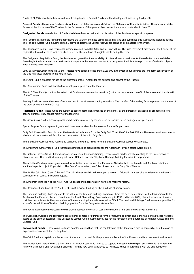Funds of £1,438k have been transferred from trading funds to General Funds and the development funds as giftaid profits.

**Designated Funds** - a collection of Funds which have been set aside at the discretion of the Trustees for specific purposes:

The Caird Fund is available for use at the discretion of the Trustees for the purpose and benefit of the Museum.

The Development Fund is designated for development projects at the Museum.

The Acquisitions Fund represents grants and donations received by the museum for specific future heritage asset purchases.

Special Purpose Funds represent grants and donations received by the Museum for specific purposes.

The Endeavour Galleries Fund represents donations and grants raised for the Endeavour Galleries capital works project.

The Altazimuth Conservation Fund represents donations and grants raised for the Altazimuth Pavilion capital works project.

The Anderson Fund (part of the No.3 Trust Fund) supports a fellowship in naval and maritime history.

Cutty Sark Preservation Fund includes the transfer of cash funds from the Cutty Sark Trust, the Cutty Sark 150 and Nannie restoration appeals of which is held as a restricted fund for the conservation of the ship Cutty Sark.

The Bosanquet Fund (part of the No.3 Trust Fund) provides funding for the purchase of library books.

The Caird Fund is a capital sum the income of which is to be used for the purpose and benefit of the Museum and is a permanent endowment.

The Collections Capital Fund represents assets either donated or purchased for the Museum's collection and is the value of capitalised heritage assets at the point of accession. The Collections Capital Fund movement provides for the relocation of the purchase of Heritage Assets from the General Fund.

**Endowment Funds** - These comprise funds donated on condition that the capital value of the donation is held in perpetuity, or in the case of expendable endowment, for the long term.

The Sackler Fund (part of the No.3 Trust Fund) is a capital sum which is used to support a research fellowship in areas directly relating to the history of astronomy and navigational sciences. This has now been transferred to Restricted Funds in agreement with the original donors.

The National Historic Ships UK Fund supports research, publications, training, recording and similar activities relating to the preservation of historic vessels. This fund includes a grant from HLF for a two year Shipshape Heritage Training Partnership programme.

The Activities Fund represents grants raised for activities based around the Endeavour Galleries, both the Armada and Stubbs acquisitions, Maritime Impacts project, Royal Visit to The Fleet Concservation, MA Collect Project and the Cutty Sark Theatre.

The Sackler Caird Fund (part of the No.3 Trust Fund) was established to support a research fellowship in areas directly related to the Museum's collections or in particular related subjects.

The Land and Buildings Fund represents the value of the land and buildings on transfer from the Secretary of State for the Environment to the Trustees of the Museum, the incorporation of the Royal Observatory, Greenwich partly in 1999 and fully in 2004, plus subsequent additions at cost, less depreciation for the year and net of the outstanding loan balance owed to DCMS. The Land and Buildings Fund movement provides for a transfer for additions of land and buildings paid for from the Designated General Fund.

The Revaluation Reserve represents the difference between the original cost and valuation of the land and buildings at year end.

The Designated Capital Fund represents funding received from DCMS for Capital Expenditure. The fund movement provides for the transfer of the capital Grant in Aid received which has been used for the purchase of tangible assets during the year.

The Designated Acquisitions Fund, the Trustees recognise that the availability of potential new acquisitions for the collection is unpredictable. Accordingly, funds allocated to acquisitions but unspent in the year are credited to a designated fund for future purchases of collection objects when they become available.

Cutty Sark Preservation Fund No. 2, the Trustees have decided to designate £150,000 in the year to put towards the long term conservation of the ship less costs charged to the fund in year.

The No.3 Trust Fund (except to the extent that funds are endowment or restricted) is for the purpose and benefit of the Museum at the discretion of the Trustees.

Trading Funds represent the value of reserves held in the Museum's trading subsidiary. The transfer of the trading funds represent the transfer of the profit as Gift Aid to the Charity.

**Restricted Funds** - These funds are subject to specific restrictions imposed by the donor, by the purpose of an appeal or are received for a specific purpose. They consist mainly of the following:

**General Funds -** the general funds consist of the accumulated surplus or deficit on the Statement of Financial Activities. The amount available for use at the discretion of the Trustees in the furtherance of the general objectives of the museum is detailed in Note 20.

The Tangible & Intangible Asset Fund represents the value of the fixed assets (excluding land and buildings) plus subsequent additions at cost. The Tangible Assets Fund movement mainly provides designated Capital reserves for spend on Fixed assets for the year.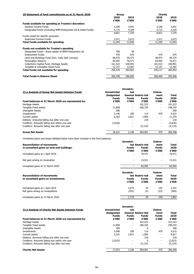| 20 Statement of fund commitments as at 31 March 2020           | <b>Group</b> |         | <b>Charity</b> |         |
|----------------------------------------------------------------|--------------|---------|----------------|---------|
|                                                                | 2020         | 2019    | 2020           | 2019    |
|                                                                | £'000        | £'000   | £'000          | £'000   |
| <b>Funds available for spending at Trustee's discretion:</b>   |              |         |                |         |
| General Income Funds                                           | 3,106        | 3,041   | 3,106          | 3,041   |
| Designated funds (excluding NMM Enterprises Ltd & Asset Funds) | 5,715        | 4,329   | 5,715          | 4,329   |
|                                                                | 8,821        | 7,370   | 8,821          | 7,370   |
| Funds raised for specific purposes:                            |              |         |                |         |
| <b>Restricted Income Funds</b>                                 | 2,471        | 3,673   | 2,471          | 3,673   |
| <b>Total Funds available for spending</b>                      | 11,292       | 11,043  | 11,292         | 11,043  |
| <b>Funds not available for Trustee's spending</b>              |              |         |                |         |
| Designated funds - share capital of NMM Enterprises Ltd        | 359          | 59      |                |         |
| <b>Endowment Funds</b>                                         | 470          | 679     | 470            | 679     |
| Land and Buildings Fund (Incl. Cutty Sark Canopy)              | 96,975       | 99,375  | 96,975         | 99,375  |
| <b>Revaluation Reserve</b>                                     | 83,992       | 70,471  | 83,992         | 70,471  |
| Collections Capital Fund, Heritage Assets                      | 101,523      | 100,991 | 101,523        | 100,991 |
| Tangible & Intangible Asset Fund                               | 12,157       | 13,387  | 12,157         | 13,387  |
| <b>Total Funds not available for spending</b>                  | 295,476      | 284,962 | 295,117        | 284,903 |
| <b>Total Funds in Balance Sheet</b>                            | 306,768      | 296,005 | 306,409        | 295,946 |

Unrealised gains and losses detailed below have been included in the fund balances.

|                                                    | <b>Unrestric-</b>   |                          |                            |               |              |
|----------------------------------------------------|---------------------|--------------------------|----------------------------|---------------|--------------|
| 21.a Analysis of Group Net Assets between Funds    | <b>Unrestricted</b> | ted                      |                            | <b>Endow-</b> |              |
|                                                    | <b>Designated</b>   |                          | <b>General Restric-ted</b> | ment          | <b>Total</b> |
|                                                    | <b>Funds</b>        | <b>Funds</b>             | <b>Funds</b>               | <b>Funds</b>  | 2020         |
| Fund balances at 31 March 2020 are represented by: | £'000               | £'000                    | £'000                      | £'000         | £'000        |
| Heritage Assets                                    |                     | ۰.                       | 101,523                    | ۰.            | 101,523      |
| Tangible Fixed assets                              | 11,858              | ۰                        | 186,335                    | ۰.            | 198,193      |
| Intangible Assets                                  | 300                 | $\overline{\phantom{0}}$ |                            |               | 300          |
| <b>Investments</b>                                 | 3,146               | 285                      | 114                        | 470           | 4,015        |
| Current assets                                     | 6,563               | 2,821                    | 1,895                      |               | 11,279       |
| Debtors: Amounts falling due after one year        |                     |                          | 218                        |               | 218          |
| Creditors: Amounts falling due within one year     | (3,636)             | $\sim$                   |                            | $\sim$        | (3,636)      |
| Creditors: Amounts falling due after one year      |                     | ۰                        | (5, 124)                   | ۰.            | (5, 124)     |
| <b>Group Net Assets</b>                            | 18,231              | 3,106                    | 284,961                    | 470           | 306,768      |

| 21.b Analysis of Charity Net Assets between Funds  | <b>Unrestricted</b><br><b>Designated</b><br><b>Funds</b> |
|----------------------------------------------------|----------------------------------------------------------|
| Fund balances at 31 March 2020 are represented by: | £'000                                                    |
| <b>Heritage Assets</b>                             |                                                          |
| Tangible Fixed assets                              | 11,858                                                   |
| <b>Intangible Assets</b>                           | 300                                                      |
| Investments                                        | 3,646                                                    |
| Current assets                                     | 5,101                                                    |
| Debtors: Amounts falling due after one year        |                                                          |
| Creditors: Amounts falling due within one year     | (3,033)                                                  |
| Creditors: Amounts falling due after one year      |                                                          |

## **Charity Net Assets**

|                                            | Unrestric-               |                       | Endow-                |               |
|--------------------------------------------|--------------------------|-----------------------|-----------------------|---------------|
| <b>Reconciliation of movements</b>         |                          | ted Restric-ted       | ment                  | <b>Total</b>  |
| in unrealised gains on land and buildings: | <b>Funds</b><br>£'000    | <b>Funds</b><br>£'000 | <b>Funds</b><br>£'000 | 2020<br>£'000 |
| Unrealised gains at 1 April 2019           | $\overline{\phantom{a}}$ | 70,471                | $\blacksquare$        | 70,471        |
| Net gain arising on revaluation            | $\overline{\phantom{a}}$ | 13,521                | Ξ.                    | 13,521        |
| Unrealised gains at 31 March 2020          |                          | 83,992                |                       | 83,992        |
|                                            | <b>Unrestric-</b>        |                       | <b>Endow-</b>         |               |
| <b>Reconciliation of movements</b>         |                          | ted Restric-ted       | ment                  | <b>Total</b>  |
| in unrealised gains on investments:        | <b>Funds</b>             | <b>Funds</b>          | <b>Funds</b>          | 2020          |
|                                            | £'000                    | £'000                 | £'000                 | £'000         |
| Unrealised gains at 1 April 2019           | 2,075                    | 24                    | 142                   | 2,241         |
| Net gains arising on revaluations          | (352)                    | (4)                   | (33)                  | (389)         |

| .<br>$\overline{\phantom{0}}$<br>$- -$ | $\sim$<br>--- | - |
|----------------------------------------|---------------|---|
|----------------------------------------|---------------|---|

| <b>Unrestricted</b><br>ted |              |                   | <b>Endow-</b>              |              |  |
|----------------------------|--------------|-------------------|----------------------------|--------------|--|
| <b>Designated</b>          |              |                   | ment                       | <b>Total</b> |  |
| <b>Funds</b>               | <b>Funds</b> | <b>Funds</b>      | <b>Funds</b>               | 2020         |  |
| £'000                      | £'000        | £'000             | £'000                      | £'000        |  |
|                            | ۰            | 101,523           | ۰                          | 101,523      |  |
| 11,858                     |              | 186,335           | ۰.                         | 198,193      |  |
| 300                        |              | 0                 |                            | 300          |  |
| 3,646                      | 285          | 114               | 470                        | 4,515        |  |
| 5,101                      | 2,821        | 1,895             |                            | 9,817        |  |
|                            |              | 218               |                            | 218          |  |
| (3,033)                    |              | $\Omega$          | ۰.                         | (3,033)      |  |
|                            |              | (5, 124)          |                            | (5, 124)     |  |
| 17,872                     | 3,106        | 284,961           | 470                        | 306,409      |  |
|                            |              | <b>Unrestric-</b> | <b>General Restric-ted</b> |              |  |

 $\overline{\phantom{a}}$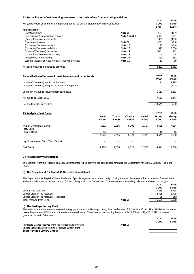| 22 Reconciliation of net incoming resources to net cash inflow from operating activities         |            |               |                         |             |                      |                      |
|--------------------------------------------------------------------------------------------------|------------|---------------|-------------------------|-------------|----------------------|----------------------|
|                                                                                                  |            |               |                         |             | 2020                 | 2019                 |
| Net (expenditure)/income for the reporting period (as per the statement of financial activities) |            |               |                         |             | £'000                | £'000                |
|                                                                                                  |            |               |                         |             | (2,758)              | (1,058)              |
| Adjustments for:                                                                                 |            |               |                         |             |                      |                      |
| <b>Donated Objects</b>                                                                           |            |               | Note 2                  |             | (297)                | (107)                |
| Depreciation & amortisation charges                                                              |            |               | <b>Note 10a &amp; b</b> |             | 6,474                | 6,331                |
| (Gains)/losses on investments                                                                    |            |               |                         |             | 389                  | (149)                |
| Investment income                                                                                |            |               | Note 5                  |             | (109)                | (85)                 |
| (Increase)/Decrease in stock                                                                     |            |               | Note 15                 |             | 17                   | (39)                 |
| (Increase)/Decrease in debtors                                                                   |            |               | Note 16                 |             | 377                  | 3,036                |
| Increase/(Decrease) in creditors                                                                 |            |               | Note 17                 |             | (212)                | 202                  |
| Cash inflows from new borrowing                                                                  |            |               | Note 17                 |             |                      |                      |
| Repayments of borrowing                                                                          |            |               | Note 17                 |             | 329                  | 332                  |
| Loss on Disposal of Fixed Assets & Intangible Assets                                             |            |               | Note 10                 |             | 12                   | 19                   |
| Net cash inflow from operating activities                                                        |            |               |                         |             | 4,222                | 8,482                |
| Reconciliation of increase in cash to movement in net funds                                      |            |               |                         |             | 2020<br>£'000        | 2019<br>£'000        |
| Increase/(Decrease) in cash in the period                                                        |            |               |                         |             | 1,111                | 3,895                |
| Increase/(Decrease) in liquid resources in the period                                            |            |               |                         |             |                      | (512)                |
|                                                                                                  |            |               |                         |             |                      |                      |
| Change in net funds resulting from cash flows                                                    |            |               |                         |             | 1,111                | 3,383                |
| Net funds at 1 April 2019                                                                        |            |               |                         |             | 7,530                | 4,147                |
| Net funds at 31 March 2020                                                                       |            |               |                         |             | 8,641                | 7,530                |
|                                                                                                  |            |               |                         |             |                      |                      |
| 23 Analysis of net funds                                                                         | <b>NMM</b> | <b>Trusts</b> | <b>Charity</b>          | <b>NMME</b> | 2020<br><b>Group</b> | 2019<br><b>Group</b> |

|                                       | INMM<br>£'000 | <b>I rusts</b><br>£'000 | <b>Charity</b><br>£'000 | NMME<br>£'000 | Group<br>£'000 | Group<br>£'000 |
|---------------------------------------|---------------|-------------------------|-------------------------|---------------|----------------|----------------|
| Held at Commercial Banks              | 4,212         | 2,096                   | 6,308                   | 2,317         | 8,625          | 7,514          |
| Petty Cash                            | ۰             | ۰                       |                         | ۰             |                |                |
| Cash in Hand                          | 13            | ۰                       | 13                      |               | 16             | 16             |
|                                       | 4,225         | 2,096                   | 6,321                   | 2,320         | 8,641          | 7,530          |
| Liquid resources - Short Term Deposit | ۰.            | ۰                       |                         | ۰             |                |                |
| <b>Net funds</b>                      | 4,225         | 2,096                   | 6,321                   | 2,320         | 8,641          | 7,530          |

## **24 Related party transactions**

## **a) The Department for Digital, Culture, Media and Sport**

| 2020   | 2019   |
|--------|--------|
| £'000  | £'000  |
| 13,815 | 13,795 |
|        | ---    |

| Grant in Aid received | 13,815               | 13,795  |
|-----------------------|----------------------|---------|
| .<br>.                | $\sim$ $\sim$ $\sim$ | $- - -$ |

| Capital Grant in Aid received              |        | 2,725  | .725,  |
|--------------------------------------------|--------|--------|--------|
| Capital Grant in Aid received - Restricted |        |        | 350    |
| Total received from DCMS                   | Note 2 | 16,598 | 15,870 |
|                                            |        |        |        |

### **b) The Heritage Lottery Fund**

|                                                           |        | 2020<br>£'000 | 2019<br>£'000 |
|-----------------------------------------------------------|--------|---------------|---------------|
| Restricted Grants received from the Heritage Lottery Fund | Note 2 |               |               |
| Capital Grants received from the Heritage Lottery Fund    |        | . .           |               |
| <b>Total Heritage Lottery Grants</b>                      |        |               |               |

The National Maritime Museum is a Non-Departmental Public Body whose parent department is the Department for Digital, Culture, Media and Sport.

The Department for Digital, Culture, Media and Sport is regarded as a related party. During the year the Museum had a number of transactions in the normal course of business and at full arm's length with the Department. There were no outstanding balances at the end of the year.

The National Maritime Museum received lottery grants from the Heritage Lottery Fund in the year of £Nil (£Nil - 2019). The HLF shares the same parent Department (DCMS) and is therefore a related party. There was an outstanding balance of £428,368 (£1,278,430 - 2019) of accrued grants at the end of the year.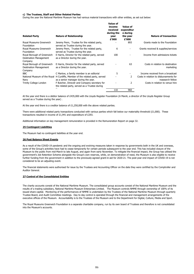#### **c) The Trustees, Staff and Other Related Parties**

During the year the National Maritime Museum has had various material transactions with other entities, as set out below:

Additional information on key management remuneration is provided in the Remuneration Report on page 32.

#### **25 Contingent Liabilities**

The Museum had no contingent liabilities at the year end.

#### **26 Post Balance Sheet Events**

### **27 Control of the Consolidated Entities**

At the year end there is a debtor balance of £435,000 with the Lloyds Register Foundation (A Marsh, a director of the Lloyds Register Group served as a Trustee during the year) .

At the year end there is a creditor balance of £1,250,000 with the above related parties.

There were additional related party transactions conducted with various parties which fall below our materiality threshold (£1,000). These transactions resulted in income of £1,941 and expenditure of £293.

The charity accounts consist of the National Maritime Museum. The consolidated group accounts consist of the National Maritime Museum and the results of a trading subsidiary, National Maritime Museum Enterprises Limited. The Museum controls NMME through ownership of 100% of its issued share capital. Monitoring of the performances of NMME is undertaken by the Trustees of the National Maritime Museum through quarterly

Trustee Board, and Audit Committee meetings. Day to day control is operated through the financial and management arrangements of the executive offices of the Museum. Accountability is to the Trustees of the Museum and to the Department for Digital, Culture, Media and Sport.

| <b>Related Party</b>                                                   | <b>Nature of Relationship</b>                                                                                        | <b>Value of</b><br>income<br>received<br>during the<br>year<br>£'000 | <b>Value of</b><br>expenditur<br>e during<br>the year<br>£'000 | <b>Nature of transaction</b>                               |
|------------------------------------------------------------------------|----------------------------------------------------------------------------------------------------------------------|----------------------------------------------------------------------|----------------------------------------------------------------|------------------------------------------------------------|
| Royal Museums Greenwich<br>Foundation                                  | Jeremy Penn, Trustee for the related party,<br>served as Trustee during the year.                                    |                                                                      | 893                                                            | Grants made to the Foundation                              |
| Royal Museums Greenwich<br>Foundation                                  | Jeremy Penn, Trustee for the related party,<br>served as Trustee during the year.                                    | 6                                                                    |                                                                | Grants received & supplies/services                        |
| Royal Borough of Greenwich<br><b>Destination Management</b><br>Company | E Harris, Director for the related party, served<br>as a Director during the year.                                   | 100                                                                  |                                                                | Income from admissions tickets                             |
| Royal Borough of Greenwich<br><b>Destination Management</b><br>Company | E Harris, Director for the related party, served<br>as a Director during the year.                                   |                                                                      | 63                                                             | Costs in relation to destination<br>marketing              |
| <b>BBC</b>                                                             | C Marlow, a family member is an editorial                                                                            | 5                                                                    |                                                                | Income received from a broadcast                           |
| Navy                                                                   | National Museum of the Royal H Cunliffe, Member of the related party, served<br>as a senior manager during the year. |                                                                      | 2                                                              | Costs in relation to disbursements for<br>reasearch fellow |
| <b>Trinity College London</b>                                          | F Butcher, Direcotr and Company secretary for<br>the related party, served as a Trustee during                       |                                                                      | $\overline{2}$                                                 | Costs in relation to venue hire                            |
|                                                                        | $\mathbf{r}$                                                                                                         | 110                                                                  | 960                                                            |                                                            |

The Royal Museums Greenwich Foundation is a separate charitable company, run by its own board of Trustees and therefore is not consolidated into the Museum's accounts.

The financial statements were authorised for issue by the Trustees and Accounting Officer on the date they were certified by the Comptroller and Auditor General.

As a result of the COVID-19 pandemic and the ongoing and evolving measures taken in response by governments both in the UK and overseas, some of the Group's activities have had to cease temporarily for certain periods subsequent to the year end. This has included closure of the Museum to the public from mid-March to late August, and again from early November. To mitigate the financial impact, the Group has utilised the government's Job Retention Scheme alongside the Group's own reserves, while, on demonstration of need, the Museum is also eligible to receive further funding from the government in addition to the previously-agreed grant-in-aid for 2020-21. The post-year end impact of COVID-19 is not considered to be an adjusting event.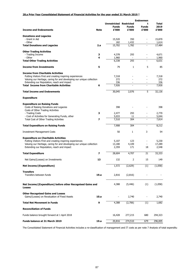## **28.a Prior Year Consolidated Statement of Financial Activities for the year ended 31 March 2019 \***

|                                                                             |                         |                                | <b>Endowmen</b> |                              |              |
|-----------------------------------------------------------------------------|-------------------------|--------------------------------|-----------------|------------------------------|--------------|
|                                                                             |                         | <b>Unrestricted Restricted</b> |                 |                              | <b>Total</b> |
|                                                                             |                         | <b>Funds</b>                   | <b>Funds</b>    | <b>Funds</b>                 | 2019         |
| <b>Income and Endowments</b>                                                | <b>Note</b>             | £'000                          | £'000           | £'000                        | £'000        |
| <b>Donations and Legacies</b>                                               |                         |                                |                 |                              |              |
| - Grant in Aid                                                              |                         | 15,520                         | 350             |                              | 15,870       |
| - Other                                                                     |                         | 182                            | 1,432           |                              | 1,614        |
| <b>Total Donations and Legacies</b>                                         | 2.a                     | 15,702                         | 1,782           | $\overline{\phantom{a}}$     | 17,484       |
| <b>Other Trading Activities</b>                                             |                         |                                |                 |                              |              |
|                                                                             |                         |                                |                 |                              |              |
| - Trading Income<br>- Other                                                 | 3<br>4                  | 4,378                          | 293             |                              | 4,671        |
|                                                                             |                         | 1,960                          |                 |                              | 1,960        |
| <b>Total Other Trading Activities</b>                                       |                         | 6,338                          | 293             | ٠                            | 6,631        |
| <b>Income from Investments</b>                                              | 5                       | 79                             | $\mathbf{1}$    | 5                            | 85           |
| <b>Income from Charitable Activities</b>                                    |                         |                                |                 |                              |              |
| Putting Visitors First and creating inspiring experiences                   |                         | 7,318                          |                 |                              | 7,318        |
| Valuing our Heritage, caring for and developing our unique collection       |                         | 272                            |                 |                              | 272          |
| Extending our Reputation, reach and impact                                  |                         | 336                            |                 |                              | 336          |
| <b>Total Income from Charitable Activities</b>                              | 6                       | 7,926                          |                 | ۰                            | 7,926        |
| <b>Total Income and Endowments</b>                                          |                         | 30,045                         | 2,076           | 5                            | 32,126       |
| <b>Expenditure</b>                                                          |                         |                                |                 |                              |              |
| <b>Expenditure on Raising Funds</b>                                         |                         |                                |                 |                              |              |
|                                                                             |                         |                                |                 |                              |              |
| Costs of Raising Donations and Legacies                                     |                         | 398                            |                 |                              | 398          |
| Costs of Other Trading Activities                                           |                         |                                |                 |                              |              |
| - Trading Costs                                                             | 3                       | 2,477                          | 293             |                              | 2,770        |
| - Cost of Activities for Generating Funds, other                            |                         | 5,033                          | 11              |                              | 5,044        |
| <b>Total Cost of Other Trading Activities</b>                               | $\overline{\mathbf{z}}$ | 7,510                          | 304             | $\qquad \qquad \blacksquare$ | 7,814        |
| <b>Total Expenditure on Raising Funds</b>                                   |                         | 7,908                          | 304             | $\blacksquare$               | 8,212        |
| <b>Investment Management Costs</b>                                          |                         | 50                             | $\mathbf{1}$    | 3                            | 54           |
| <b>Expenditure on Charitable Activities</b>                                 |                         |                                |                 |                              |              |
| Putting Visitors First and creating inspiring experiences                   |                         | 5,107                          | 123             |                              | 5,230        |
| Valuing our Heritage, caring for and developing our unique collection       |                         | 13,180                         | 4,109           |                              | 17,289       |
| Extending our Reputation, reach and impact                                  |                         | 2,359                          | 171             | 18                           | 2,548        |
|                                                                             |                         |                                |                 |                              |              |
| <b>Total Expenditure</b>                                                    | $\overline{\mathbf{z}}$ | 28,604                         | 4,707           | 21                           | 33,333       |
| Net Gains/(Losses) on Investments                                           | 13                      | 132                            | $\overline{2}$  | 15                           | 149          |
| <b>Net Income/(Expenditure)</b>                                             |                         | 1,572                          | (2,629)         | (1)                          | (1,058)      |
| <b>Transfers</b>                                                            |                         |                                |                 |                              |              |
| Transfers between funds                                                     | 19.a                    | 2,816                          | (2,816)         |                              |              |
|                                                                             |                         |                                |                 |                              |              |
| Net Income/(Expenditure) before other Recognised Gains and<br><b>Losses</b> |                         | 4,388                          | (5, 446)        | (1)                          | (1,058)      |

| Other Recognised Gains and Losses<br>Gains/(Losses) on Revaluation of Fixed Assets | 10.a | $\sim$ | 2,740   | $\overline{\phantom{a}}$ | 2,740   |
|------------------------------------------------------------------------------------|------|--------|---------|--------------------------|---------|
| <b>Total Net Movement in Funds</b>                                                 | 9    | 4,388  | (2,706) | (1)                      | 1,682   |
| <b>Reconciliation of Funds</b>                                                     |      |        |         |                          |         |
| Funds balance brought forward at 1 April 2018                                      |      | 16,428 | 277,215 | 680                      | 294,323 |
| Funds balance at 31 March 2019                                                     | 19.a | 20,816 | 274,510 | 679                      | 296,005 |

The Consolidated Statement of Financial Activities includes a re-classification of management and IT costs as per note 7 Analysis of total expenditu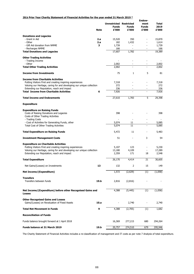# **28.b Prior Year Charity Statement of Financial Activities for the year ended 31 March 2019 \***

|                                                                       |             |                     |                          | Endow-         |              |
|-----------------------------------------------------------------------|-------------|---------------------|--------------------------|----------------|--------------|
|                                                                       |             | <b>Unrestricted</b> | <b>Restricted</b>        | ment           | <b>Total</b> |
|                                                                       |             | <b>Funds</b>        | <b>Funds</b>             | <b>Funds</b>   | 2019         |
|                                                                       | <b>Note</b> | £'000               | £'000                    | £'000          | £'000        |
| <b>Donations and Legacies</b>                                         |             |                     |                          |                |              |
| - Grant in Aid                                                        | 2.a         | 15,520              | 350                      |                | 15,870       |
| - Other                                                               | 2.a         | 182                 | 1,432                    |                | 1,614        |
| - Gift Aid donation from NMME                                         | 3           | 1,739               |                          |                | 1,739        |
| - Recharges NMME                                                      |             | 166                 |                          |                | 166          |
| <b>Total Donations and Legacies</b>                                   |             | 17,607              | 1,782                    | $\blacksquare$ | 19,389       |
|                                                                       |             |                     |                          |                |              |
| <b>Other Trading Activities</b>                                       |             |                     |                          |                |              |
| - Trading Income                                                      |             |                     |                          |                |              |
| - Other                                                               |             | 2,002               |                          |                | 2,002        |
| <b>Total Other Trading Activities</b>                                 |             | 2,002               | $\overline{\phantom{a}}$ | $\blacksquare$ | 2,002        |
| <b>Income from Investments</b>                                        |             | 75                  | 1                        | 5              | 81           |
| <b>Income from Charitable Activities</b>                              |             |                     |                          |                |              |
| Putting Visitors First and creating inspiring experiences             |             | 7,318               |                          |                | 7,318        |
| Valuing our Heritage, caring for and developing our unique collection |             | 272                 |                          |                | 272          |
| Extending our Reputation, reach and impact                            |             | 336                 |                          |                | 336          |
| <b>Total Income from Charitable Activities</b>                        | 6           | 7,926               | $\blacksquare$           | $\blacksquare$ | 7,926        |
| <b>Total Income and Endowments</b>                                    |             | 27,610              | 1,783                    | 5              | 29,398       |
| <b>Expenditure</b>                                                    |             |                     |                          |                |              |
|                                                                       |             |                     |                          |                |              |
| <b>Expenditure on Raising Funds</b>                                   |             |                     |                          |                |              |
| Costs of Raising Donations and Legacies                               |             | 398                 |                          |                | 398          |
| Costs of Other Trading Activities                                     |             |                     |                          |                |              |
| - Trading Costs                                                       |             |                     |                          |                |              |
| - Cost of Activities for Generating Funds, other                      |             | 5,074               | 11                       |                | 5,085        |
| <b>Total Cost of Other Trading Activities</b>                         |             | 5,074               | 11                       | $\blacksquare$ | 5,085        |
|                                                                       |             | 5,472               | 11                       |                |              |
| <b>Total Expenditure on Raising Funds</b>                             |             |                     |                          |                | 5,483        |
| <b>Investment Management Costs</b>                                    |             | 51                  |                          | 3              | 54           |
| <b>Expenditure on Charitable Activities</b>                           |             |                     |                          |                |              |
| Putting Visitors First and creating inspiring experiences             |             | 5,107               | 123                      |                | 5,230        |
| Valuing our Heritage, caring for and developing our unique collection |             | 13,180              | 4,109                    |                | 17,289       |
| Extending our Reputation, reach and impact                            |             | 2,359               | 171                      | 18             | 2,548        |
| <b>Total Expenditure</b>                                              |             | 26,170              | 4,414                    | 21             | 30,605       |
| Net Gains/(Losses) on Investments                                     | 13          | 132                 | $\overline{2}$           | 15             | 149          |
| <b>Net Income/(Expenditure)</b>                                       |             | 1,572               | (2,629)                  | (1)            | (1,058)      |
|                                                                       |             |                     |                          |                |              |
| <b>Transfers</b>                                                      |             |                     |                          |                |              |
| Transfers between funds                                               | 19.b        | 2,816               | (2,816)                  |                |              |
| Net Income/(Expenditure) before other Recognised Gains and            |             | 4,388               | (5, 445)                 | (1)            | (1,058)      |
|                                                                       |             |                     |                          |                |              |

| <b>Other Recognised Gains and Losses</b><br>Gains/(Losses) on Revaluation of Fixed Assets | 10.a | $\sim$ | 2,740   | $\blacksquare$ | 2,740   |
|-------------------------------------------------------------------------------------------|------|--------|---------|----------------|---------|
| <b>Total Net Movement in Funds</b>                                                        | 9    | 4,388  | (2,705) | (1)            | 1,682   |
| <b>Reconciliation of Funds</b>                                                            |      |        |         |                |         |
| Funds balance brought forward at 1 April 2018                                             |      | 16,369 | 277,215 | 680            | 294,264 |
| <b>Funds balance at 31 March 2019</b>                                                     | 19.b | 20,757 | 274,510 | 679            | 295,946 |

#### **Losses**

The Charity Statement of Financial Activities includes a re-classification of management and IT costs as per note 7 Analysis of total expenditure.